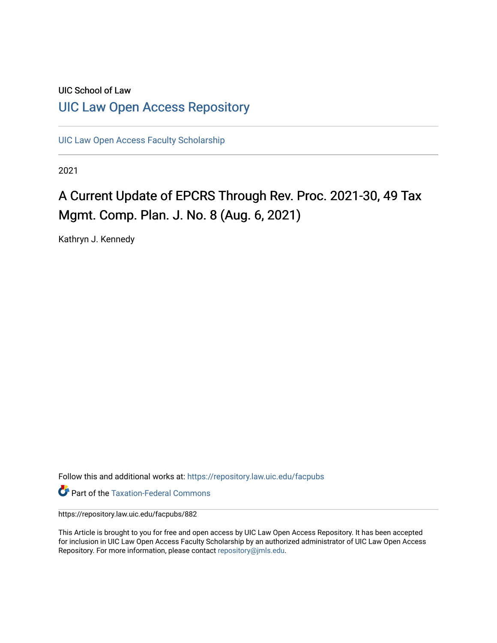# UIC School of Law [UIC Law Open Access Repository](https://repository.law.uic.edu/)

[UIC Law Open Access Faculty Scholarship](https://repository.law.uic.edu/facpubs)

2021

# A Current Update of EPCRS Through Rev. Proc. 2021-30, 49 Tax Mgmt. Comp. Plan. J. No. 8 (Aug. 6, 2021)

Kathryn J. Kennedy

Follow this and additional works at: [https://repository.law.uic.edu/facpubs](https://repository.law.uic.edu/facpubs?utm_source=repository.law.uic.edu%2Ffacpubs%2F882&utm_medium=PDF&utm_campaign=PDFCoverPages) 

**Part of the [Taxation-Federal Commons](https://network.bepress.com/hgg/discipline/881?utm_source=repository.law.uic.edu%2Ffacpubs%2F882&utm_medium=PDF&utm_campaign=PDFCoverPages)** 

https://repository.law.uic.edu/facpubs/882

This Article is brought to you for free and open access by UIC Law Open Access Repository. It has been accepted for inclusion in UIC Law Open Access Faculty Scholarship by an authorized administrator of UIC Law Open Access Repository. For more information, please contact [repository@jmls.edu.](mailto:repository@jmls.edu)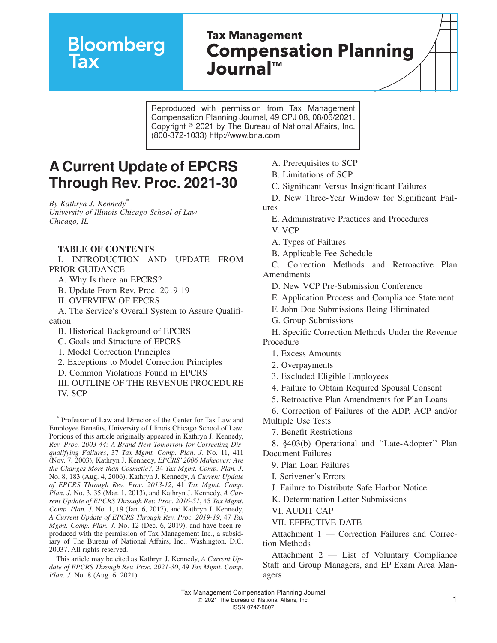# **Bloomberg**

# **Tax Management Compensation Planning Journal™**

Reproduced with permission from Tax Management Compensation Planning Journal, 49 CPJ 08, 08/06/2021. Copyright  $\textdegree$  2021 by The Bureau of National Affairs, Inc. (800-372-1033) http://www.bna.com

# **A Current Update of EPCRS Through Rev. Proc. 2021-30**

*By Kathryn J. Kennedy\* University of Illinois Chicago School of Law Chicago, IL*

#### **TABLE OF CONTENTS**

I. INTRODUCTION AND UPDATE FROM PRIOR GUIDANCE

A. Why Is there an EPCRS?

- B. Update From Rev. Proc. 2019-19
- II. OVERVIEW OF EPCRS

A. The Service's Overall System to Assure Qualification

B. Historical Background of EPCRS

C. Goals and Structure of EPCRS

1. Model Correction Principles

- 2. Exceptions to Model Correction Principles
- D. Common Violations Found in EPCRS

III. OUTLINE OF THE REVENUE PROCEDURE IV. SCP

- A. Prerequisites to SCP
- B. Limitations of SCP
- C. Significant Versus Insignificant Failures
- D. New Three-Year Window for Significant Failures
	- E. Administrative Practices and Procedures
	- V. VCP
	- A. Types of Failures
	- B. Applicable Fee Schedule

C. Correction Methods and Retroactive Plan Amendments

- D. New VCP Pre-Submission Conference
- E. Application Process and Compliance Statement
- F. John Doe Submissions Being Eliminated
- G. Group Submissions

H. Specific Correction Methods Under the Revenue Procedure

- 1. Excess Amounts
- 2. Overpayments
- 3. Excluded Eligible Employees
- 4. Failure to Obtain Required Spousal Consent
- 5. Retroactive Plan Amendments for Plan Loans

6. Correction of Failures of the ADP, ACP and/or Multiple Use Tests

7. Benefit Restrictions

8. §403(b) Operational and ''Late-Adopter'' Plan Document Failures

- 9. Plan Loan Failures
- I. Scrivener's Errors
- J. Failure to Distribute Safe Harbor Notice
- K. Determination Letter Submissions

VI. AUDIT CAP

VII. EFFECTIVE DATE

Attachment 1 — Correction Failures and Correction Methods

Attachment 2 — List of Voluntary Compliance Staff and Group Managers, and EP Exam Area Managers

<sup>\*</sup> Professor of Law and Director of the Center for Tax Law and Employee Benefits, University of Illinois Chicago School of Law. Portions of this article originally appeared in Kathryn J. Kennedy, *Rev. Proc. 2003-44: A Brand New Tomorrow for Correcting Disqualifying Failures*, 37 *Tax Mgmt. Comp. Plan. J*. No. 11, 411 (Nov. 7, 2003), Kathryn J. Kennedy, *EPCRS' 2006 Makeover: Are the Changes More than Cosmetic?*, 34 *Tax Mgmt. Comp. Plan. J.* No. 8, 183 (Aug. 4, 2006), Kathryn J. Kennedy, *A Current Update of EPCRS Through Rev. Proc. 2013-12*, 41 *Tax Mgmt. Comp. Plan. J.* No. 3, 35 (Mar. 1, 2013), and Kathryn J. Kennedy, *A Current Update of EPCRS Through Rev. Proc. 2016-51*, 45 *Tax Mgmt. Comp. Plan. J*. No. 1, 19 (Jan. 6, 2017), and Kathryn J. Kennedy, *A Current Update of EPCRS Through Rev. Proc. 2019-19*, 47 *Tax Mgmt. Comp. Plan. J.* No. 12 (Dec. 6, 2019), and have been reproduced with the permission of Tax Management Inc., a subsidiary of The Bureau of National Affairs, Inc., Washington, D.C. 20037. All rights reserved.

This article may be cited as Kathryn J. Kennedy, *A Current Update of EPCRS Through Rev. Proc. 2021-30*, 49 *Tax Mgmt. Comp. Plan. J.* No. 8 (Aug. 6, 2021).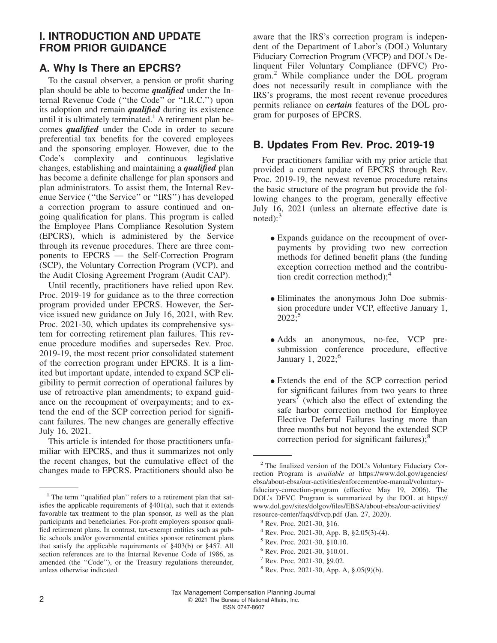# **I. INTRODUCTION AND UPDATE FROM PRIOR GUIDANCE**

# **A. Why Is There an EPCRS?**

To the casual observer, a pension or profit sharing plan should be able to become *qualified* under the Internal Revenue Code (''the Code'' or ''I.R.C.'') upon its adoption and remain *qualified* during its existence until it is ultimately terminated.<sup>1</sup> A retirement plan becomes *qualified* under the Code in order to secure preferential tax benefits for the covered employees and the sponsoring employer. However, due to the Code's complexity and continuous legislative changes, establishing and maintaining a *qualified* plan has become a definite challenge for plan sponsors and plan administrators. To assist them, the Internal Revenue Service (''the Service'' or ''IRS'') has developed a correction program to assure continued and ongoing qualification for plans. This program is called the Employee Plans Compliance Resolution System (EPCRS), which is administered by the Service through its revenue procedures. There are three components to EPCRS — the Self-Correction Program (SCP), the Voluntary Correction Program (VCP), and the Audit Closing Agreement Program (Audit CAP).

Until recently, practitioners have relied upon Rev. Proc. 2019-19 for guidance as to the three correction program provided under EPCRS. However, the Service issued new guidance on July 16, 2021, with Rev. Proc. 2021-30, which updates its comprehensive system for correcting retirement plan failures. This revenue procedure modifies and supersedes Rev. Proc. 2019-19, the most recent prior consolidated statement of the correction program under EPCRS. It is a limited but important update, intended to expand SCP eligibility to permit correction of operational failures by use of retroactive plan amendments; to expand guidance on the recoupment of overpayments; and to extend the end of the SCP correction period for significant failures. The new changes are generally effective July 16, 2021.

This article is intended for those practitioners unfamiliar with EPCRS, and thus it summarizes not only the recent changes, but the cumulative effect of the changes made to EPCRS. Practitioners should also be aware that the IRS's correction program is independent of the Department of Labor's (DOL) Voluntary Fiduciary Correction Program (VFCP) and DOL's Delinquent Filer Voluntary Compliance (DFVC) Program.<sup>2</sup> While compliance under the DOL program does not necessarily result in compliance with the IRS's programs, the most recent revenue procedures permits reliance on *certain* features of the DOL program for purposes of EPCRS.

#### **B. Updates From Rev. Proc. 2019-19**

For practitioners familiar with my prior article that provided a current update of EPCRS through Rev. Proc. 2019-19, the newest revenue procedure retains the basic structure of the program but provide the following changes to the program, generally effective July 16, 2021 (unless an alternate effective date is  $noted$ ):<sup>3</sup>

- Expands guidance on the recoupment of overpayments by providing two new correction methods for defined benefit plans (the funding exception correction method and the contribution credit correction method); $<sup>4</sup>$ </sup>
- Eliminates the anonymous John Doe submission procedure under VCP, effective January 1,  $2022$ ;<sup>5</sup>
- Adds an anonymous, no-fee, VCP presubmission conference procedure, effective January 1, 2022;<sup>6</sup>
- Extends the end of the SCP correction period for significant failures from two years to three years<sup> $\frac{1}{2}$ </sup> (which also the effect of extending the safe harbor correction method for Employee Elective Deferral Failures lasting more than three months but not beyond the extended SCP correction period for significant failures);<sup>8</sup>

<sup>6</sup> Rev. Proc. 2021-30, §10.01.

<sup>&</sup>lt;sup>1</sup> The term "qualified plan" refers to a retirement plan that satisfies the applicable requirements of §401(a), such that it extends favorable tax treatment to the plan sponsor, as well as the plan participants and beneficiaries. For-profit employers sponsor qualified retirement plans. In contrast, tax-exempt entities such as public schools and/or governmental entities sponsor retirement plans that satisfy the applicable requirements of §403(b) or §457. All section references are to the Internal Revenue Code of 1986, as amended (the ''Code''), or the Treasury regulations thereunder, unless otherwise indicated.

<sup>2</sup> The finalized version of the DOL's Voluntary Fiduciary Correction Program is *available at* [https://www.dol.gov/agencies/](https://www.dol.gov/agencies/ebsa/about-ebsa/our-activities/enforcement/oe-manual/voluntary-fiduciary-correction-program) [ebsa/about-ebsa/our-activities/enforcement/oe-manual/voluntary](https://www.dol.gov/agencies/ebsa/about-ebsa/our-activities/enforcement/oe-manual/voluntary-fiduciary-correction-program)[fiduciary-correction-program](https://www.dol.gov/agencies/ebsa/about-ebsa/our-activities/enforcement/oe-manual/voluntary-fiduciary-correction-program) (effective May 19, 2006). The DOL's DFVC Program is summarized by the DOL at [https://](https://www.dol.gov/sites/dolgov/files/EBSA/about-ebsa/our-activities/resource-center/faqs/dfvcp.pdf) [www.dol.gov/sites/dolgov/files/EBSA/about-ebsa/our-activities/](https://www.dol.gov/sites/dolgov/files/EBSA/about-ebsa/our-activities/resource-center/faqs/dfvcp.pdf) [resource-center/faqs/dfvcp.pdf](https://www.dol.gov/sites/dolgov/files/EBSA/about-ebsa/our-activities/resource-center/faqs/dfvcp.pdf) (Jan. 27, 2020).

<sup>3</sup> Rev. Proc. 2021-30, §16.

<sup>4</sup> Rev. Proc. 2021-30, App. B, §2.05(3)-(4).

<sup>5</sup> Rev. Proc. 2021-30, §10.10.

<sup>7</sup> Rev. Proc. 2021-30, §9.02.

<sup>8</sup> Rev. Proc. 2021-30, App. A, §.05(9)(b).

Tax Management Compensation Planning Journal 2 **2** 2021 The Bureau of National Affairs, Inc. ISSN 0747-8607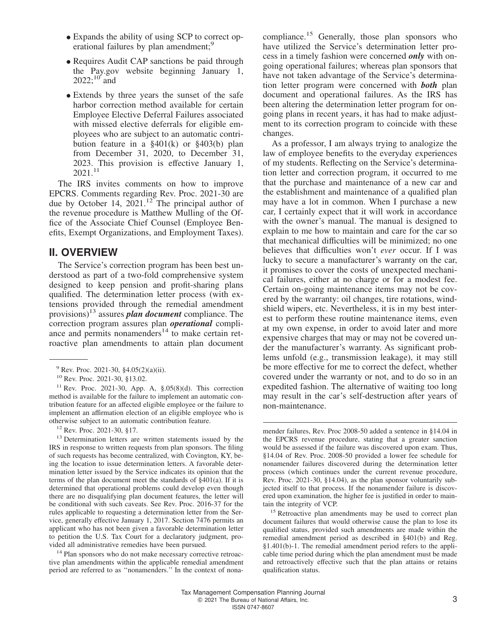- Expands the ability of using SCP to correct operational failures by plan amendment;<sup>9</sup>
- Requires Audit CAP sanctions be paid through the [Pay.gov](https://www.pay.gov/public/home) website beginning January 1, 2022;<sup>10</sup> and
- Extends by three years the sunset of the safe harbor correction method available for certain Employee Elective Deferral Failures associated with missed elective deferrals for eligible employees who are subject to an automatic contribution feature in a §401(k) or §403(b) plan from December 31, 2020, to December 31, 2023. This provision is effective January 1,  $2021$ <sup>11</sup>

The IRS invites comments on how to improve EPCRS. Comments regarding Rev. Proc. 2021-30 are due by October 14,  $2021$ .<sup>12</sup> The principal author of the revenue procedure is Matthew Mulling of the Office of the Associate Chief Counsel (Employee Benefits, Exempt Organizations, and Employment Taxes).

#### **II. OVERVIEW**

The Service's correction program has been best understood as part of a two-fold comprehensive system designed to keep pension and profit-sharing plans qualified. The determination letter process (with extensions provided through the remedial amendment provisions)<sup>13</sup> assures *plan document* compliance. The correction program assures plan *operational* compliance and permits nonamenders $14$  to make certain retroactive plan amendments to attain plan document

<sup>12</sup> Rev. Proc. 2021-30, §17.

<sup>14</sup> Plan sponsors who do not make necessary corrective retroactive plan amendments within the applicable remedial amendment period are referred to as ''nonamenders.'' In the context of nonacompliance.<sup>15</sup> Generally, those plan sponsors who have utilized the Service's determination letter process in a timely fashion were concerned *only* with ongoing operational failures; whereas plan sponsors that have not taken advantage of the Service's determination letter program were concerned with *both* plan document and operational failures. As the IRS has been altering the determination letter program for ongoing plans in recent years, it has had to make adjustment to its correction program to coincide with these changes.

As a professor, I am always trying to analogize the law of employee benefits to the everyday experiences of my students. Reflecting on the Service's determination letter and correction program, it occurred to me that the purchase and maintenance of a new car and the establishment and maintenance of a qualified plan may have a lot in common. When I purchase a new car, I certainly expect that it will work in accordance with the owner's manual. The manual is designed to explain to me how to maintain and care for the car so that mechanical difficulties will be minimized; no one believes that difficulties won't *ever* occur. If I was lucky to secure a manufacturer's warranty on the car, it promises to cover the costs of unexpected mechanical failures, either at no charge or for a modest fee. Certain on-going maintenance items may not be covered by the warranty: oil changes, tire rotations, windshield wipers, etc. Nevertheless, it is in my best interest to perform these routine maintenance items, even at my own expense, in order to avoid later and more expensive charges that may or may not be covered under the manufacturer's warranty. As significant problems unfold (e.g., transmission leakage), it may still be more effective for me to correct the defect, whether covered under the warranty or not, and to do so in an expedited fashion. The alternative of waiting too long may result in the car's self-destruction after years of non-maintenance.

<sup>9</sup> Rev. Proc. 2021-30, §4.05(2)(a)(ii).

<sup>10</sup> Rev. Proc. 2021-30, §13.02.

<sup>&</sup>lt;sup>11</sup> Rev. Proc. 2021-30, App. A,  $\S.05(8)(d)$ . This correction method is available for the failure to implement an automatic contribution feature for an affected eligible employee or the failure to implement an affirmation election of an eligible employee who is otherwise subject to an automatic contribution feature.

<sup>&</sup>lt;sup>13</sup> Determination letters are written statements issued by the IRS in response to written requests from plan sponsors. The filing of such requests has become centralized, with Covington, KY, being the location to issue determination letters. A favorable determination letter issued by the Service indicates its opinion that the terms of the plan document meet the standards of §401(a). If it is determined that operational problems could develop even though there are no disqualifying plan document features, the letter will be conditional with such caveats. See Rev. Proc. 2016-37 for the rules applicable to requesting a determination letter from the Service, generally effective January 1, 2017. Section 7476 permits an applicant who has not been given a favorable determination letter to petition the U.S. Tax Court for a declaratory judgment, provided all administrative remedies have been pursued.

mender failures, Rev. Proc 2008-50 added a sentence in §14.04 in the EPCRS revenue procedure, stating that a greater sanction would be assessed if the failure was discovered upon exam. Thus, §14.04 of Rev. Proc. 2008-50 provided a lower fee schedule for nonamender failures discovered during the determination letter process (which continues under the current revenue procedure, Rev. Proc. 2021-30, §14.04), as the plan sponsor voluntarily subjected itself to that process. If the nonamender failure is discovered upon examination, the higher fee is justified in order to maintain the integrity of VCP.

<sup>&</sup>lt;sup>15</sup> Retroactive plan amendments may be used to correct plan document failures that would otherwise cause the plan to lose its qualified status, provided such amendments are made within the remedial amendment period as described in §401(b) and Reg. §1.401(b)-1. The remedial amendment period refers to the applicable time period during which the plan amendment must be made and retroactively effective such that the plan attains or retains qualification status.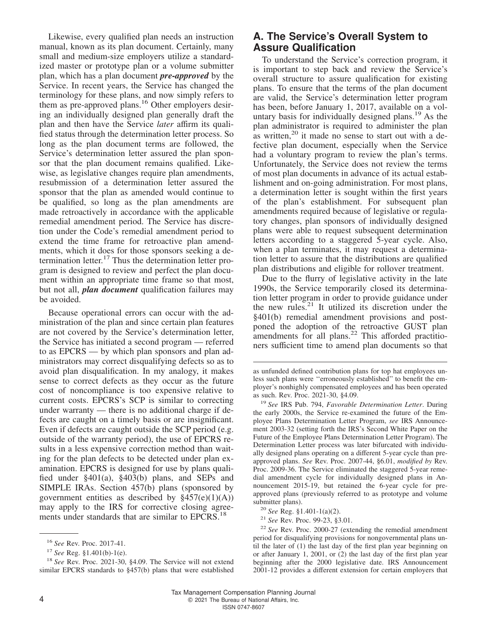Likewise, every qualified plan needs an instruction manual, known as its plan document. Certainly, many small and medium-size employers utilize a standardized master or prototype plan or a volume submitter plan, which has a plan document *pre-approved* by the Service. In recent years, the Service has changed the terminology for these plans, and now simply refers to them as pre-approved plans.<sup>16</sup> Other employers desiring an individually designed plan generally draft the plan and then have the Service *later* affirm its qualified status through the determination letter process. So long as the plan document terms are followed, the Service's determination letter assured the plan sponsor that the plan document remains qualified. Likewise, as legislative changes require plan amendments, resubmission of a determination letter assured the sponsor that the plan as amended would continue to be qualified, so long as the plan amendments are made retroactively in accordance with the applicable remedial amendment period. The Service has discretion under the Code's remedial amendment period to extend the time frame for retroactive plan amendments, which it does for those sponsors seeking a determination letter.<sup>17</sup> Thus the determination letter program is designed to review and perfect the plan document within an appropriate time frame so that most, but not all, *plan document* qualification failures may be avoided.

Because operational errors can occur with the administration of the plan and since certain plan features are not covered by the Service's determination letter, the Service has initiated a second program — referred to as EPCRS — by which plan sponsors and plan administrators may correct disqualifying defects so as to avoid plan disqualification. In my analogy, it makes sense to correct defects as they occur as the future cost of noncompliance is too expensive relative to current costs. EPCRS's SCP is similar to correcting under warranty — there is no additional charge if defects are caught on a timely basis or are insignificant. Even if defects are caught outside the SCP period (e.g. outside of the warranty period), the use of EPCRS results in a less expensive correction method than waiting for the plan defects to be detected under plan examination. EPCRS is designed for use by plans qualified under §401(a), §403(b) plans, and SEPs and SIMPLE IRAs. Section 457(b) plans (sponsored by government entities as described by  $§457(e)(1)(A))$ may apply to the IRS for corrective closing agreements under standards that are similar to EPCRS.<sup>18</sup>

#### **A. The Service's Overall System to Assure Qualification**

To understand the Service's correction program, it is important to step back and review the Service's overall structure to assure qualification for existing plans. To ensure that the terms of the plan document are valid, the Service's determination letter program has been, before January 1, 2017, available on a voluntary basis for individually designed plans.<sup>19</sup> As the plan administrator is required to administer the plan as written,  $20$  it made no sense to start out with a defective plan document, especially when the Service had a voluntary program to review the plan's terms. Unfortunately, the Service does not review the terms of most plan documents in advance of its actual establishment and on-going administration. For most plans, a determination letter is sought within the first years of the plan's establishment. For subsequent plan amendments required because of legislative or regulatory changes, plan sponsors of individually designed plans were able to request subsequent determination letters according to a staggered 5-year cycle. Also, when a plan terminates, it may request a determination letter to assure that the distributions are qualified plan distributions and eligible for rollover treatment.

Due to the flurry of legislative activity in the late 1990s, the Service temporarily closed its determination letter program in order to provide guidance under the new rules. $21$  It utilized its discretion under the §401(b) remedial amendment provisions and postponed the adoption of the retroactive GUST plan amendments for all plans. $22$  This afforded practitioners sufficient time to amend plan documents so that

<sup>16</sup> *See* Rev. Proc. 2017-41.

<sup>17</sup> *See* Reg. §1.401(b)-1(e).

<sup>18</sup> *See* Rev. Proc. 2021-30, §4.09. The Service will not extend similar EPCRS standards to §457(b) plans that were established

as unfunded defined contribution plans for top hat employees unless such plans were ''erroneously established'' to benefit the employer's nonhighly compensated employees and has been operated as such. Rev. Proc. 2021-30, §4.09.

<sup>19</sup> *See* IRS Pub. 794, *Favorable Determination Letter*. During the early 2000s, the Service re-examined the future of the Employee Plans Determination Letter Program, *see* IRS Announcement 2003-32 (setting forth the IRS's Second White Paper on the Future of the Employee Plans Determination Letter Program). The Determination Letter process was later bifurcated with individually designed plans operating on a different 5-year cycle than preapproved plans. *See* Rev. Proc. 2007-44, §6.01, *modified by* Rev. Proc. 2009-36. The Service eliminated the staggered 5-year remedial amendment cycle for individually designed plans in Announcement 2015-19, but retained the 6-year cycle for preapproved plans (previously referred to as prototype and volume submitter plans).

<sup>20</sup> *See* Reg. §1.401-1(a)(2).

<sup>21</sup> *See* Rev. Proc. 99-23, §3.01.

<sup>22</sup> *See* Rev. Proc. 2000-27 (extending the remedial amendment period for disqualifying provisions for nongovernmental plans until the later of (1) the last day of the first plan year beginning on or after January 1, 2001, or (2) the last day of the first plan year beginning after the 2000 legislative date. IRS Announcement 2001-12 provides a different extension for certain employers that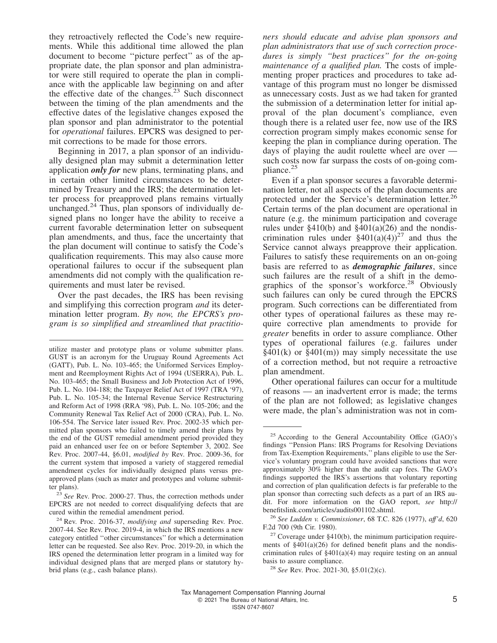they retroactively reflected the Code's new requirements. While this additional time allowed the plan document to become ''picture perfect'' as of the appropriate date, the plan sponsor and plan administrator were still required to operate the plan in compliance with the applicable law beginning on and after the effective date of the changes.<sup>23</sup> Such disconnect between the timing of the plan amendments and the effective dates of the legislative changes exposed the plan sponsor and plan administrator to the potential for *operational* failures. EPCRS was designed to permit corrections to be made for those errors.

Beginning in 2017, a plan sponsor of an individually designed plan may submit a determination letter application *only for* new plans, terminating plans, and in certain other limited circumstances to be determined by Treasury and the IRS; the determination letter process for preapproved plans remains virtually unchanged. $^{24}$  Thus, plan sponsors of individually designed plans no longer have the ability to receive a current favorable determination letter on subsequent plan amendments, and thus, face the uncertainty that the plan document will continue to satisfy the Code's qualification requirements. This may also cause more operational failures to occur if the subsequent plan amendments did not comply with the qualification requirements and must later be revised.

Over the past decades, the IRS has been revising and simplifying this correction program *and* its determination letter program. *By now, the EPCRS's program is so simplified and streamlined that practitio-*

<sup>23</sup> *See* Rev. Proc. 2000-27. Thus, the correction methods under EPCRS are not needed to correct disqualifying defects that are cured within the remedial amendment period.

*ners should educate and advise plan sponsors and plan administrators that use of such correction procedures is simply ''best practices'' for the on-going maintenance of a qualified plan.* The costs of implementing proper practices and procedures to take advantage of this program must no longer be dismissed as unnecessary costs. Just as we had taken for granted the submission of a determination letter for initial approval of the plan document's compliance, even though there is a related user fee, now use of the IRS correction program simply makes economic sense for keeping the plan in compliance during operation. The days of playing the audit roulette wheel are over such costs now far surpass the costs of on-going compliance.<sup>25</sup>

Even if a plan sponsor secures a favorable determination letter, not all aspects of the plan documents are protected under the Service's determination letter.<sup>26</sup> Certain terms of the plan document are operational in nature (e.g. the minimum participation and coverage rules under  $$410(b)$  and  $$401(a)(26)$  and the nondiscrimination rules under  $\S 401(a)(4)$ <sup>27</sup> and thus the Service cannot always preapprove their application. Failures to satisfy these requirements on an on-going basis are referred to as *demographic failures*, since such failures are the result of a shift in the demographics of the sponsor's workforce.<sup>28</sup> Obviously such failures can only be cured through the EPCRS program. Such corrections can be differentiated from other types of operational failures as these may require corrective plan amendments to provide for *greater* benefits in order to assure compliance. Other types of operational failures (e.g. failures under  $\frac{2401(k)}{s}$  or  $\frac{2401(m)}{s}$  may simply necessitate the use of a correction method, but not require a retroactive plan amendment.

Other operational failures can occur for a multitude of reasons — an inadvertent error is made; the terms of the plan are not followed; as legislative changes were made, the plan's administration was not in com-

utilize master and prototype plans or volume submitter plans. GUST is an acronym for the Uruguay Round Agreements Act (GATT), Pub. L. No. 103-465; the Uniformed Services Employment and Reemployment Rights Act of 1994 (USERRA), Pub. L. No. 103-465; the Small Business and Job Protection Act of 1996, Pub. L. No. 104-188; the Taxpayer Relief Act of 1997 (TRA '97), Pub. L. No. 105-34; the Internal Revenue Service Restructuring and Reform Act of 1998 (RRA '98), Pub. L. No. 105-206; and the Community Renewal Tax Relief Act of 2000 (CRA), Pub. L. No. 106-554. The Service later issued Rev. Proc. 2002-35 which permitted plan sponsors who failed to timely amend their plans by the end of the GUST remedial amendment period provided they paid an enhanced user fee on or before September 3, 2002. See Rev. Proc. 2007-44, §6.01, *modified by* Rev. Proc. 2009-36, for the current system that imposed a variety of staggered remedial amendment cycles for individually designed plans versus preapproved plans (such as mater and prototypes and volume submitter plans).

<sup>24</sup> Rev. Proc. 2016-37, *modifying and* superseding Rev. Proc. 2007-44. See Rev. Proc. 2019-4, in which the IRS mentions a new category entitled ''other circumstances'' for which a determination letter can be requested. See also Rev. Proc. 2019-20, in which the IRS opened the determination letter program in a limited way for individual designed plans that are merged plans or statutory hybrid plans (e.g., cash balance plans).

<sup>&</sup>lt;sup>25</sup> According to the General Accountability Office (GAO)'s findings ''Pension Plans: IRS Programs for Resolving Deviations from Tax-Exemption Requirements,'' plans eligible to use the Service's voluntary program could have avoided sanctions that were approximately 30% higher than the audit cap fees. The GAO's findings supported the IRS's assertions that voluntary reporting and correction of plan qualification defects is far preferable to the plan sponsor than correcting such defects as a part of an IRS audit. For more information on the GAO report, *see* [http://](http://benefitslink.com/articles/audits001102.shtml) [benefitslink.com/articles/audits001102.shtml.](http://benefitslink.com/articles/audits001102.shtml)

<sup>26</sup> *See Ludden v. Commissioner*, 68 T.C. 826 (1977), *aff'd*, 620 F.2d 700 (9th Cir. 1980).

 $27$  Coverage under §410(b), the minimum participation requirements of §401(a)(26) for defined benefit plans and the nondiscrimination rules of §401(a)(4) may require testing on an annual basis to assure compliance.

<sup>28</sup> *See* Rev. Proc. 2021-30, §5.01(2)(c).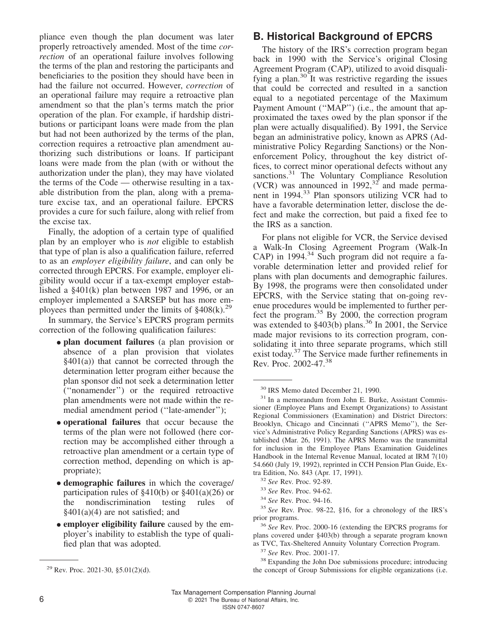pliance even though the plan document was later properly retroactively amended. Most of the time *correction* of an operational failure involves following the terms of the plan and restoring the participants and beneficiaries to the position they should have been in had the failure not occurred. However, *correction* of an operational failure may require a retroactive plan amendment so that the plan's terms match the prior operation of the plan. For example, if hardship distributions or participant loans were made from the plan but had not been authorized by the terms of the plan, correction requires a retroactive plan amendment authorizing such distributions or loans. If participant loans were made from the plan (with or without the authorization under the plan), they may have violated the terms of the Code — otherwise resulting in a taxable distribution from the plan, along with a premature excise tax, and an operational failure. EPCRS provides a cure for such failure, along with relief from the excise tax.

Finally, the adoption of a certain type of qualified plan by an employer who is *not* eligible to establish that type of plan is also a qualification failure, referred to as an *employer eligibility failure*, and can only be corrected through EPCRS. For example, employer eligibility would occur if a tax-exempt employer established a §401(k) plan between 1987 and 1996, or an employer implemented a SARSEP but has more employees than permitted under the limits of  $§408(k)$ <sup>29</sup>

In summary, the Service's EPCRS program permits correction of the following qualification failures:

- **plan document failures** (a plan provision or absence of a plan provision that violates §401(a)) that cannot be corrected through the determination letter program either because the plan sponsor did not seek a determination letter (''nonamender'') or the required retroactive plan amendments were not made within the remedial amendment period (''late-amender'');
- **operational failures** that occur because the terms of the plan were not followed (here correction may be accomplished either through a retroactive plan amendment or a certain type of correction method, depending on which is appropriate);
- **demographic failures** in which the coverage/ participation rules of §410(b) or §401(a)(26) or the nondiscrimination testing rules of  $§401(a)(4)$  are not satisfied; and
- **employer eligibility failure** caused by the employer's inability to establish the type of qualified plan that was adopted.

#### **B. Historical Background of EPCRS**

The history of the IRS's correction program began back in 1990 with the Service's original Closing Agreement Program (CAP), utilized to avoid disqualifying a plan. $30$  It was restrictive regarding the issues that could be corrected and resulted in a sanction equal to a negotiated percentage of the Maximum Payment Amount ("MAP") (i.e., the amount that approximated the taxes owed by the plan sponsor if the plan were actually disqualified). By 1991, the Service began an administrative policy, known as APRS (Administrative Policy Regarding Sanctions) or the Nonenforcement Policy, throughout the key district offices, to correct minor operational defects without any sanctions.<sup>31</sup> The Voluntary Compliance Resolution (VCR) was announced in  $1992$ ,  $32^{\circ}$  and made permanent in 1994.<sup>33</sup> Plan sponsors utilizing VCR had to have a favorable determination letter, disclose the defect and make the correction, but paid a fixed fee to the IRS as a sanction.

For plans not eligible for VCR, the Service devised a Walk-In Closing Agreement Program (Walk-In  $CAP)$  in 1994.<sup>34</sup> Such program did not require a favorable determination letter and provided relief for plans with plan documents and demographic failures. By 1998, the programs were then consolidated under EPCRS, with the Service stating that on-going revenue procedures would be implemented to further perfect the program.<sup>35</sup> By 2000, the correction program was extended to  $\S 403(b)$  plans.<sup>36</sup> In 2001, the Service made major revisions to its correction program, consolidating it into three separate programs, which still exist today.<sup>37</sup> The Service made further refinements in Rev. Proc. 2002-47.<sup>38</sup>

<sup>36</sup> *See* Rev. Proc. 2000-16 (extending the EPCRS programs for plans covered under §403(b) through a separate program known as TVC, Tax-Sheltered Annuity Voluntary Correction Program.

<sup>37</sup> *See* Rev. Proc. 2001-17.

<sup>38</sup> Expanding the John Doe submissions procedure; introducing the concept of Group Submissions for eligible organizations (i.e.

<sup>30</sup> IRS Memo dated December 21, 1990.

<sup>&</sup>lt;sup>31</sup> In a memorandum from John E. Burke, Assistant Commissioner (Employee Plans and Exempt Organizations) to Assistant Regional Commissioners (Examination) and District Directors: Brooklyn, Chicago and Cincinnati (''APRS Memo''), the Service's Administrative Policy Regarding Sanctions (APRS) was established (Mar. 26, 1991). The APRS Memo was the transmittal for inclusion in the Employee Plans Examination Guidelines Handbook in the Internal Revenue Manual, located at IRM 7(10) 54.660 (July 19, 1992), reprinted in CCH Pension Plan Guide, Extra Edition, No. 843 (Apr. 17, 1991).

<sup>32</sup> *See* Rev. Proc. 92-89.

<sup>33</sup> *See* Rev. Proc. 94-62.

<sup>34</sup> *See* Rev. Proc. 94-16.

<sup>35</sup> *See* Rev. Proc. 98-22, §16, for a chronology of the IRS's prior programs.

<sup>&</sup>lt;sup>29</sup> Rev. Proc. 2021-30, §5.01(2)(d).

Tax Management Compensation Planning Journal 6 **6 2021** The Bureau of National Affairs, Inc.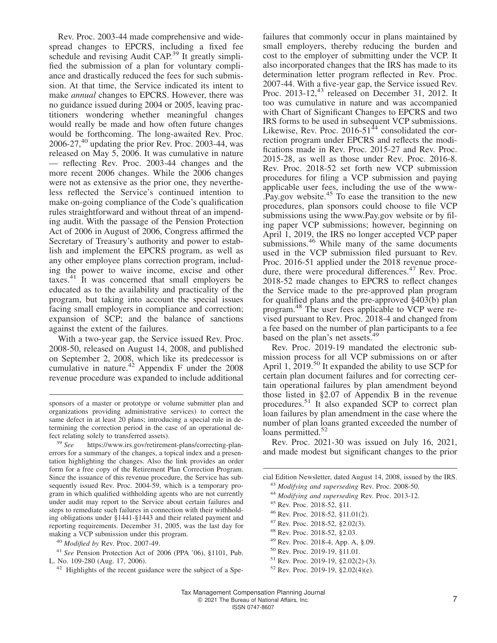Rev. Proc. 2003-44 made comprehensive and widespread changes to EPCRS, including a fixed fee schedule and revising Audit CAP.<sup>39</sup> It greatly simplified the submission of a plan for voluntary compliance and drastically reduced the fees for such submission. At that time, the Service indicated its intent to make *annual* changes to EPCRS. However, there was no guidance issued during 2004 or 2005, leaving practitioners wondering whether meaningful changes would really be made and how often future changes would be forthcoming. The long-awaited Rev. Proc.  $2006-27$ ,<sup>40</sup> updating the prior Rev. Proc. 2003-44, was released on May 5, 2006. It was cumulative in nature — reflecting Rev. Proc. 2003-44 changes and the more recent 2006 changes. While the 2006 changes were not as extensive as the prior one, they nevertheless reflected the Service's continued intention to make on-going compliance of the Code's qualification rules straightforward and without threat of an impending audit. With the passage of the Pension Protection Act of 2006 in August of 2006, Congress affirmed the Secretary of Treasury's authority and power to establish and implement the EPCRS program, as well as any other employee plans correction program, including the power to waive income, excise and other taxes. $41$  It was concerned that small employers be educated as to the availability and practicality of the program, but taking into account the special issues facing small employers in compliance and correction; expansion of SCP; and the balance of sanctions against the extent of the failures.

With a two-year gap, the Service issued Rev. Proc. 2008-50, released on August 14, 2008, and published on September 2, 2008, which like its predecessor is cumulative in nature.<sup>42</sup> Appendix F under the 2008 revenue procedure was expanded to include additional

failures that commonly occur in plans maintained by small employers, thereby reducing the burden and cost to the employer of submitting under the VCP. It also incorporated changes that the IRS has made to its determination letter program reflected in Rev. Proc. 2007-44. With a five-year gap, the Service issued Rev. Proc. 2013-12, $43$  released on December 31, 2012. It too was cumulative in nature and was accompanied with Chart of Significant Changes to EPCRS and two IRS forms to be used in subsequent VCP submissions. Likewise, Rev. Proc.  $2016-51^{44}$  consolidated the correction program under EPCRS and reflects the modifications made in Rev. Proc. 2015-27 and Rev. Proc. 2015-28, as well as those under Rev. Proc. 2016-8. Rev. Proc. 2018-52 set forth new VCP submission procedures for filing a VCP submission and paying applicable user fees, including the use of the [www-](www.Pay.gov) [.Pay.gov](www.Pay.gov) website.<sup>45</sup> To ease the transition to the new procedures, plan sponsors could choose to file VCP submissions using the<www.Pay.gov> website or by filing paper VCP submissions; however, beginning on April 1, 2019, the IRS no longer accepted VCP paper submissions. $46$  While many of the same documents used in the VCP submission filed pursuant to Rev. Proc. 2016-51 applied under the 2018 revenue procedure, there were procedural differences.<sup>47</sup> Rev. Proc. 2018-52 made changes to EPCRS to reflect changes the Service made to the pre-approved plan program for qualified plans and the pre-approved §403(b) plan program.<sup>48</sup> The user fees applicable to VCP were revised pursuant to Rev. Proc. 2018-4 and changed from a fee based on the number of plan participants to a fee based on the plan's net assets.<sup>49</sup>

Rev. Proc. 2019-19 mandated the electronic submission process for all VCP submissions on or after April 1,  $2019$ <sup>50</sup> It expanded the ability to use SCP for certain plan document failures and for correcting certain operational failures by plan amendment beyond those listed in §2.07 of Appendix B in the revenue procedures.<sup>51</sup> It also expanded SCP to correct plan loan failures by plan amendment in the case where the number of plan loans granted exceeded the number of loans permitted.<sup>52</sup>

Rev. Proc. 2021-30 was issued on July 16, 2021, and made modest but significant changes to the prior

- <sup>43</sup> *Modifying and superseding* Rev. Proc. 2008-50.
- <sup>44</sup> *Modifying and superseding* Rev. Proc. 2013-12.
- <sup>45</sup> Rev. Proc. 2018-52, §11.
- <sup>46</sup> Rev. Proc. 2018-52, §11.01(2).
- <sup>47</sup> Rev. Proc. 2018-52, §2.02(3).
- <sup>48</sup> Rev. Proc. 2018-52, §2.03.
- <sup>49</sup> Rev. Proc. 2018-4, App. A, §.09.
- <sup>50</sup> Rev. Proc. 2019-19, §11.01.
- <sup>51</sup> Rev. Proc. 2019-19, §2.02(2)-(3).
- $52$  Rev. Proc. 2019-19, §2.02(4)(e).

sponsors of a master or prototype or volume submitter plan and organizations providing administrative services) to correct the same defect in at least 20 plans; introducing a special rule in determining the correction period in the case of an operational defect relating solely to transferred assets).

<sup>39</sup> *See* [https://www.irs.gov/retirement-plans/correcting-plan](https://www.irs.gov/retirement-plans/correcting-plan-errors)[errors](https://www.irs.gov/retirement-plans/correcting-plan-errors) for a summary of the changes, a topical index and a presentation highlighting the changes. Also the link provides an order form for a free copy of the Retirement Plan Correction Program. Since the issuance of this revenue procedure, the Service has subsequently issued Rev. Proc. 2004-59, which is a temporary program in which qualified withholding agents who are not currently under audit may report to the Service about certain failures and steps to remediate such failures in connection with their withholding obligations under §1441-§1443 and their related payment and reporting requirements. December 31, 2005, was the last day for making a VCP submission under this program.

<sup>40</sup> *Modified by* Rev. Proc. 2007-49.

<sup>41</sup> *See* Pension Protection Act of 2006 (PPA '06), §1101, Pub. L. No. 109-280 (Aug. 17, 2006).

<sup>&</sup>lt;sup>42</sup> Highlights of the recent guidance were the subject of a Spe-

cial Edition Newsletter, dated August 14, 2008, issued by the IRS.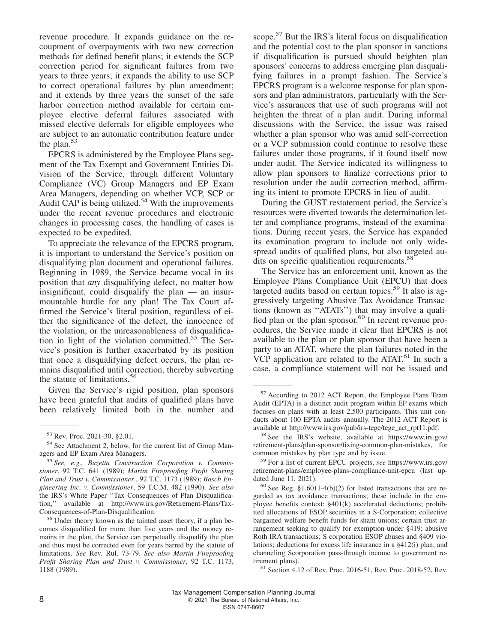revenue procedure. It expands guidance on the recoupment of overpayments with two new correction methods for defined benefit plans; it extends the SCP correction period for significant failures from two years to three years; it expands the ability to use SCP to correct operational failures by plan amendment; and it extends by three years the sunset of the safe harbor correction method available for certain employee elective deferral failures associated with missed elective deferrals for eligible employees who are subject to an automatic contribution feature under the plan. $53$ 

EPCRS is administered by the Employee Plans segment of the Tax Exempt and Government Entities Division of the Service, through different Voluntary Compliance (VC) Group Managers and EP Exam Area Managers, depending on whether VCP, SCP or Audit CAP is being utilized.<sup>54</sup> With the improvements under the recent revenue procedures and electronic changes in processing cases, the handling of cases is expected to be expedited.

To appreciate the relevance of the EPCRS program, it is important to understand the Service's position on disqualifying plan document and operational failures. Beginning in 1989, the Service became vocal in its position that *any* disqualifying defect, no matter how insignificant, could disqualify the plan — an insurmountable hurdle for any plan! The Tax Court affirmed the Service's literal position, regardless of either the significance of the defect, the innocence of the violation, or the unreasonableness of disqualification in light of the violation committed.<sup>55</sup> The Service's position is further exacerbated by its position that once a disqualifying defect occurs, the plan remains disqualified until correction, thereby subverting the statute of limitations.<sup>56</sup>

Given the Service's rigid position, plan sponsors have been grateful that audits of qualified plans have been relatively limited both in the number and

scope.<sup>57</sup> But the IRS's literal focus on disqualification and the potential cost to the plan sponsor in sanctions if disqualification is pursued should heighten plan sponsors' concerns to address emerging plan disqualifying failures in a prompt fashion. The Service's EPCRS program is a welcome response for plan sponsors and plan administrators, particularly with the Service's assurances that use of such programs will not heighten the threat of a plan audit. During informal discussions with the Service, the issue was raised whether a plan sponsor who was amid self-correction or a VCP submission could continue to resolve these failures under those programs, if it found itself now under audit. The Service indicated its willingness to allow plan sponsors to finalize corrections prior to resolution under the audit correction method, affirming its intent to promote EPCRS in lieu of audit.

During the GUST restatement period, the Service's resources were diverted towards the determination letter and compliance programs, instead of the examinations. During recent years, the Service has expanded its examination program to include not only widespread audits of qualified plans, but also targeted audits on specific qualification requirements.<sup>58</sup>

The Service has an enforcement unit, known as the Employee Plans Compliance Unit (EPCU) that does targeted audits based on certain topics.<sup>59</sup> It also is aggressively targeting Abusive Tax Avoidance Transactions (known as ''ATATs'') that may involve a qualified plan or the plan sponsor.<sup>60</sup> In recent revenue procedures, the Service made it clear that EPCRS is not available to the plan or plan sponsor that have been a party to an ATAT, where the plan failures noted in the  $VCP$  application are related to the ATAT.<sup>61</sup> In such a case, a compliance statement will not be issued and

<sup>53</sup> Rev. Proc. 2021-30, §2.01.

<sup>54</sup> See Attachment 2, below, for the current list of Group Managers and EP Exam Area Managers.

<sup>55</sup> *See, e.g., Buzetta Construction Corporation v. Commissioner*, 92 T.C. 641 (1989); *Martin Fireproofing Profit Sharing Plan and Trust v. Commissioner*., 92 T.C. 1173 (1989); *Basch Engineering Inc. v. Commissioner*, 59 T.C.M. 482 (1990). *See also* the IRS's White Paper ''Tax Consequences of Plan Disqualification,'' available at [http://www.irs.gov/Retirement-Plans/Tax-](http://www.irs.gov/Retirement-Plans/Tax-Consequences-of-Plan-Disqualification)[Consequences-of-Plan-Disqualification.](http://www.irs.gov/Retirement-Plans/Tax-Consequences-of-Plan-Disqualification)

<sup>56</sup> Under theory known as the tainted asset theory, if a plan becomes disqualified for more than five years and the money remains in the plan, the Service can perpetually disqualify the plan and thus must be corrected even for years barred by the statute of limitations. *See* Rev. Rul. 73-79. *See also Martin Fireproofing Profit Sharing Plan and Trust v. Commissioner*, 92 T.C. 1173, 1188 (1989).

<sup>57</sup> According to 2012 ACT Report, the Employee Plans Team Audit (EPTA) is a distinct audit program within EP exams which focuses on plans with at least 2,500 participants. This unit conducts about 100 EPTA audits annually. The 2012 ACT Report is available at [http://www.irs.gov/pub/irs-tege/tege\\_act\\_rpt11.pdf.](http://www.irs.gov/pub/irs-tege/tege_act_rpt11.pdf)

<sup>58</sup> See the IRS's website, available at [https://www.irs.gov/](https://www.irs.gov/retirement-plans/plan-sponsor/fixing-common-plan-mistakes) [retirement-plans/plan-sponsor/fixing-common-plan-mistakes,](https://www.irs.gov/retirement-plans/plan-sponsor/fixing-common-plan-mistakes) for common mistakes by plan type and by issue.

<sup>59</sup> For a list of current EPCU projects, *see* [https://www.irs.gov/](https://www.irs.gov/retirement-plans/employee-plans-compliance-unit-epcu) [retirement-plans/employee-plans-compliance-unit-epcu](https://www.irs.gov/retirement-plans/employee-plans-compliance-unit-epcu) (last updated June 11, 2021).

 $60$  See Reg. §1.6011-4(b)(2) for listed transactions that are regarded as tax avoidance transactions; these include in the employee benefits context: §401(k) accelerated deductions; prohibited allocations of ESOP securities in a S-Corporation; collective bargained welfare benefit funds for sham unions; certain trust arrangement seeking to qualify for exemption under §419; abusive Roth IRA transactions; S corporation ESOP abuses and §409 violations; deductions for excess life insurance in a §412(i) plan; and channeling Scorporation pass-through income to government retirement plans).

<sup>61</sup> Section 4.12 of Rev. Proc. 2016-51, Rev. Proc. 2018-52, Rev.

Tax Management Compensation Planning Journal 8 8 and 2021 The Bureau of National Affairs, Inc. ISSN 0747-8607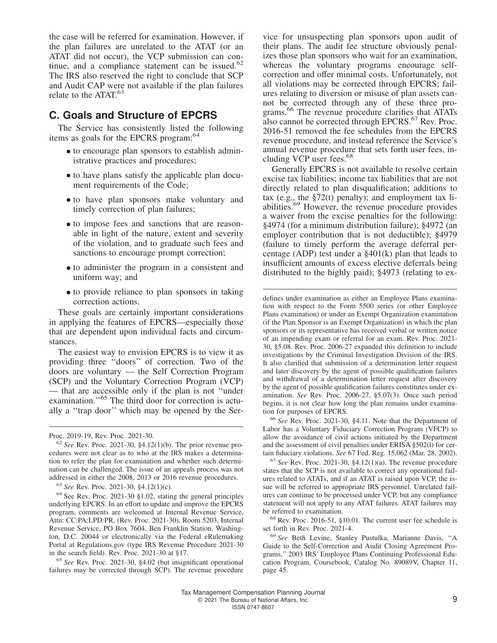the case will be referred for examination. However, if the plan failures are unrelated to the ATAT (or an ATAT did not occur), the VCP submission can continue, and a compliance statement can be issued.<sup>62</sup> The IRS also reserved the right to conclude that SCP and Audit CAP were not available if the plan failures relate to the ATAT.<sup>63</sup>

#### **C. Goals and Structure of EPCRS**

The Service has consistently listed the following items as goals for the EPCRS program:<sup>64</sup>

- to encourage plan sponsors to establish administrative practices and procedures;
- to have plans satisfy the applicable plan document requirements of the Code;
- to have plan sponsors make voluntary and timely correction of plan failures;
- to impose fees and sanctions that are reasonable in light of the nature, extent and severity of the violation, and to graduate such fees and sanctions to encourage prompt correction;
- to administer the program in a consistent and uniform way; and
- to provide reliance to plan sponsors in taking correction actions.

These goals are certainly important considerations in applying the features of EPCRS—especially those that are dependent upon individual facts and circumstances.

The easiest way to envision EPCRS is to view it as providing three ''doors'' of correction. Two of the doors are voluntary — the Self Correction Program (SCP) and the Voluntary Correction Program (VCP) — that are accessible only if the plan is not ''under examination."<sup>65</sup> The third door for correction is actually a ''trap door'' which may be opened by the Ser-

<sup>65</sup> *See* Rev. Proc. 2021-30, §4.02 (but insignificant operational failures may be corrected through SCP). The revenue procedure

vice for unsuspecting plan sponsors upon audit of their plans. The audit fee structure obviously penalizes those plan sponsors who wait for an examination, whereas the voluntary programs encourage selfcorrection and offer minimal costs. Unfortunately, not all violations may be corrected through EPCRS; failures relating to diversion or misuse of plan assets cannot be corrected through any of these three programs.<sup>66</sup> The revenue procedure clarifies that ATATs also cannot be corrected through EPCRS.<sup>67</sup> Rev. Proc. 2016-51 removed the fee schedules from the EPCRS revenue procedure, and instead reference the Service's annual revenue procedure that sets forth user fees, including VCP user fees.<sup>68</sup>

Generally EPCRS is not available to resolve certain excise tax liabilities; income tax liabilities that are not directly related to plan disqualification; additions to tax (e.g., the  $\S72(t)$  penalty); and employment tax liabilities.<sup>69</sup> However, the revenue procedure provides a waiver from the excise penalties for the following: §4974 (for a minimum distribution failure); §4972 (an employer contribution that is not deductible); §4979 (failure to timely perform the average deferral percentage (ADP) test under a §401(k) plan that leads to insufficient amounts of excess elective deferrals being distributed to the highly paid); §4973 (relating to ex-

defines under examination as either an Employee Plans examination with respect to the Form 5500 series (or other Employee Plans examination) or under an Exempt Organization examination (if the Plan Sponsor is an Exempt Organization) in which the plan sponsors or its representative has received verbal or written notice of an impending exam or referral for an exam. Rev. Proc. 2021- 30, §5.08. Rev. Proc. 2006-27 expanded this definition to include investigations by the Criminal Investigation Division of the IRS. It also clarified that submission of a determination letter request and later discovery by the agent of possible qualification failures and withdrawal of a determination letter request after discovery by the agent of possible qualification failures constitutes under examination. *See* Rev. Proc. 2006-27, §5.07(3). Once such period begins, it is not clear how long the plan remains under examination for purposes of EPCRS.

<sup>66</sup> *See* Rev. Proc. 2021-30, §4.11. Note that the Department of Labor has a Voluntary Fiduciary Correction Program (VFCP) to allow the avoidance of civil actions initiated by the Department and the assessment of civil penalties under ERISA §502(l) for certain fiduciary violations. *See* 67 Fed. Reg. 15,062 (Mar. 28, 2002).

<sup>67</sup> *See* Rev. Proc. 2021-30, §4.12(1)(a). The revenue procedure states that the SCP is not available to correct any operational failures related to ATATs, and if an ATAT is raised upon VCP, the issue will be referred to appropriate IRS personnel. Unrelated failures can continue to be processed under VCP, but any compliance statement will not apply to any ATAT failures. ATAT failures may be referred to examination.

<sup>68</sup> Rev. Proc. 2016-51, §10.01. The current user fee schedule is set forth in Rev. Proc. 2021-4.

<sup>69</sup> *See* Beth Levine, Stanley Pustulka, Marianne Davis, ''A Guide to the Self-Correction and Audit Closing Agreement Programs,'' 2003 IRS' Employee Plans Continuing Professional Education Program, Coursebook, Catalog No. 89089V, Chapter 11, page 45.

Proc. 2019-19, Rev. Proc. 2021-30.

<sup>62</sup> *See* Rev. Proc. 2021-30, §4.12(1)(b). The prior revenue procedures were not clear as to who at the IRS makes a determination to refer the plan for examination and whether such determination can be challenged. The issue of an appeals process was not addressed in either the 2008, 2013 or 2016 revenue procedures.

<sup>63</sup> *See* Rev. Proc. 2021-30, §4.12(1)(c).

<sup>64</sup> See Rev. Proc. 2021-30 §1.02, stating the general principles underlying EPCRS. In an effort to update and improve the EPCRS program, comments are welcomed at Internal Revenue Service, Attn: CC:PA:LPD:PR, (Rev. Proc. 2021-30), Room 5203, Internal Revenue Service, PO Box 7604, Ben Franklin Station, Washington, D.C. 20044 or electronically via the Federal eRulemaking Portal at Regulations.gov (type IRS Revenue Procedure 2021-30 in the search field). Rev. Proc. 2021-30 at §17.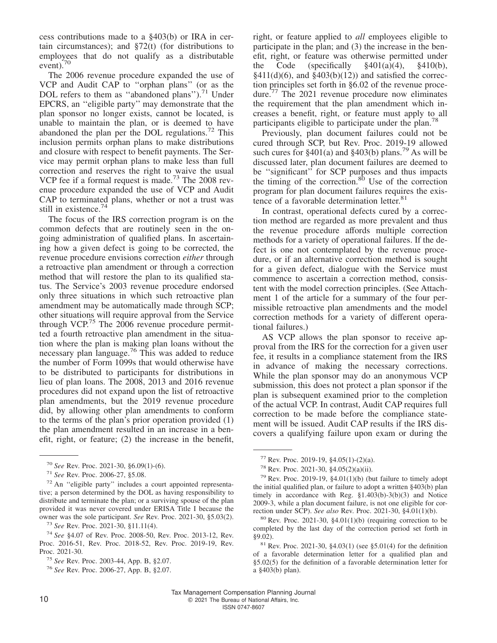cess contributions made to a §403(b) or IRA in certain circumstances); and  $\S72(t)$  (for distributions to employees that do not qualify as a distributable event).<sup>70</sup>

The 2006 revenue procedure expanded the use of VCP and Audit CAP to ''orphan plans'' (or as the DOL refers to them as ''abandoned plans'').<sup>71</sup> Under EPCRS, an ''eligible party'' may demonstrate that the plan sponsor no longer exists, cannot be located, is unable to maintain the plan, or is deemed to have abandoned the plan per the DOL regulations.<sup>72</sup> This inclusion permits orphan plans to make distributions and closure with respect to benefit payments. The Service may permit orphan plans to make less than full correction and reserves the right to waive the usual VCP fee if a formal request is made.<sup>73</sup> The 2008 revenue procedure expanded the use of VCP and Audit CAP to terminated plans, whether or not a trust was still in existence.<sup>74</sup>

The focus of the IRS correction program is on the common defects that are routinely seen in the ongoing administration of qualified plans. In ascertaining how a given defect is going to be corrected, the revenue procedure envisions correction *either* through a retroactive plan amendment or through a correction method that will restore the plan to its qualified status. The Service's 2003 revenue procedure endorsed only three situations in which such retroactive plan amendment may be automatically made through SCP; other situations will require approval from the Service through VCP.<sup>75</sup> The  $2006$  revenue procedure permitted a fourth retroactive plan amendment in the situation where the plan is making plan loans without the necessary plan language.<sup>76</sup> This was added to reduce the number of Form 1099s that would otherwise have to be distributed to participants for distributions in lieu of plan loans. The 2008, 2013 and 2016 revenue procedures did not expand upon the list of retroactive plan amendments, but the 2019 revenue procedure did, by allowing other plan amendments to conform to the terms of the plan's prior operation provided (1) the plan amendment resulted in an increase in a benefit, right, or feature; (2) the increase in the benefit,

<sup>72</sup> An ''eligible party'' includes a court appointed representative; a person determined by the DOL as having responsibility to distribute and terminate the plan; or a surviving spouse of the plan provided it was never covered under ERISA Title I because the owner was the sole participant. *See* Rev. Proc. 2021-30, §5.03(2).

<sup>73</sup> *See* Rev. Proc. 2021-30, §11.11(4).

right, or feature applied to *all* employees eligible to participate in the plan; and (3) the increase in the benefit, right, or feature was otherwise permitted under the Code (specifically  $\frac{6}{9}401(a)(4)$ ,  $\frac{6}{9}410(b)$ ,  $\frac{2411}{d}(6)$ , and  $\frac{2403(b)(12)}{2}$  and satisfied the correction principles set forth in §6.02 of the revenue procedure.<sup>77</sup> The 2021 revenue procedure now eliminates the requirement that the plan amendment which increases a benefit, right, or feature must apply to all participants eligible to participate under the plan.<sup>78</sup>

Previously, plan document failures could not be cured through SCP, but Rev. Proc. 2019-19 allowed such cures for  $\S 401(a)$  and  $\S 403(b)$  plans.<sup>79</sup> As will be discussed later, plan document failures are deemed to be "significant" for SCP purposes and thus impacts the timing of the correction. $80$  Use of the correction program for plan document failures requires the existence of a favorable determination letter.<sup>81</sup>

In contrast, operational defects cured by a correction method are regarded as more prevalent and thus the revenue procedure affords multiple correction methods for a variety of operational failures. If the defect is one not contemplated by the revenue procedure, or if an alternative correction method is sought for a given defect, dialogue with the Service must commence to ascertain a correction method, consistent with the model correction principles. (See Attachment 1 of the article for a summary of the four permissible retroactive plan amendments and the model correction methods for a variety of different operational failures.)

AS VCP allows the plan sponsor to receive approval from the IRS for the correction for a given user fee, it results in a compliance statement from the IRS in advance of making the necessary corrections. While the plan sponsor may do an anonymous VCP submission, this does not protect a plan sponsor if the plan is subsequent examined prior to the completion of the actual VCP. In contrast, Audit CAP requires full correction to be made before the compliance statement will be issued. Audit CAP results if the IRS discovers a qualifying failure upon exam or during the

<sup>70</sup> *See* Rev. Proc. 2021-30, §6.09(1)-(6).

<sup>71</sup> *See* Rev. Proc. 2006-27, §5.08.

<sup>74</sup> *See* §4.07 of Rev. Proc. 2008-50, Rev. Proc. 2013-12, Rev. Proc. 2016-51, Rev. Proc. 2018-52, Rev. Proc. 2019-19, Rev. Proc. 2021-30.

<sup>75</sup> *See* Rev. Proc. 2003-44, App. B, §2.07.

<sup>76</sup> *See* Rev. Proc. 2006-27, App. B, §2.07.

 $77$  Rev. Proc. 2019-19, §4.05(1)-(2)(a).

<sup>78</sup> Rev. Proc. 2021-30, §4.05(2)(a)(ii).

<sup>&</sup>lt;sup>79</sup> Rev. Proc. 2019-19,  $\S 4.01(1)(b)$  (but failure to timely adopt the initial qualified plan, or failure to adopt a written §403(b) plan timely in accordance with Reg. §1.403(b)-3(b)(3) and Notice 2009-3, while a plan document failure, is not one eligible for correction under SCP). *See also* Rev. Proc. 2021-30, §4.01(1)(b).

 $80$  Rev. Proc. 2021-30, §4.01(1)(b) (requiring correction to be completed by the last day of the correction period set forth in §9.02).

<sup>81</sup> Rev. Proc. 2021-30, §4.03(1) (see §5.01(4) for the definition of a favorable determination letter for a qualified plan and §5.02(5) for the definition of a favorable determination letter for a §403(b) plan).

Tax Management Compensation Planning Journal 10 C 2021 The Bureau of National Affairs, Inc.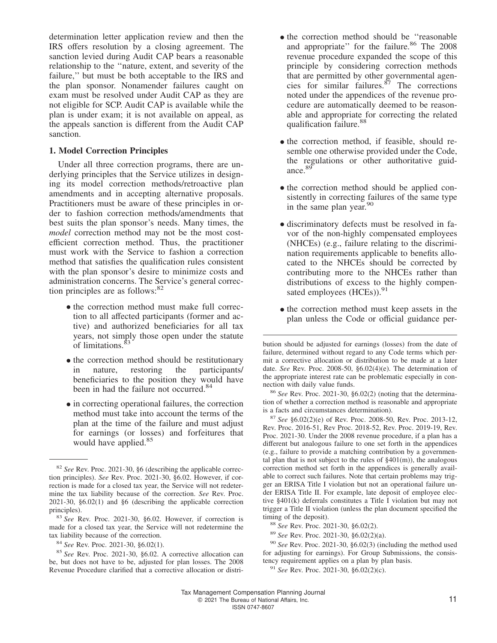determination letter application review and then the IRS offers resolution by a closing agreement. The sanction levied during Audit CAP bears a reasonable relationship to the ''nature, extent, and severity of the failure,'' but must be both acceptable to the IRS and the plan sponsor. Nonamender failures caught on exam must be resolved under Audit CAP as they are not eligible for SCP. Audit CAP is available while the plan is under exam; it is not available on appeal, as the appeals sanction is different from the Audit CAP sanction.

#### **1. Model Correction Principles**

Under all three correction programs, there are underlying principles that the Service utilizes in designing its model correction methods/retroactive plan amendments and in accepting alternative proposals. Practitioners must be aware of these principles in order to fashion correction methods/amendments that best suits the plan sponsor's needs. Many times, the *model* correction method may not be the most costefficient correction method. Thus, the practitioner must work with the Service to fashion a correction method that satisfies the qualification rules consistent with the plan sponsor's desire to minimize costs and administration concerns. The Service's general correction principles are as follows: $82$ 

- the correction method must make full correction to all affected participants (former and active) and authorized beneficiaries for all tax years, not simply those open under the statute of limitations.<sup>83</sup>
- the correction method should be restitutionary in nature, restoring the participants/ beneficiaries to the position they would have been in had the failure not occurred.<sup>84</sup>
- in correcting operational failures, the correction method must take into account the terms of the plan at the time of the failure and must adjust for earnings (or losses) and forfeitures that would have applied.<sup>85</sup>
- the correction method should be "reasonable" and appropriate" for the failure.<sup>86</sup> The 2008 revenue procedure expanded the scope of this principle by considering correction methods that are permitted by other governmental agencies for similar failures. $87$  The corrections noted under the appendices of the revenue procedure are automatically deemed to be reasonable and appropriate for correcting the related qualification failure.<sup>88</sup>
- the correction method, if feasible, should resemble one otherwise provided under the Code, the regulations or other authoritative guidance.<sup>8</sup>
- the correction method should be applied con-<br>electrophy in correction follows of the come turn sistently in correcting failures of the same type in the same plan year.<sup>90</sup>
- discriminatory defects must be resolved in favor of the non-highly compensated employees (NHCEs) (e.g., failure relating to the discrimination requirements applicable to benefits allocated to the NHCEs should be corrected by contributing more to the NHCEs rather than distributions of excess to the highly compensated employees (HCEs)).<sup>91</sup>
- the correction method must keep assets in the plan unless the Code or official guidance per-

<sup>87</sup> *See* §6.02(2)(e) of Rev. Proc. 2008-50, Rev. Proc. 2013-12, Rev. Proc. 2016-51, Rev Proc. 2018-52, Rev. Proc. 2019-19, Rev. Proc. 2021-30. Under the 2008 revenue procedure, if a plan has a different but analogous failure to one set forth in the appendices (e.g., failure to provide a matching contribution by a governmental plan that is not subject to the rules of  $\S401(m)$ , the analogous correction method set forth in the appendices is generally available to correct such failures. Note that certain problems may trigger an ERISA Title I violation but not an operational failure under ERISA Title II. For example, late deposit of employee elective §401(k) deferrals constitutes a Title I violation but may not trigger a Title II violation (unless the plan document specified the timing of the deposit).

<sup>89</sup> *See* Rev. Proc. 2021-30, §6.02(2)(a).

<sup>82</sup> *See* Rev. Proc. 2021-30, §6 (describing the applicable correction principles). *See* Rev. Proc. 2021-30, §6.02. However, if correction is made for a closed tax year, the Service will not redetermine the tax liability because of the correction. *See* Rev. Proc. 2021-30, §6.02(1) and §6 (describing the applicable correction principles).

<sup>83</sup> *See* Rev. Proc. 2021-30, §6.02. However, if correction is made for a closed tax year, the Service will not redetermine the tax liability because of the correction.

<sup>84</sup> *See* Rev. Proc. 2021-30, §6.02(1).

<sup>85</sup> *See* Rev. Proc. 2021-30, §6.02. A corrective allocation can be, but does not have to be, adjusted for plan losses. The 2008 Revenue Procedure clarified that a corrective allocation or distri-

bution should be adjusted for earnings (losses) from the date of failure, determined without regard to any Code terms which permit a corrective allocation or distribution to be made at a later date. *See* Rev. Proc. 2008-50, §6.02(4)(e). The determination of the appropriate interest rate can be problematic especially in connection with daily value funds.

<sup>86</sup> *See* Rev. Proc. 2021-30, §6.02(2) (noting that the determination of whether a correction method is reasonable and appropriate is a facts and circumstances determination).

<sup>88</sup> *See* Rev. Proc. 2021-30, §6.02(2).

<sup>90</sup> *See* Rev. Proc. 2021-30, §6.02(3) (including the method used for adjusting for earnings). For Group Submissions, the consistency requirement applies on a plan by plan basis.

<sup>91</sup> *See* Rev. Proc. 2021-30, §6.02(2)(c).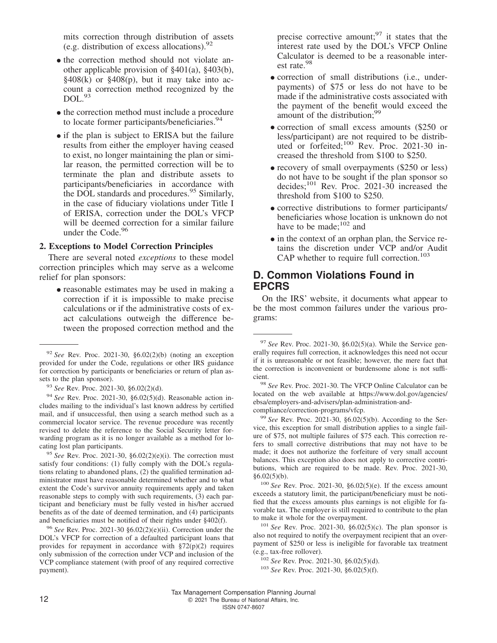mits correction through distribution of assets (e.g. distribution of excess allocations).  $92$ 

- the correction method should not violate another applicable provision of §401(a), §403(b),  $§408(k)$  or  $§408(p)$ , but it may take into account a correction method recognized by the DOL.<sup>93</sup>
- $\bullet$  the correction method must include a procedure to locate former participants/beneficiaries.<sup>94</sup>
- if the plan is subject to ERISA but the failure results from either the employer having ceased to exist, no longer maintaining the plan or similar reason, the permitted correction will be to terminate the plan and distribute assets to participants/beneficiaries in accordance with the DOL standards and procedures.<sup>95</sup> Similarly, in the case of fiduciary violations under Title I of ERISA, correction under the DOL's VFCP will be deemed correction for a similar failure under the Code.<sup>96</sup>

#### **2. Exceptions to Model Correction Principles**

There are several noted *exceptions* to these model correction principles which may serve as a welcome relief for plan sponsors:

• reasonable estimates may be used in making a correction if it is impossible to make precise calculations or if the administrative costs of exact calculations outweigh the difference between the proposed correction method and the

<sup>92</sup> *See* Rev. Proc. 2021-30, §6.02(2)(b) (noting an exception provided for under the Code, regulations or other IRS guidance for correction by participants or beneficiaries or return of plan assets to the plan sponsor).

<sup>94</sup> *See* Rev. Proc. 2021-30, §6.02(5)(d). Reasonable action includes mailing to the individual's last known address by certified mail, and if unsuccessful, then using a search method such as a commercial locator service. The revenue procedure was recently revised to delete the reference to the Social Security letter forwarding program as it is no longer available as a method for locating lost plan participants.

<sup>95</sup> *See* Rev. Proc. 2021-30, §6.02(2)(e)(i). The correction must satisfy four conditions: (1) fully comply with the DOL's regulations relating to abandoned plans, (2) the qualified termination administrator must have reasonable determined whether and to what extent the Code's survivor annuity requirements apply and taken reasonable steps to comply with such requirements, (3) each participant and beneficiary must be fully vested in his/her accrued benefits as of the date of deemed termination, and (4) participants and beneficiaries must be notified of their rights under §402(f).

<sup>96</sup> *See* Rev. Proc. 2021-30 §6.02(2)(e)(ii). Correction under the DOL's VFCP for correction of a defaulted participant loans that provides for repayment in accordance with  $\S 72(p)(2)$  requires only submission of the correction under VCP and inclusion of the VCP compliance statement (with proof of any required corrective payment).

precise corrective amount:  $97$  it states that the interest rate used by the DOL's VFCP Online Calculator is deemed to be a reasonable interest rate.<sup>98</sup>

- correction of small distributions (i.e., under-<br>neumento) of \$75 or loss do not have to be payments) of \$75 or less do not have to be made if the administrative costs associated with the payment of the benefit would exceed the amount of the distribution;<sup>99</sup>
- correction of small excess amounts (\$250 or less/participant) are not required to be distributed or forfeited;<sup>100</sup> Rev. Proc. 2021-30 increased the threshold from \$100 to \$250.
- recovery of small overpayments (\$250 or less) do not have to be sought if the plan sponsor so decides;  $^{101}$  Rev. Proc. 2021-30 increased the threshold from \$100 to \$250.
- corrective distributions to former participants/ beneficiaries whose location is unknown do not have to be made; $102$  and
- in the context of an orphan plan, the Service retains the discretion under VCP and/or Audit CAP whether to require full correction.<sup>103</sup>

#### **D. Common Violations Found in EPCRS**

On the IRS' website, it documents what appear to be the most common failures under the various programs:

<sup>99</sup> *See* Rev. Proc. 2021-30, §6.02(5)(b). According to the Service, this exception for small distribution applies to a single failure of \$75, not multiple failures of \$75 each. This correction refers to small corrective distributions that may not have to be made; it does not authorize the forfeiture of very small account balances. This exception also does not apply to corrective contributions, which are required to be made. Rev. Proc. 2021-30,  $§6.02(5)(b).$ 

<sup>100</sup> *See* Rev. Proc. 2021-30, §6.02(5)(e). If the excess amount exceeds a statutory limit, the participant/beneficiary must be notified that the excess amounts plus earnings is not eligible for favorable tax. The employer is still required to contribute to the plan to make it whole for the overpayment.

<sup>101</sup> *See* Rev. Proc. 2021-30, §6.02(5)(c). The plan sponsor is also not required to notify the overpayment recipient that an overpayment of \$250 or less is ineligible for favorable tax treatment (e.g., tax-free rollover).

<sup>102</sup> *See* Rev. Proc. 2021-30, §6.02(5)(d).

<sup>103</sup> *See* Rev. Proc. 2021-30, §6.02(5)(f).

<sup>93</sup> *See* Rev. Proc. 2021-30, §6.02(2)(d).

<sup>97</sup> *See* Rev. Proc. 2021-30, §6.02(5)(a). While the Service generally requires full correction, it acknowledges this need not occur if it is unreasonable or not feasible; however, the mere fact that the correction is inconvenient or burdensome alone is not sufficient.

<sup>98</sup> *See* Rev. Proc. 2021-30. The VFCP Online Calculator can be located on the web available at [https://www.dol.gov/agencies/](https://www.dol.gov/agencies/ebsa/employers-and-advisers/plan-administration-and-compliance/correction-programs/vfcp) [ebsa/employers-and-advisers/plan-administration-and](https://www.dol.gov/agencies/ebsa/employers-and-advisers/plan-administration-and-compliance/correction-programs/vfcp)[compliance/correction-programs/vfcp.](https://www.dol.gov/agencies/ebsa/employers-and-advisers/plan-administration-and-compliance/correction-programs/vfcp)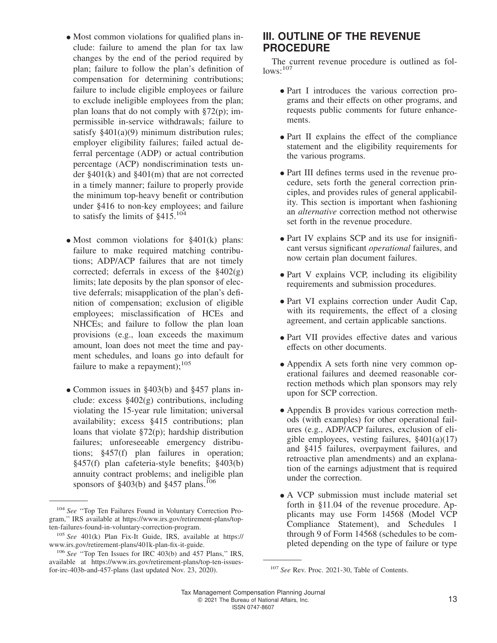- Most common violations for qualified plans include: failure to amend the plan for tax law changes by the end of the period required by plan; failure to follow the plan's definition of compensation for determining contributions; failure to include eligible employees or failure to exclude ineligible employees from the plan; plan loans that do not comply with  $\S72(p)$ ; impermissible in-service withdrawals; failure to satisfy §401(a)(9) minimum distribution rules; employer eligibility failures; failed actual deferral percentage (ADP) or actual contribution percentage (ACP) nondiscrimination tests under §401(k) and §401(m) that are not corrected in a timely manner; failure to properly provide the minimum top-heavy benefit or contribution under §416 to non-key employees; and failure to satisfy the limits of  $§415$ <sup>104</sup>
- Most common violations for §401(k) plans: failure to make required matching contributions; ADP/ACP failures that are not timely corrected; deferrals in excess of the  $§402(g)$ limits; late deposits by the plan sponsor of elective deferrals; misapplication of the plan's definition of compensation; exclusion of eligible employees; misclassification of HCEs and NHCEs; and failure to follow the plan loan provisions (e.g., loan exceeds the maximum amount, loan does not meet the time and payment schedules, and loans go into default for failure to make a repayment);  $^{105}$
- Common issues in §403(b) and §457 plans include: excess §402(g) contributions, including violating the 15-year rule limitation; universal availability; excess §415 contributions; plan loans that violate §72(p); hardship distribution failures; unforeseeable emergency distributions; §457(f) plan failures in operation; §457(f) plan cafeteria-style benefits; §403(b) annuity contract problems; and ineligible plan sponsors of  $§403(b)$  and  $§457$  plans.<sup>106</sup>

# **III. OUTLINE OF THE REVENUE PROCEDURE**

The current revenue procedure is outlined as fol $lows:107$ 

- Part I introduces the various correction programs and their effects on other programs, and requests public comments for future enhancements.
- Part II explains the effect of the compliance statement and the eligibility requirements for the various programs.
- Part III defines terms used in the revenue procedure, sets forth the general correction principles, and provides rules of general applicability. This section is important when fashioning an *alternative* correction method not otherwise set forth in the revenue procedure.
- Part IV explains SCP and its use for insignificant versus significant *operational* failures, and now certain plan document failures.
- Part V explains VCP, including its eligibility requirements and submission procedures.
- Part VI explains correction under Audit Cap, with its requirements, the effect of a closing agreement, and certain applicable sanctions.
- Part VII provides effective dates and various effects on other documents.
- Appendix A sets forth nine very common operational failures and deemed reasonable correction methods which plan sponsors may rely upon for SCP correction.
- Appendix B provides various correction methods (with examples) for other operational failures (e.g., ADP/ACP failures, exclusion of eligible employees, vesting failures,  $§401(a)(17)$ and §415 failures, overpayment failures, and retroactive plan amendments) and an explanation of the earnings adjustment that is required under the correction.
- A VCP submission must include material set forth in §11.04 of the revenue procedure. Applicants may use Form 14568 (Model VCP Compliance Statement), and Schedules 1 through 9 of Form 14568 (schedules to be completed depending on the type of failure or type

<sup>104</sup> *See* ''Top Ten Failures Found in Voluntary Correction Program,'' IRS available at [https://www.irs.gov/retirement-plans/top](https://www.irs.gov/retirement-plans/top-ten-failures-found-in-voluntary-correction-program)[ten-failures-found-in-voluntary-correction-program.](https://www.irs.gov/retirement-plans/top-ten-failures-found-in-voluntary-correction-program)

<sup>105</sup> *See* 401(k) Plan Fix-It Guide, IRS, available at [https://](https://www.irs.gov/retirement-plans/401k-plan-fix-it-guide) [www.irs.gov/retirement-plans/401k-plan-fix-it-guide.](https://www.irs.gov/retirement-plans/401k-plan-fix-it-guide)

<sup>106</sup> *See* ''Top Ten Issues for IRC 403(b) and 457 Plans,'' IRS, available at [https://www.irs.gov/retirement-plans/top-ten-issues](https://www.irs.gov/retirement-plans/top-ten-issues-for-irc-403b-and-457-plans)[for-irc-403b-and-457-plans](https://www.irs.gov/retirement-plans/top-ten-issues-for-irc-403b-and-457-plans) (last updated Nov. 23, 2020). <sup>107</sup> *See* Rev. Proc. 2021-30, Table of Contents.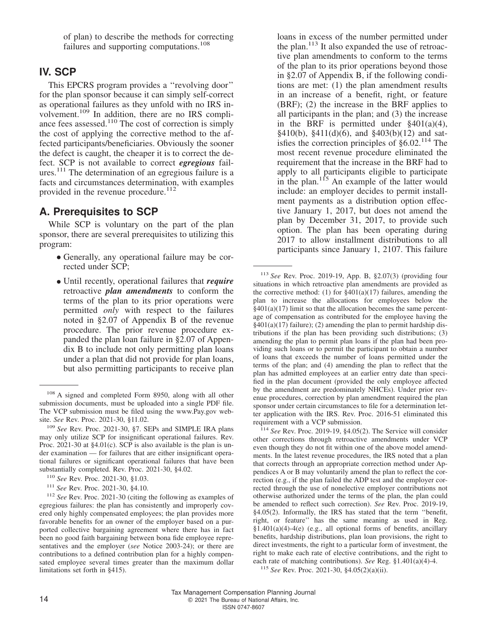of plan) to describe the methods for correcting failures and supporting computations.<sup>108</sup>

## **IV. SCP**

This EPCRS program provides a ''revolving door'' for the plan sponsor because it can simply self-correct as operational failures as they unfold with no IRS involvement.<sup>109</sup> In addition, there are no IRS compliance fees assessed. $110$  The cost of correction is simply the cost of applying the corrective method to the affected participants/beneficiaries. Obviously the sooner the defect is caught, the cheaper it is to correct the defect. SCP is not available to correct *egregious* failures.<sup>111</sup> The determination of an egregious failure is a facts and circumstances determination, with examples provided in the revenue procedure.<sup>112</sup>

#### **A. Prerequisites to SCP**

While SCP is voluntary on the part of the plan sponsor, there are several prerequisites to utilizing this program:

- Generally, any operational failure may be corrected under SCP;
- Until recently, operational failures that *require* retroactive *plan amendments* to conform the terms of the plan to its prior operations were permitted *only* with respect to the failures noted in §2.07 of Appendix B of the revenue procedure. The prior revenue procedure expanded the plan loan failure in §2.07 of Appendix B to include not only permitting plan loans under a plan that did not provide for plan loans, but also permitting participants to receive plan

<sup>111</sup> *See* Rev. Proc. 2021-30, §4.10.

loans in excess of the number permitted under the plan. $113$  It also expanded the use of retroactive plan amendments to conform to the terms of the plan to its prior operations beyond those in §2.07 of Appendix B, if the following conditions are met: (1) the plan amendment results in an increase of a benefit, right, or feature (BRF); (2) the increase in the BRF applies to all participants in the plan; and (3) the increase in the BRF is permitted under  $\S 401(a)(4)$ ,  $§410(b), §411(d)(6), and §403(b)(12)$  and satisfies the correction principles of  $§6.02$ .<sup>114</sup> The most recent revenue procedure eliminated the requirement that the increase in the BRF had to apply to all participants eligible to participate in the plan.<sup>115</sup> An example of the latter would include: an employer decides to permit installment payments as a distribution option effective January 1, 2017, but does not amend the plan by December 31, 2017, to provide such option. The plan has been operating during 2017 to allow installment distributions to all participants since January 1, 2107. This failure

<sup>108</sup> A signed and completed Form 8950, along with all other submission documents, must be uploaded into a single PDF file. The VCP submission must be filed using the<www.Pay.gov> website. *See* Rev. Proc. 2021-30, §11.02.

<sup>109</sup> *See* Rev. Proc. 2021-30, §7. SEPs and SIMPLE IRA plans may only utilize SCP for insignificant operational failures. Rev. Proc. 2021-30 at §4.01(c). SCP is also available is the plan is under examination — for failures that are either insignificant operational failures or significant operational failures that have been substantially completed. Rev. Proc. 2021-30, §4.02.

<sup>110</sup> *See* Rev. Proc. 2021-30, §1.03.

<sup>112</sup> *See* Rev. Proc. 2021-30 (citing the following as examples of egregious failures: the plan has consistently and improperly covered only highly compensated employees; the plan provides more favorable benefits for an owner of the employer based on a purported collective bargaining agreement where there has in fact been no good faith bargaining between bona fide employee representatives and the employer (*see* Notice 2003-24); or there are contributions to a defined contribution plan for a highly compensated employee several times greater than the maximum dollar limitations set forth in §415).

<sup>113</sup> *See* Rev. Proc. 2019-19, App. B, §2.07(3) (providing four situations in which retroactive plan amendments are provided as the corrective method: (1) for  $\frac{2401(a)(17)}{120}$  failures, amending the plan to increase the allocations for employees below the  $§401(a)(17)$  limit so that the allocation becomes the same percentage of compensation as contributed for the employee having the  $§401(a)(17)$  failure); (2) amending the plan to permit hardship distributions if the plan has been providing such distributions; (3) amending the plan to permit plan loans if the plan had been providing such loans or to permit the participant to obtain a number of loans that exceeds the number of loans permitted under the terms of the plan; and (4) amending the plan to reflect that the plan has admitted employees at an earlier entry date than specified in the plan document (provided the only employee affected by the amendment are predominately NHCEs). Under prior revenue procedures, correction by plan amendment required the plan sponsor under certain circumstances to file for a determination letter application with the IRS. Rev. Proc. 2016-51 eliminated this requirement with a VCP submission.

<sup>114</sup> *See* Rev. Proc. 2019-19, §4.05(2). The Service will consider other corrections through retroactive amendments under VCP even though they do not fit within one of the above model amendments. In the latest revenue procedures, the IRS noted that a plan that corrects through an appropriate correction method under Appendices A or B may voluntarily amend the plan to reflect the correction (e.g., if the plan failed the ADP test and the employer corrected through the use of nonelective employer contributions not otherwise authorized under the terms of the plan, the plan could be amended to reflect such correction). *See* Rev. Proc. 2019-19, §4.05(2). Informally, the IRS has stated that the term ''benefit, right, or feature'' has the same meaning as used in Reg.  $$1.401(a)(4)-4(e)$  (e.g., all optional forms of benefits, ancillary benefits, hardship distributions, plan loan provisions, the right to direct investments, the right to a particular form of investment, the right to make each rate of elective contributions, and the right to each rate of matching contributions). *See* Reg. §1.401(a)(4)-4.

<sup>115</sup> *See* Rev. Proc. 2021-30, §4.05(2)(a)(ii).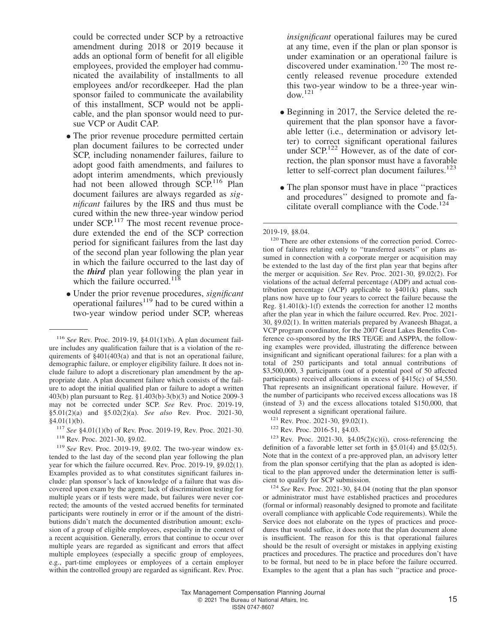could be corrected under SCP by a retroactive amendment during 2018 or 2019 because it adds an optional form of benefit for all eligible employees, provided the employer had communicated the availability of installments to all employees and/or recordkeeper. Had the plan sponsor failed to communicate the availability of this installment, SCP would not be applicable, and the plan sponsor would need to pursue VCP or Audit CAP.

- The prior revenue procedure permitted certain plan document failures to be corrected under SCP, including nonamender failures, failure to adopt good faith amendments, and failures to adopt interim amendments, which previously had not been allowed through SCP.<sup>116</sup> Plan document failures are always regarded as *significant* failures by the IRS and thus must be cured within the new three-year window period under  $SCP<sup>117</sup>$  The most recent revenue procedure extended the end of the SCP correction period for significant failures from the last day of the second plan year following the plan year in which the failure occurred to the last day of the *third* plan year following the plan year in which the failure occurred.<sup>118</sup>
- Under the prior revenue procedures, *significant* operational failures<sup>119</sup> had to be cured within a two-year window period under SCP, whereas

*insignificant* operational failures may be cured at any time, even if the plan or plan sponsor is under examination or an operational failure is discovered under examination.<sup>120</sup> The most recently released revenue procedure extended this two-year window to be a three-year win $d$ ow.<sup>121</sup>

- Beginning in 2017, the Service deleted the requirement that the plan sponsor have a favorable letter (i.e., determination or advisory letter) to correct significant operational failures under  $\text{SCP}^{122}$  However, as of the date of correction, the plan sponsor must have a favorable letter to self-correct plan document failures. $123$
- The plan sponsor must have in place "practices" and procedures'' designed to promote and facilitate overall compliance with the Code.<sup>124</sup>

<sup>120</sup> There are other extensions of the correction period. Correction of failures relating only to ''transferred assets'' or plans assumed in connection with a corporate merger or acquisition may be extended to the last day of the first plan year that begins after the merger or acquisition. *See* Rev. Proc. 2021-30, §9.02(2). For violations of the actual deferral percentage (ADP) and actual contribution percentage (ACP) applicable to §401(k) plans, such plans now have up to four years to correct the failure because the Reg. §1.401(k)-1(f) extends the correction for another 12 months after the plan year in which the failure occurred. Rev. Proc. 2021- 30, §9.02(1). In written materials prepared by Avaneesh Bhagat, a VCP program coordinator, for the 2007 Great Lakes Benefits Conference co-sponsored by the IRS TE/GE and ASPPA, the following examples were provided, illustrating the difference between insignificant and significant operational failures: for a plan with a total of 250 participants and total annual contributions of \$3,500,000, 3 participants (out of a potential pool of 50 affected participants) received allocations in excess of §415(c) of \$4,550. That represents an insignificant operational failure. However, if the number of participants who received excess allocations was 18 (instead of 3) and the excess allocations totaled \$150,000, that would represent a significant operational failure.

<sup>121</sup> Rev. Proc. 2021-30, §9.02(1).

 $123$  Rev. Proc. 2021-30, §4.05(2)(c)(i), cross-referencing the definition of a favorable letter set forth in §5.01(4) and §5.02(5). Note that in the context of a pre-approved plan, an advisory letter from the plan sponsor certifying that the plan as adopted is identical to the plan approved under the determination letter is sufficient to qualify for SCP submission.

<sup>124</sup> *See* Rev. Proc. 2021-30, §4.04 (noting that the plan sponsor or administrator must have established practices and procedures (formal or informal) reasonably designed to promote and facilitate overall compliance with applicable Code requirements). While the Service does not elaborate on the types of practices and procedures that would suffice, it does note that the plan document alone is insufficient. The reason for this is that operational failures should be the result of oversight or mistakes in applying existing practices and procedures. The practice and procedures don't have to be formal, but need to be in place before the failure occurred. Examples to the agent that a plan has such ''practice and proce-

<sup>116</sup> *See* Rev. Proc. 2019-19, §4.01(1)(b). A plan document failure includes any qualification failure that is a violation of the requirements of §401(403(a) and that is not an operational failure, demographic failure, or employer eligibility failure. It does not include failure to adopt a discretionary plan amendment by the appropriate date. A plan document failure which consists of the failure to adopt the initial qualified plan or failure to adopt a written 403(b) plan pursuant to Reg. §1.403(b)-3(b)(3) and Notice 2009-3 may not be corrected under SCP. *See* Rev. Proc. 2019-19, §5.01(2)(a) and §5.02(2)(a). *See also* Rev. Proc. 2021-30,  $§4.01(1)(b).$ 

<sup>117</sup> *See* §4.01(1)(b) of Rev. Proc. 2019-19, Rev. Proc. 2021-30. <sup>118</sup> Rev. Proc. 2021-30, §9.02.

<sup>119</sup> *See* Rev. Proc. 2019-19, §9.02. The two-year window extended to the last day of the second plan year following the plan year for which the failure occurred. Rev. Proc. 2019-19, §9.02(1). Examples provided as to what constitutes significant failures include: plan sponsor's lack of knowledge of a failure that was discovered upon exam by the agent; lack of discrimination testing for multiple years or if tests were made, but failures were never corrected; the amounts of the vested accrued benefits for terminated participants were routinely in error or if the amount of the distributions didn't match the documented distribution amount; exclusion of a group of eligible employees, especially in the context of a recent acquisition. Generally, errors that continue to occur over multiple years are regarded as significant and errors that affect multiple employees (especially a specific group of employees, e.g., part-time employees or employees of a certain employer within the controlled group) are regarded as significant. Rev. Proc.

<sup>2019-19, §8.04.</sup>

<sup>122</sup> Rev. Proc. 2016-51, §4.03.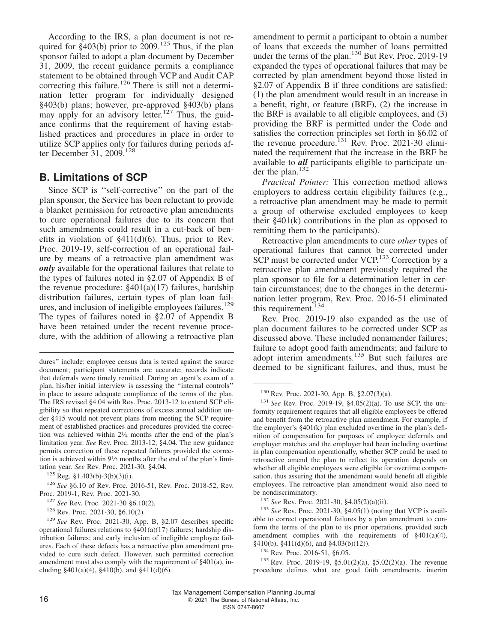According to the IRS, a plan document is not required for  $\S403(b)$  prior to 2009.<sup>125</sup> Thus, if the plan sponsor failed to adopt a plan document by December 31, 2009, the recent guidance permits a compliance statement to be obtained through VCP and Audit CAP correcting this failure.<sup>126</sup> There is still not a determination letter program for individually designed §403(b) plans; however, pre-approved §403(b) plans may apply for an advisory letter.<sup>127</sup> Thus, the guidance confirms that the requirement of having established practices and procedures in place in order to utilize SCP applies only for failures during periods after December 31, 2009.<sup>128</sup>

#### **B. Limitations of SCP**

Since SCP is ''self-corrective'' on the part of the plan sponsor, the Service has been reluctant to provide a blanket permission for retroactive plan amendments to cure operational failures due to its concern that such amendments could result in a cut-back of benefits in violation of §411(d)(6). Thus, prior to Rev. Proc. 2019-19, self-correction of an operational failure by means of a retroactive plan amendment was *only* available for the operational failures that relate to the types of failures noted in §2.07 of Appendix B of the revenue procedure:  $\S 401(a)(17)$  failures, hardship distribution failures, certain types of plan loan failures, and inclusion of ineligible employees failures.<sup>129</sup> The types of failures noted in §2.07 of Appendix B have been retained under the recent revenue procedure, with the addition of allowing a retroactive plan

<sup>126</sup> *See* §6.10 of Rev. Proc. 2016-51, Rev. Proc. 2018-52, Rev. Proc. 2019-1, Rev. Proc. 2021-30.

amendment to permit a participant to obtain a number of loans that exceeds the number of loans permitted under the terms of the plan.<sup>130</sup> But Rev. Proc. 2019-19 expanded the types of operational failures that may be corrected by plan amendment beyond those listed in §2.07 of Appendix B if three conditions are satisfied: (1) the plan amendment would result in an increase in a benefit, right, or feature (BRF), (2) the increase in the BRF is available to all eligible employees, and (3) providing the BRF is permitted under the Code and satisfies the correction principles set forth in §6.02 of the revenue procedure.<sup>131</sup> Rev. Proc. 2021-30 eliminated the requirement that the increase in the BRF be available to *all* participants eligible to participate under the plan. $132$ 

*Practical Pointer:* This correction method allows employers to address certain eligibility failures (e.g., a retroactive plan amendment may be made to permit a group of otherwise excluded employees to keep their  $\S 401(k)$  contributions in the plan as opposed to remitting them to the participants).

Retroactive plan amendments to cure *other* types of operational failures that cannot be corrected under SCP must be corrected under VCP.<sup>133</sup> Correction by a retroactive plan amendment previously required the plan sponsor to file for a determination letter in certain circumstances; due to the changes in the determination letter program, Rev. Proc. 2016-51 eliminated this requirement.<sup>134</sup>

Rev. Proc. 2019-19 also expanded as the use of plan document failures to be corrected under SCP as discussed above. These included nonamender failures; failure to adopt good faith amendments; and failure to adopt interim amendments.<sup>135</sup> But such failures are deemed to be significant failures, and thus, must be

dures'' include: employee census data is tested against the source document; participant statements are accurate; records indicate that deferrals were timely remitted. During an agent's exam of a plan, his/her initial interview is assessing the ''internal controls'' in place to assure adequate compliance of the terms of the plan. The IRS revised §4.04 with Rev. Proc. 2013-12 to extend SCP eligibility so that repeated corrections of excess annual addition under §415 would not prevent plans from meeting the SCP requirement of established practices and procedures provided the correction was achieved within 2<sup>1</sup> ⁄<sup>2</sup> months after the end of the plan's limitation year. *See* Rev. Proc. 2013-12, §4.04. The new guidance permits correction of these repeated failures provided the correction is achieved within 9<sup>1</sup> ⁄<sup>2</sup> months after the end of the plan's limitation year. *See* Rev. Proc. 2021-30, §4.04.

 $125$  Reg. §1.403(b)-3(b)(3)(i).

<sup>127</sup> *See* Rev. Proc. 2021-30 §6.10(2).

<sup>128</sup> Rev. Proc. 2021-30, §6.10(2).

<sup>129</sup> *See* Rev. Proc. 2021-30, App. B, §2.07 describes specific operational failures relations to  $\S401(a)(17)$  failures; hardship distribution failures; and early inclusion of ineligible employee failures. Each of these defects has a retroactive plan amendment provided to cure such defect. However, such permitted correction amendment must also comply with the requirement of §401(a), including  $§401(a)(4)$ ,  $§410(b)$ , and  $§411(d)(6)$ .

<sup>130</sup> Rev. Proc. 2021-30, App. B, §2.07(3)(a).

<sup>131</sup> *See* Rev. Proc. 2019-19, §4.05(2)(a). To use SCP, the uniformity requirement requires that all eligible employees be offered and benefit from the retroactive plan amendment. For example, if the employer's §401(k) plan excluded overtime in the plan's definition of compensation for purposes of employee deferrals and employer matches and the employer had been including overtime in plan compensation operationally, whether SCP could be used to retroactive amend the plan to reflect its operation depends on whether all eligible employees were eligible for overtime compensation, thus assuring that the amendment would benefit all eligible employees. The retroactive plan amendment would also need to be nondiscriminatory.

<sup>132</sup> *See* Rev. Proc. 2021-30, §4.05(2)(a)(ii).

<sup>133</sup> *See* Rev. Proc. 2021-30, §4.05(1) (noting that VCP is available to correct operational failures by a plan amendment to conform the terms of the plan to its prior operations, provided such amendment complies with the requirements of §401(a)(4), §410(b), §411(d)(6), and §4.03(b)(12)).

<sup>134</sup> Rev. Proc. 2016-51, §6.05.

<sup>135</sup> Rev. Proc. 2019-19, §5.01(2)(a), §5.02(2)(a). The revenue procedure defines what are good faith amendments, interim

Tax Management Compensation Planning Journal 16 **COLLET 16** COLLET 1 COLLET 1 COLLET 1 COLLET 1 COLLET 1 COLLET 1 COLLET 1 COLLET 1 COLLET 1 COLLET 1 COLLET 1 COLLET 1 COLLET 1 COLLET 1 COLLET 1 COLLET 1 COLLET 1 COLLET 1 COLLET 1 COLLET 1 COLLET 1 COLLET 1 COLLET 1 ISSN 0747-8607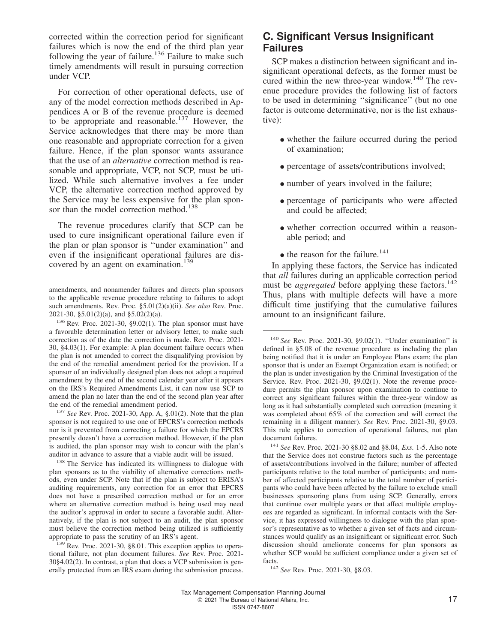corrected within the correction period for significant failures which is now the end of the third plan year following the year of failure.<sup>136</sup> Failure to make such timely amendments will result in pursuing correction under VCP.

For correction of other operational defects, use of any of the model correction methods described in Appendices A or B of the revenue procedure is deemed to be appropriate and reasonable.<sup>137</sup> However, the Service acknowledges that there may be more than one reasonable and appropriate correction for a given failure. Hence, if the plan sponsor wants assurance that the use of an *alternative* correction method is reasonable and appropriate, VCP, not SCP, must be utilized. While such alternative involves a fee under VCP, the alternative correction method approved by the Service may be less expensive for the plan sponsor than the model correction method.<sup>138</sup>

The revenue procedures clarify that SCP can be used to cure insignificant operational failure even if the plan or plan sponsor is ''under examination'' and even if the insignificant operational failures are discovered by an agent on examination.<sup>139</sup>

<sup>136</sup> Rev. Proc. 2021-30, §9.02(1). The plan sponsor must have a favorable determination letter or advisory letter, to make such correction as of the date the correction is made. Rev. Proc. 2021- 30, §4.03(1). For example: A plan document failure occurs when the plan is not amended to correct the disqualifying provision by the end of the remedial amendment period for the provision. If a sponsor of an individually designed plan does not adopt a required amendment by the end of the second calendar year after it appears on the IRS's Required Amendments List, it can now use SCP to amend the plan no later than the end of the second plan year after the end of the remedial amendment period.

<sup>137</sup> *See* Rev. Proc. 2021-30, App. A, §.01(2). Note that the plan sponsor is not required to use one of EPCRS's correction methods nor is it prevented from correcting a failure for which the EPCRS presently doesn't have a correction method. However, if the plan is audited, the plan sponsor may wish to concur with the plan's auditor in advance to assure that a viable audit will be issued.

<sup>138</sup> The Service has indicated its willingness to dialogue with plan sponsors as to the viability of alternative corrections methods, even under SCP. Note that if the plan is subject to ERISA's auditing requirements, any correction for an error that EPCRS does not have a prescribed correction method or for an error where an alternative correction method is being used may need the auditor's approval in order to secure a favorable audit. Alternatively, if the plan is not subject to an audit, the plan sponsor must believe the correction method being utilized is sufficiently appropriate to pass the scrutiny of an IRS's agent.

# **C. Significant Versus Insignificant Failures**

SCP makes a distinction between significant and insignificant operational defects, as the former must be cured within the new three-year window.<sup>140</sup> The revenue procedure provides the following list of factors to be used in determining ''significance'' (but no one factor is outcome determinative, nor is the list exhaustive):

- whether the failure occurred during the period of examination;
- percentage of assets/contributions involved;
- number of years involved in the failure;
- percentage of participants who were affected and could be affected;
- whether correction occurred within a reasonable period; and
- $\bullet$  the reason for the failure.<sup>141</sup>

In applying these factors, the Service has indicated that *all* failures during an applicable correction period must be *aggregated* before applying these factors.<sup>142</sup> Thus, plans with multiple defects will have a more difficult time justifying that the cumulative failures amount to an insignificant failure.

amendments, and nonamender failures and directs plan sponsors to the applicable revenue procedure relating to failures to adopt such amendments. Rev. Proc. §5.01(2)(a)(ii). *See also* Rev. Proc. 2021-30, §5.01(2)(a), and §5.02(2)(a).

<sup>139</sup> Rev. Proc. 2021-30, §8.01. This exception applies to operational failure, not plan document failures. *See* Rev. Proc. 2021- 30§4.02(2). In contrast, a plan that does a VCP submission is generally protected from an IRS exam during the submission process.

<sup>140</sup> *See* Rev. Proc. 2021-30, §9.02(1). ''Under examination'' is defined in §5.08 of the revenue procedure as including the plan being notified that it is under an Employee Plans exam; the plan sponsor that is under an Exempt Organization exam is notified; or the plan is under investigation by the Criminal Investigation of the Service. Rev. Proc. 2021-30, §9.02(1). Note the revenue procedure permits the plan sponsor upon examination to continue to correct any significant failures within the three-year window as long as it had substantially completed such correction (meaning it was completed about 65% of the correction and will correct the remaining in a diligent manner). *See* Rev. Proc. 2021-30, §9.03. This rule applies to correction of operational failures, not plan document failures.

<sup>141</sup> *See* Rev. Proc. 2021-30 §8.02 and §8.04, *Exs.* 1-5. Also note that the Service does not construe factors such as the percentage of assets/contributions involved in the failure; number of affected participants relative to the total number of participants; and number of affected participants relative to the total number of participants who could have been affected by the failure to exclude small businesses sponsoring plans from using SCP. Generally, errors that continue over multiple years or that affect multiple employees are regarded as significant. In informal contacts with the Service, it has expressed willingness to dialogue with the plan sponsor's representative as to whether a given set of facts and circumstances would qualify as an insignificant or significant error. Such discussion should ameliorate concerns for plan sponsors as whether SCP would be sufficient compliance under a given set of facts.

<sup>142</sup> *See* Rev. Proc. 2021-30, §8.03.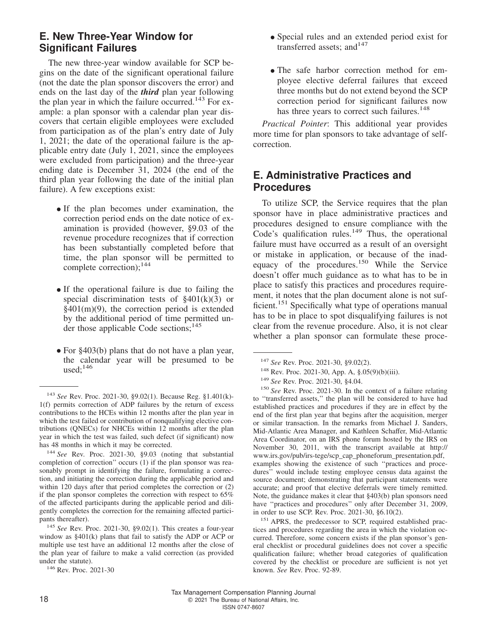# **E. New Three-Year Window for Significant Failures**

The new three-year window available for SCP begins on the date of the significant operational failure (not the date the plan sponsor discovers the error) and ends on the last day of the *third* plan year following the plan year in which the failure occurred.<sup>143</sup> For example: a plan sponsor with a calendar plan year discovers that certain eligible employees were excluded from participation as of the plan's entry date of July 1, 2021; the date of the operational failure is the applicable entry date (July 1, 2021, since the employees were excluded from participation) and the three-year ending date is December 31, 2024 (the end of the third plan year following the date of the initial plan failure). A few exceptions exist:

- If the plan becomes under examination, the correction period ends on the date notice of examination is provided (however, §9.03 of the revenue procedure recognizes that if correction has been substantially completed before that time, the plan sponsor will be permitted to complete correction);<sup>144</sup>
- If the operational failure is due to failing the provided discrimination to the of  $$401(h)(2)$ special discrimination tests of  $\S 401(k)(3)$  or §401(m)(9), the correction period is extended by the additional period of time permitted under those applicable Code sections;<sup>145</sup>
- For §403(b) plans that do not have a plan year, the calendar year will be presumed to be used: $146$
- Special rules and an extended period exist for transferred assets; and<sup>147</sup>
- The safe harbor correction method for employee elective deferral failures that exceed three months but do not extend beyond the SCP correction period for significant failures now has three years to correct such failures.<sup>148</sup>

*Practical Pointer*: This additional year provides more time for plan sponsors to take advantage of selfcorrection.

# **E. Administrative Practices and Procedures**

To utilize SCP, the Service requires that the plan sponsor have in place administrative practices and procedures designed to ensure compliance with the Code's qualification rules.<sup>149</sup> Thus, the operational failure must have occurred as a result of an oversight or mistake in application, or because of the inadequacy of the procedures.<sup>150</sup> While the Service doesn't offer much guidance as to what has to be in place to satisfy this practices and procedures requirement, it notes that the plan document alone is not sufficient.<sup>151</sup> Specifically what type of operations manual has to be in place to spot disqualifying failures is not clear from the revenue procedure. Also, it is not clear whether a plan sponsor can formulate these proce-

<sup>143</sup> *See* Rev. Proc. 2021-30, §9.02(1). Because Reg. §1.401(k)- 1(f) permits correction of ADP failures by the return of excess contributions to the HCEs within 12 months after the plan year in which the test failed or contribution of nonqualifying elective contributions (QNECs) for NHCEs within 12 months after the plan year in which the test was failed, such defect (if significant) now has 48 months in which it may be corrected.

<sup>144</sup> *See* Rev. Proc. 2021-30, §9.03 (noting that substantial completion of correction'' occurs (1) if the plan sponsor was reasonably prompt in identifying the failure, formulating a correction, and initiating the correction during the applicable period and within 120 days after that period completes the correction or (2) if the plan sponsor completes the correction with respect to 65% of the affected participants during the applicable period and diligently completes the correction for the remaining affected participants thereafter).

<sup>145</sup> *See* Rev. Proc. 2021-30, §9.02(1). This creates a four-year window as §401(k) plans that fail to satisfy the ADP or ACP or multiple use test have an additional 12 months after the close of the plan year of failure to make a valid correction (as provided under the statute).

<sup>146</sup> Rev. Proc. 2021-30

<sup>147</sup> *See* Rev. Proc. 2021-30, §9.02(2).

<sup>148</sup> Rev. Proc. 2021-30, App. A, §.05(9)(b)(iii).

<sup>149</sup> *See* Rev. Proc. 2021-30, §4.04.

<sup>150</sup> *See* Rev. Proc. 2021-30. In the context of a failure relating to ''transferred assets,'' the plan will be considered to have had established practices and procedures if they are in effect by the end of the first plan year that begins after the acquisition, merger or similar transaction. In the remarks from Michael J. Sanders, Mid-Atlantic Area Manager, and Kathleen Schaffer, Mid-Atlantic Area Coordinator, on an IRS phone forum hosted by the IRS on November 30, 2011, with the transcript available at [http://](http://www.irs.gov/pub/irs-tege/scp_cap_phoneforum_presentation.pdf) [www.irs.gov/pub/irs-tege/scp\\_cap\\_phoneforum\\_presentation.pdf,](http://www.irs.gov/pub/irs-tege/scp_cap_phoneforum_presentation.pdf) examples showing the existence of such ''practices and procedures'' would include testing employee census data against the source document; demonstrating that participant statements were accurate; and proof that elective deferrals were timely remitted. Note, the guidance makes it clear that §403(b) plan sponsors need have ''practices and procedures'' only after December 31, 2009, in order to use SCP. Rev. Proc. 2021-30, §6.10(2).

<sup>&</sup>lt;sup>151</sup> APRS, the predecessor to SCP, required established practices and procedures regarding the area in which the violation occurred. Therefore, some concern exists if the plan sponsor's general checklist or procedural guidelines does not cover a specific qualification failure; whether broad categories of qualification covered by the checklist or procedure are sufficient is not yet known. *See* Rev. Proc. 92-89.

Tax Management Compensation Planning Journal 18 **COLLEGE 2021** The Bureau of National Affairs, Inc. ISSN 0747-8607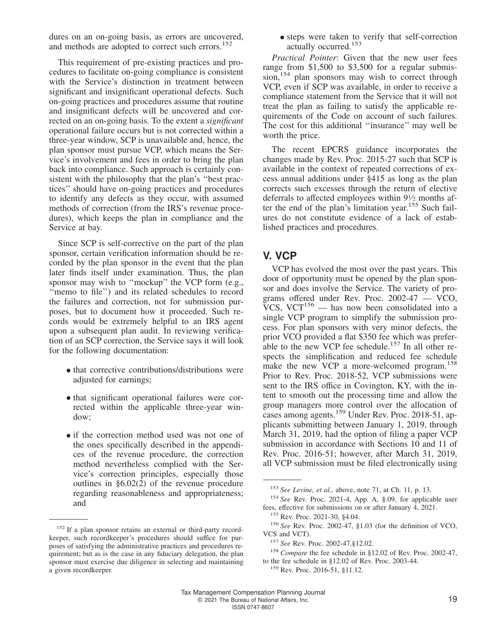dures on an on-going basis, as errors are uncovered, and methods are adopted to correct such errors.<sup>152</sup>

This requirement of pre-existing practices and procedures to facilitate on-going compliance is consistent with the Service's distinction in treatment between significant and insignificant operational defects. Such on-going practices and procedures assume that routine and insignificant defects will be uncovered and corrected on an on-going basis. To the extent a *significant* operational failure occurs but is not corrected within a three-year window, SCP is unavailable and, hence, the plan sponsor must pursue VCP, which means the Service's involvement and fees in order to bring the plan back into compliance. Such approach is certainly consistent with the philosophy that the plan's ''best practices'' should have on-going practices and procedures to identify any defects as they occur, with assumed methods of correction (from the IRS's revenue procedures), which keeps the plan in compliance and the Service at bay.

Since SCP is self-corrective on the part of the plan sponsor, certain verification information should be recorded by the plan sponsor in the event that the plan later finds itself under examination. Thus, the plan sponsor may wish to "mockup" the VCP form (e.g., "memo to file") and its related schedules to record the failures and correction, not for submission purposes, but to document how it proceeded. Such records would be extremely helpful to an IRS agent upon a subsequent plan audit. In reviewing verification of an SCP correction, the Service says it will look for the following documentation:

- that corrective contributions/distributions were adjusted for earnings;
- that significant operational failures were corrected within the applicable three-year window;
- if the correction method used was not one of the ones specifically described in the appendices of the revenue procedure, the correction method nevertheless complied with the Service's correction principles, especially those outlines in §6.02(2) of the revenue procedure regarding reasonableness and appropriateness; and

• steps were taken to verify that self-correction actually occurred.<sup>153</sup>

*Practical Pointer*: Given that the new user fees range from \$1,500 to \$3,500 for a regular submission,<sup>154</sup> plan sponsors may wish to correct through VCP, even if SCP was available, in order to receive a compliance statement from the Service that it will not treat the plan as failing to satisfy the applicable requirements of the Code on account of such failures. The cost for this additional ''insurance'' may well be worth the price.

The recent EPCRS guidance incorporates the changes made by Rev. Proc. 2015-27 such that SCP is available in the context of repeated corrections of excess annual additions under §415 as long as the plan corrects such excesses through the return of elective deferrals to affected employees within 9<sup>1</sup> ⁄<sup>2</sup> months after the end of the plan's limitation year.<sup>155</sup> Such failures do not constitute evidence of a lack of established practices and procedures.

# **V. VCP**

VCP has evolved the most over the past years. This door of opportunity must be opened by the plan sponsor and does involve the Service. The variety of programs offered under Rev. Proc. 2002-47 — VCO, VCS, VCT $^{156}$  — has now been consolidated into a single VCP program to simplify the submission process. For plan sponsors with very minor defects, the prior VCO provided a flat \$350 fee which was preferable to the new VCP fee schedule.<sup>157</sup> In all other respects the simplification and reduced fee schedule make the new VCP a more-welcomed program.<sup>158</sup> Prior to Rev. Proc. 2018-52, VCP submissions were sent to the IRS office in Covington, KY, with the intent to smooth out the processing time and allow the group managers more control over the allocation of cases among agents.<sup>159</sup> Under Rev. Proc. 2018-51, applicants submitting between January 1, 2019, through March 31, 2019, had the option of filing a paper VCP submission in accordance with Sections 10 and 11 of Rev. Proc. 2016-51; however, after March 31, 2019, all VCP submission must be filed electronically using

<sup>159</sup> Rev. Proc. 2016-51, §11.12.

<sup>&</sup>lt;sup>152</sup> If a plan sponsor retains an external or third-party recordkeeper, such recordkeeper's procedures should suffice for purposes of satisfying the administrative practices and procedures requirement; but as is the case in any fiduciary delegation, the plan sponsor must exercise due diligence in selecting and maintaining a given recordkeeper.

<sup>153</sup> *See Levine, et al.,* above, note 71, at Ch. 11, p. 13.

<sup>154</sup> *See* Rev. Proc. 2021-4, App. A, §.09, for applicable user fees, effective for submissions on or after January 4, 2021.

<sup>155</sup> Rev. Proc. 2021-30, §4.04.

<sup>156</sup> *See* Rev. Proc. 2002-47, §1.03 (for the definition of VCO, VCS and VCT).

<sup>157</sup> *See* Rev. Proc. 2002-47,§12.02.

<sup>158</sup> *Compare* the fee schedule in §12.02 of Rev. Proc. 2002-47, to the fee schedule in §12.02 of Rev. Proc. 2003-44.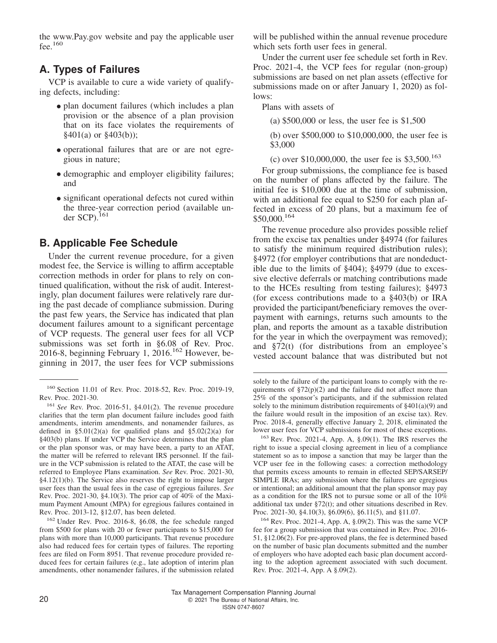the<www.Pay.gov> website and pay the applicable user fee. $160$ 

# **A. Types of Failures**

VCP is available to cure a wide variety of qualifying defects, including:

- plan document failures (which includes a plan provision or the absence of a plan provision that on its face violates the requirements of §401(a) or §403(b));
- operational failures that are or are not egregious in nature;
- demographic and employer eligibility failures; and
- significant operational defects not cured within the three-year correction period (available under SCP). $^{161}$

#### **B. Applicable Fee Schedule**

Under the current revenue procedure, for a given modest fee, the Service is willing to affirm acceptable correction methods in order for plans to rely on continued qualification, without the risk of audit. Interestingly, plan document failures were relatively rare during the past decade of compliance submission. During the past few years, the Service has indicated that plan document failures amount to a significant percentage of VCP requests. The general user fees for all VCP submissions was set forth in §6.08 of Rev. Proc. 2016-8, beginning February 1,  $2016$ <sup>162</sup> However, beginning in 2017, the user fees for VCP submissions

<sup>162</sup> Under Rev. Proc. 2016-8, §6.08, the fee schedule ranged from \$500 for plans with 20 or fewer participants to \$15,000 for plans with more than 10,000 participants. That revenue procedure also had reduced fees for certain types of failures. The reporting fees are filed on Form 8951. That revenue procedure provided reduced fees for certain failures (e.g., late adoption of interim plan amendments, other nonamender failures, if the submission related will be published within the annual revenue procedure which sets forth user fees in general.

Under the current user fee schedule set forth in Rev. Proc. 2021-4, the VCP fees for regular (non-group) submissions are based on net plan assets (effective for submissions made on or after January 1, 2020) as follows:

Plans with assets of

(a) \$500,000 or less, the user fee is \$1,500

(b) over \$500,000 to \$10,000,000, the user fee is \$3,000

(c) over  $$10,000,000$ , the user fee is  $$3,500$ .<sup>163</sup>

For group submissions, the compliance fee is based on the number of plans affected by the failure. The initial fee is \$10,000 due at the time of submission, with an additional fee equal to \$250 for each plan affected in excess of 20 plans, but a maximum fee of \$50,000.<sup>164</sup>

The revenue procedure also provides possible relief from the excise tax penalties under §4974 (for failures to satisfy the minimum required distribution rules); §4972 (for employer contributions that are nondeductible due to the limits of §404); §4979 (due to excessive elective deferrals or matching contributions made to the HCEs resulting from testing failures); §4973 (for excess contributions made to a §403(b) or IRA provided the participant/beneficiary removes the overpayment with earnings, returns such amounts to the plan, and reports the amount as a taxable distribution for the year in which the overpayment was removed); and §72(t) (for distributions from an employee's vested account balance that was distributed but not

<sup>164</sup> Rev. Proc. 2021-4, App. A, §.09(2). This was the same VCP fee for a group submission that was contained in Rev. Proc. 2016- 51, §12.06(2). For pre-approved plans, the fee is determined based on the number of basic plan documents submitted and the number of employers who have adopted each basic plan document according to the adoption agreement associated with such document. Rev. Proc. 2021-4, App. A §.09(2).

<sup>160</sup> Section 11.01 of Rev. Proc. 2018-52, Rev. Proc. 2019-19, Rev. Proc. 2021-30.

<sup>161</sup> *See* Rev. Proc. 2016-51, §4.01(2). The revenue procedure clarifies that the term plan document failure includes good faith amendments, interim amendments, and nonamender failures, as defined in  $$5.01(2)(a)$  for qualified plans and  $$5.02(2)(a)$  for §403(b) plans. If under VCP the Service determines that the plan or the plan sponsor was, or may have been, a party to an ATAT, the matter will be referred to relevant IRS personnel. If the failure in the VCP submission is related to the ATAT, the case will be referred to Employee Plans examination. *See* Rev. Proc. 2021-30, §4.12(1)(b). The Service also reserves the right to impose larger user fees than the usual fees in the case of egregious failures. *See* Rev. Proc. 2021-30, §4.10(3). The prior cap of 40% of the Maximum Payment Amount (MPA) for egregious failures contained in Rev. Proc. 2013-12, §12.07, has been deleted.

solely to the failure of the participant loans to comply with the requirements of  $\S72(p)(2)$  and the failure did not affect more than 25% of the sponsor's participants, and if the submission related solely to the minimum distribution requirements of §401(a)(9) and the failure would result in the imposition of an excise tax). Rev. Proc. 2018-4, generally effective January 2, 2018, eliminated the lower user fees for VCP submissions for most of these exceptions.

<sup>163</sup> Rev. Proc. 2021-4, App. A, §.09(1). The IRS reserves the right to issue a special closing agreement in lieu of a compliance statement so as to impose a sanction that may be larger than the VCP user fee in the following cases: a correction methodology that permits excess amounts to remain in effected SEP/SARSEP/ SIMPLE IRAs; any submission where the failures are egregious or intentional; an additional amount that the plan sponsor may pay as a condition for the IRS not to pursue some or all of the 10% additional tax under §72(t); and other situations described in Rev. Proc. 2021-30, §4.10(3), §6.09(6), §6.11(5), and §11.07.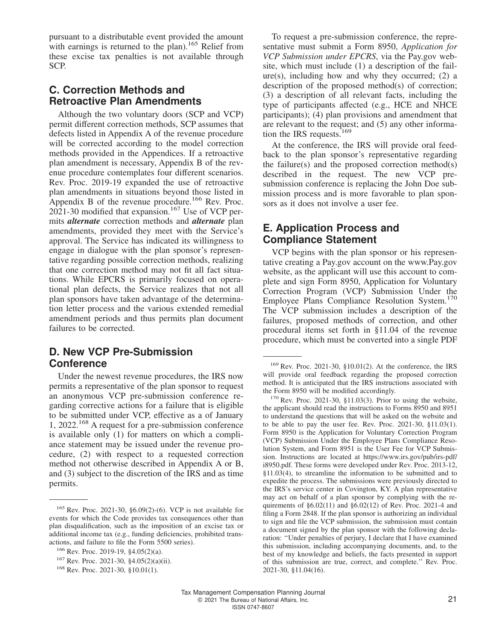pursuant to a distributable event provided the amount with earnings is returned to the plan).<sup>165</sup> Relief from these excise tax penalties is not available through SCP.

# **C. Correction Methods and Retroactive Plan Amendments**

Although the two voluntary doors (SCP and VCP) permit different correction methods, SCP assumes that defects listed in Appendix A of the revenue procedure will be corrected according to the model correction methods provided in the Appendices. If a retroactive plan amendment is necessary, Appendix B of the revenue procedure contemplates four different scenarios. Rev. Proc. 2019-19 expanded the use of retroactive plan amendments in situations beyond those listed in Appendix B of the revenue procedure.<sup>166</sup> Rev. Proc.  $2021$ -30 modified that expansion.<sup>167</sup> Use of VCP permits *alternate* correction methods and *alternate* plan amendments, provided they meet with the Service's approval. The Service has indicated its willingness to engage in dialogue with the plan sponsor's representative regarding possible correction methods, realizing that one correction method may not fit all fact situations. While EPCRS is primarily focused on operational plan defects, the Service realizes that not all plan sponsors have taken advantage of the determination letter process and the various extended remedial amendment periods and thus permits plan document failures to be corrected.

## **D. New VCP Pre-Submission Conference**

Under the newest revenue procedures, the IRS now permits a representative of the plan sponsor to request an anonymous VCP pre-submission conference regarding corrective actions for a failure that is eligible to be submitted under VCP, effective as a of January 1, 2022.<sup>168</sup> A request for a pre-submission conference is available only (1) for matters on which a compliance statement may be issued under the revenue procedure, (2) with respect to a requested correction method not otherwise described in Appendix A or B, and (3) subject to the discretion of the IRS and as time permits.

To request a pre-submission conference, the representative must submit a Form 8950, *Application for VCP Submission under EPCRS*, via the<Pay.gov> website, which must include (1) a description of the fail $ure(s)$ , including how and why they occurred; (2) a description of the proposed method(s) of correction; (3) a description of all relevant facts, including the type of participants affected (e.g., HCE and NHCE participants); (4) plan provisions and amendment that are relevant to the request; and (5) any other information the IRS requests.<sup>169</sup>

At the conference, the IRS will provide oral feedback to the plan sponsor's representative regarding the failure(s) and the proposed correction method(s) described in the request. The new VCP presubmission conference is replacing the John Doe submission process and is more favorable to plan sponsors as it does not involve a user fee.

#### **E. Application Process and Compliance Statement**

VCP begins with the plan sponsor or his representative creating a<Pay.gov> account on the<www.Pay.gov> website, as the applicant will use this account to complete and sign Form 8950, Application for Voluntary Correction Program (VCP) Submission Under the Employee Plans Compliance Resolution System.<sup>170</sup> The VCP submission includes a description of the failures, proposed methods of correction, and other procedural items set forth in §11.04 of the revenue procedure, which must be converted into a single PDF

<sup>165</sup> Rev. Proc. 2021-30, §6.09(2)-(6). VCP is not available for events for which the Code provides tax consequences other than plan disqualification, such as the imposition of an excise tax or additional income tax (e.g., funding deficiencies, prohibited transactions, and failure to file the Form 5500 series).

<sup>166</sup> Rev. Proc. 2019-19, §4.05(2)(a).

<sup>167</sup> Rev. Proc. 2021-30, §4.05(2)(a)(ii).

<sup>168</sup> Rev. Proc. 2021-30, §10.01(1).

<sup>169</sup> Rev. Proc. 2021-30, §10.01(2). At the conference, the IRS will provide oral feedback regarding the proposed correction method. It is anticipated that the IRS instructions associated with the Form 8950 will be modified accordingly.

 $170$  Rev. Proc. 2021-30, §11.03(3). Prior to using the website, the applicant should read the instructions to Forms 8950 and 8951 to understand the questions that will be asked on the website and to be able to pay the user fee. Rev. Proc. 2021-30, §11.03(1). Form 8950 is the Application for Voluntary Correction Program (VCP) Submission Under the Employee Plans Compliance Resolution System, and Form 8951 is the User Fee for VCP Submission. Instructions are located at [https://www.irs.gov/pub/irs-pdf/](https://www.irs.gov/pub/irs-pdf/i8950.pdf) [i8950.pdf.](https://www.irs.gov/pub/irs-pdf/i8950.pdf) These forms were developed under Rev. Proc. 2013-12, §11.03(4), to streamline the information to be submitted and to expedite the process. The submissions were previously directed to the IRS's service center in Covington, KY. A plan representative may act on behalf of a plan sponsor by complying with the requirements of  $\S6.02(11)$  and  $\S6.02(12)$  of Rev. Proc. 2021-4 and filing a Form 2848. If the plan sponsor is authorizing an individual to sign and file the VCP submission, the submission must contain a document signed by the plan sponsor with the following declaration: ''Under penalties of perjury, I declare that I have examined this submission, including accompanying documents, and, to the best of my knowledge and beliefs, the facts presented in support of this submission are true, correct, and complete.'' Rev. Proc. 2021-30, §11.04(16).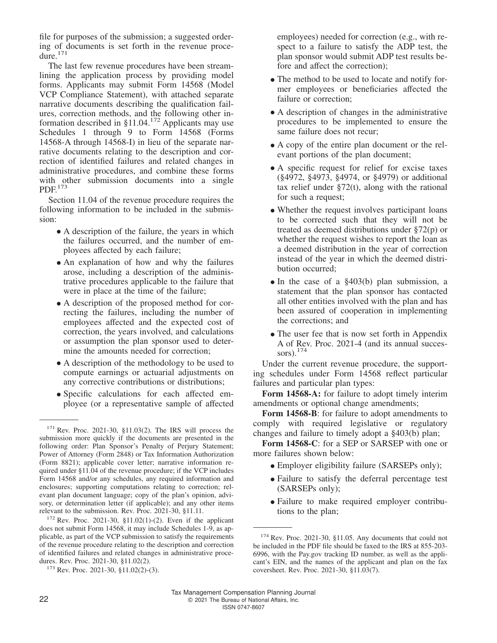file for purposes of the submission; a suggested ordering of documents is set forth in the revenue procedure.<sup>171</sup>

The last few revenue procedures have been streamlining the application process by providing model forms. Applicants may submit Form 14568 (Model VCP Compliance Statement), with attached separate narrative documents describing the qualification failures, correction methods, and the following other information described in  $§11.04$ .<sup>172</sup> Applicants may use Schedules 1 through 9 to Form 14568 (Forms 14568-A through 14568-I) in lieu of the separate narrative documents relating to the description and correction of identified failures and related changes in administrative procedures, and combine these forms with other submission documents into a single PDF.<sup>173</sup>

Section 11.04 of the revenue procedure requires the following information to be included in the submission:

- A description of the failure, the years in which the failures occurred, and the number of employees affected by each failure;
- An explanation of how and why the failures arose, including a description of the administrative procedures applicable to the failure that were in place at the time of the failure;
- A description of the proposed method for correcting the failures, including the number of employees affected and the expected cost of correction, the years involved, and calculations or assumption the plan sponsor used to determine the amounts needed for correction;
- A description of the methodology to be used to compute earnings or actuarial adjustments on any corrective contributions or distributions;
- Specific calculations for each affected employee (or a representative sample of affected

employees) needed for correction (e.g., with respect to a failure to satisfy the ADP test, the plan sponsor would submit ADP test results before and affect the correction);

- The method to be used to locate and notify former employees or beneficiaries affected the failure or correction;
- A description of changes in the administrative procedures to be implemented to ensure the same failure does not recur;
- A copy of the entire plan document or the relevant portions of the plan document;
- A specific request for relief for excise taxes (§4972, §4973, §4974, or §4979) or additional tax relief under  $\S72(t)$ , along with the rational for such a request;
- Whether the request involves participant loans to be corrected such that they will not be treated as deemed distributions under §72(p) or whether the request wishes to report the loan as a deemed distribution in the year of correction instead of the year in which the deemed distribution occurred;
- In the case of a §403(b) plan submission, a statement that the plan sponsor has contacted all other entities involved with the plan and has been assured of cooperation in implementing the corrections; and
- The user fee that is now set forth in Appendix A of Rev. Proc. 2021-4 (and its annual successors). $174$

Under the current revenue procedure, the supporting schedules under Form 14568 reflect particular failures and particular plan types:

**Form 14568-A:** for failure to adopt timely interim amendments or optional change amendments;

**Form 14568-B**: for failure to adopt amendments to comply with required legislative or regulatory changes and failure to timely adopt a §403(b) plan;

**Form 14568-C**: for a SEP or SARSEP with one or more failures shown below:

- Employer eligibility failure (SARSEPs only);
- Failure to satisfy the deferral percentage test (SARSEPs only);
- Failure to make required employer contributions to the plan;

<sup>171</sup> Rev. Proc. 2021-30, §11.03(2). The IRS will process the submission more quickly if the documents are presented in the following order: Plan Sponsor's Penalty of Perjury Statement; Power of Attorney (Form 2848) or Tax Information Authorization (Form 8821); applicable cover letter; narrative information required under §11.04 of the revenue procedure; if the VCP includes Form 14568 and/or any schedules, any required information and enclosures; supporting computations relating to correction; relevant plan document language; copy of the plan's opinion, advisory, or determination letter (if applicable); and any other items relevant to the submission. Rev. Proc. 2021-30, §11.11.

 $172$  Rev. Proc. 2021-30, §11.02(1)-(2). Even if the applicant does not submit Form 14568, it may include Schedules 1-9, as applicable, as part of the VCP submission to satisfy the requirements of the revenue procedure relating to the description and correction of identified failures and related changes in administrative procedures. Rev. Proc. 2021-30, §11.02(2).

 $173$  Rev. Proc. 2021-30, §11.02(2)-(3).

<sup>&</sup>lt;sup>174</sup> Rev. Proc. 2021-30, §11.05. Any documents that could not be included in the PDF file should be faxed to the IRS at 855-203- 6996, with the<Pay.gov> tracking ID number, as well as the applicant's EIN, and the names of the applicant and plan on the fax coversheet. Rev. Proc. 2021-30, §11.03(7).

Tax Management Compensation Planning Journal 22 C 2021 The Bureau of National Affairs, Inc. ISSN 0747-8607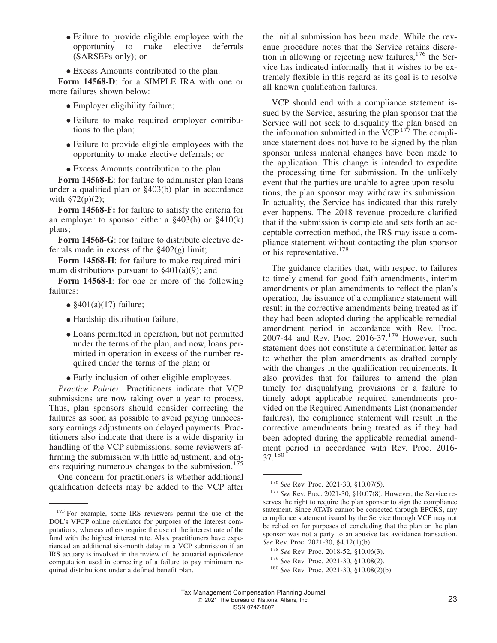- Failure to provide eligible employee with the opportunity to make elective deferrals (SARSEPs only); or
- Excess Amounts contributed to the plan.

**Form 14568-D**: for a SIMPLE IRA with one or more failures shown below:

- Employer eligibility failure;
- Failure to make required employer contributions to the plan;
- Failure to provide eligible employees with the opportunity to make elective deferrals; or
- Excess Amounts contribution to the plan.

**Form 14568-E**: for failure to administer plan loans under a qualified plan or §403(b) plan in accordance with  $\S72(p)(2)$ ;

**Form 14568-F:** for failure to satisfy the criteria for an employer to sponsor either a  $\S 403(b)$  or  $\S 410(k)$ plans;

**Form 14568-G**: for failure to distribute elective deferrals made in excess of the §402(g) limit;

**Form 14568-H**: for failure to make required minimum distributions pursuant to  $\S 401(a)(9)$ ; and

**Form 14568-I**: for one or more of the following failures:

- \$401(a)(17) failure;
- Hardship distribution failure;
- Loans permitted in operation, but not permitted under the terms of the plan, and now, loans permitted in operation in excess of the number required under the terms of the plan; or
- Early inclusion of other eligible employees.

*Practice Pointer:* Practitioners indicate that VCP submissions are now taking over a year to process. Thus, plan sponsors should consider correcting the failures as soon as possible to avoid paying unnecessary earnings adjustments on delayed payments. Practitioners also indicate that there is a wide disparity in handling of the VCP submissions, some reviewers affirming the submission with little adjustment, and others requiring numerous changes to the submission.<sup>175</sup>

One concern for practitioners is whether additional qualification defects may be added to the VCP after

the initial submission has been made. While the revenue procedure notes that the Service retains discretion in allowing or rejecting new failures,  $176$  the Service has indicated informally that it wishes to be extremely flexible in this regard as its goal is to resolve all known qualification failures.

VCP should end with a compliance statement issued by the Service, assuring the plan sponsor that the Service will not seek to disqualify the plan based on the information submitted in the  $VCP$ <sup>177</sup>. The compliance statement does not have to be signed by the plan sponsor unless material changes have been made to the application. This change is intended to expedite the processing time for submission. In the unlikely event that the parties are unable to agree upon resolutions, the plan sponsor may withdraw its submission. In actuality, the Service has indicated that this rarely ever happens. The 2018 revenue procedure clarified that if the submission is complete and sets forth an acceptable correction method, the IRS may issue a compliance statement without contacting the plan sponsor or his representative.<sup>178</sup>

The guidance clarifies that, with respect to failures to timely amend for good faith amendments, interim amendments or plan amendments to reflect the plan's operation, the issuance of a compliance statement will result in the corrective amendments being treated as if they had been adopted during the applicable remedial amendment period in accordance with Rev. Proc. 2007-44 and Rev. Proc. 2016-37.<sup>179</sup> However, such statement does not constitute a determination letter as to whether the plan amendments as drafted comply with the changes in the qualification requirements. It also provides that for failures to amend the plan timely for disqualifying provisions or a failure to timely adopt applicable required amendments provided on the Required Amendments List (nonamender failures), the compliance statement will result in the corrective amendments being treated as if they had been adopted during the applicable remedial amendment period in accordance with Rev. Proc. 2016- 37.<sup>180</sup>

<sup>&</sup>lt;sup>175</sup> For example, some IRS reviewers permit the use of the DOL's VFCP online calculator for purposes of the interest computations, whereas others require the use of the interest rate of the fund with the highest interest rate. Also, practitioners have experienced an additional six-month delay in a VCP submission if an IRS actuary is involved in the review of the actuarial equivalence computation used in correcting of a failure to pay minimum required distributions under a defined benefit plan.

<sup>176</sup> *See* Rev. Proc. 2021-30, §10.07(5).

<sup>177</sup> *See* Rev. Proc. 2021-30, §10.07(8). However, the Service reserves the right to require the plan sponsor to sign the compliance statement. Since ATATs cannot be corrected through EPCRS, any compliance statement issued by the Service through VCP may not be relied on for purposes of concluding that the plan or the plan sponsor was not a party to an abusive tax avoidance transaction. *See* Rev. Proc. 2021-30, §4.12(1)(b).

<sup>178</sup> *See* Rev. Proc. 2018-52, §10.06(3).

<sup>179</sup> *See* Rev. Proc. 2021-30, §10.08(2).

<sup>180</sup> *See* Rev. Proc. 2021-30, §10.08(2)(b).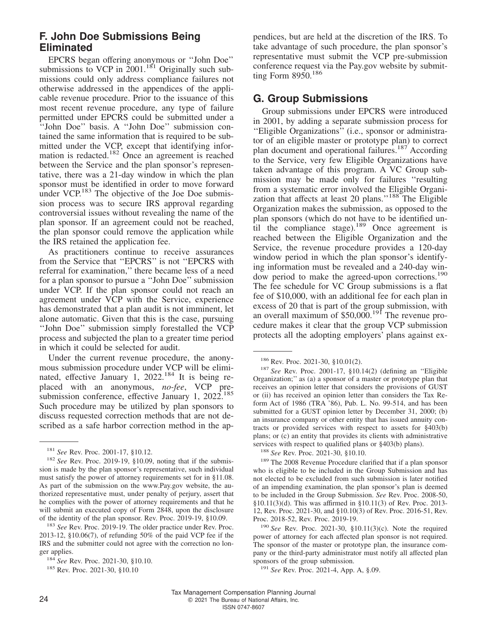# **F. John Doe Submissions Being Eliminated**

EPCRS began offering anonymous or ''John Doe'' submissions to VCP in  $2001$ .<sup>181</sup> Originally such submissions could only address compliance failures not otherwise addressed in the appendices of the applicable revenue procedure. Prior to the issuance of this most recent revenue procedure, any type of failure permitted under EPCRS could be submitted under a ''John Doe'' basis. A ''John Doe'' submission contained the same information that is required to be submitted under the VCP, except that identifying information is redacted.<sup>182</sup> Once an agreement is reached between the Service and the plan sponsor's representative, there was a 21-day window in which the plan sponsor must be identified in order to move forward under VCP.<sup>183</sup> The objective of the Joe Doe submission process was to secure IRS approval regarding controversial issues without revealing the name of the plan sponsor. If an agreement could not be reached, the plan sponsor could remove the application while the IRS retained the application fee.

As practitioners continue to receive assurances from the Service that ''EPCRS'' is not ''EPCRS with referral for examination,'' there became less of a need for a plan sponsor to pursue a ''John Doe'' submission under VCP. If the plan sponsor could not reach an agreement under VCP with the Service, experience has demonstrated that a plan audit is not imminent, let alone automatic. Given that this is the case, pursuing ''John Doe'' submission simply forestalled the VCP process and subjected the plan to a greater time period in which it could be selected for audit.

Under the current revenue procedure, the anonymous submission procedure under VCP will be eliminated, effective January 1, 2022.<sup>184</sup> It is being replaced with an anonymous, *no-fee*, VCP presubmission conference, effective January 1,  $2022^{185}$ Such procedure may be utilized by plan sponsors to discuss requested correction methods that are not described as a safe harbor correction method in the appendices, but are held at the discretion of the IRS. To take advantage of such procedure, the plan sponsor's representative must submit the VCP pre-submission conference request via the<Pay.gov> website by submitting Form 8950.<sup>186</sup>

## **G. Group Submissions**

Group submissions under EPCRS were introduced in 2001, by adding a separate submission process for ''Eligible Organizations'' (i.e., sponsor or administrator of an eligible master or prototype plan) to correct plan document and operational failures.<sup>187</sup> According to the Service, very few Eligible Organizations have taken advantage of this program. A VC Group submission may be made only for failures ''resulting from a systematic error involved the Eligible Organization that affects at least 20 plans."<sup>188</sup> The Eligible Organization makes the submission, as opposed to the plan sponsors (which do not have to be identified until the compliance stage).<sup>189</sup> Once agreement is reached between the Eligible Organization and the Service, the revenue procedure provides a 120-day window period in which the plan sponsor's identifying information must be revealed and a 240-day window period to make the agreed-upon corrections.<sup>190</sup> The fee schedule for VC Group submissions is a flat fee of \$10,000, with an additional fee for each plan in excess of 20 that is part of the group submission, with an overall maximum of  $$50,000$ .<sup>191</sup> The revenue procedure makes it clear that the group VCP submission protects all the adopting employers' plans against ex-

<sup>181</sup> *See* Rev. Proc. 2001-17, §10.12.

<sup>&</sup>lt;sup>182</sup> See Rev. Proc. 2019-19, §10.09, noting that if the submission is made by the plan sponsor's representative, such individual must satisfy the power of attorney requirements set for in §11.08. As part of the submission on the<www.Pay.gov> website, the authorized representative must, under penalty of perjury, assert that he complies with the power of attorney requirements and that he will submit an executed copy of Form 2848, upon the disclosure of the identity of the plan sponsor. Rev. Proc. 2019-19, §10.09.

<sup>183</sup> *See* Rev. Proc. 2019-19. The older practice under Rev. Proc. 2013-12, §10.06(7), of refunding 50% of the paid VCP fee if the IRS and the submitter could not agree with the correction no longer applies.

<sup>184</sup> *See* Rev. Proc. 2021-30, §10.10.

<sup>185</sup> Rev. Proc. 2021-30, §10.10

<sup>186</sup> Rev. Proc. 2021-30, §10.01(2).

<sup>187</sup> *See* Rev. Proc. 2001-17, §10.14(2) (defining an ''Eligible Organization;'' as (a) a sponsor of a master or prototype plan that receives an opinion letter that considers the provisions of GUST or (ii) has received an opinion letter than considers the Tax Reform Act of 1986 (TRA '86), Pub. L. No. 99-514, and has been submitted for a GUST opinion letter by December 31, 2000; (b) an insurance company or other entity that has issued annuity contracts or provided services with respect to assets for §403(b) plans; or (c) an entity that provides its clients with administrative services with respect to qualified plans or §403(b) plans).

<sup>188</sup> *See* Rev. Proc. 2021-30, §10.10.

<sup>&</sup>lt;sup>189</sup> The 2008 Revenue Procedure clarified that if a plan sponsor who is eligible to be included in the Group Submission and has not elected to be excluded from such submission is later notified of an impending examination, the plan sponsor's plan is deemed to be included in the Group Submission. *See* Rev. Proc. 2008-50, §10.11(3)(d). This was affirmed in §10.11(3) of Rev. Proc. 2013- 12, Rev. Proc. 2021-30, and §10.10(3) of Rev. Proc. 2016-51, Rev. Proc. 2018-52, Rev. Proc. 2019-19.

<sup>190</sup> *See* Rev. Proc. 2021-30, §10.11(3)(c). Note the required power of attorney for each affected plan sponsor is not required. The sponsor of the master or prototype plan, the insurance company or the third-party administrator must notify all affected plan sponsors of the group submission.

<sup>191</sup> *See* Rev. Proc. 2021-4, App. A, §.09.

Tax Management Compensation Planning Journal 24 C 2021 The Bureau of National Affairs, Inc. ISSN 0747-8607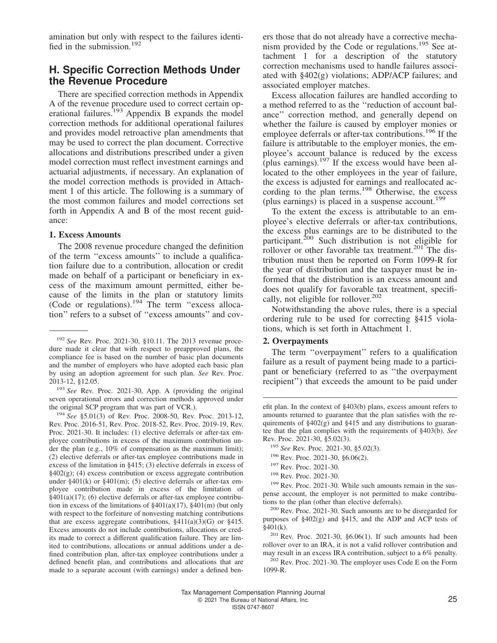amination but only with respect to the failures identified in the submission.<sup>192</sup>

#### **H. Specific Correction Methods Under the Revenue Procedure**

There are specified correction methods in Appendix A of the revenue procedure used to correct certain operational failures.<sup>193</sup> Appendix B expands the model correction methods for additional operational failures and provides model retroactive plan amendments that may be used to correct the plan document. Corrective allocations and distributions prescribed under a given model correction must reflect investment earnings and actuarial adjustments, if necessary. An explanation of the model correction methods is provided in Attachment 1 of this article. The following is a summary of the most common failures and model corrections set forth in Appendix A and B of the most recent guidance:

#### **1. Excess Amounts**

The 2008 revenue procedure changed the definition of the term ''excess amounts'' to include a qualification failure due to a contribution, allocation or credit made on behalf of a participant or beneficiary in excess of the maximum amount permitted, either because of the limits in the plan or statutory limits (Code or regulations). $194$  The term "excess allocation'' refers to a subset of ''excess amounts'' and covers those that do not already have a corrective mechanism provided by the Code or regulations.<sup>195</sup> See attachment 1 for a description of the statutory correction mechanisms used to handle failures associated with §402(g) violations; ADP/ACP failures; and associated employer matches.

Excess allocation failures are handled according to a method referred to as the ''reduction of account balance'' correction method, and generally depend on whether the failure is caused by employer monies or employee deferrals or after-tax contributions.<sup>196</sup> If the failure is attributable to the employer monies, the employee's account balance is reduced by the excess (plus earnings). $197$  If the excess would have been allocated to the other employees in the year of failure, the excess is adjusted for earnings and reallocated according to the plan terms.<sup>198</sup> Otherwise, the excess (plus earnings) is placed in a suspense account.<sup>199</sup>

To the extent the excess is attributable to an employee's elective deferrals or after-tax contributions, the excess plus earnings are to be distributed to the participant.<sup>200</sup> Such distribution is not eligible for rollover or other favorable tax treatment.<sup>201</sup> The distribution must then be reported on Form 1099-R for the year of distribution and the taxpayer must be informed that the distribution is an excess amount and does not qualify for favorable tax treatment, specifically, not eligible for rollover.<sup>202</sup>

Notwithstanding the above rules, there is a special ordering rule to be used for correcting §415 violations, which is set forth in Attachment 1.

#### **2. Overpayments**

The term "overpayment" refers to a qualification failure as a result of payment being made to a participant or beneficiary (referred to as ''the overpayment recipient'') that exceeds the amount to be paid under

- <sup>197</sup> Rev. Proc. 2021-30.
- <sup>198</sup> Rev. Proc. 2021-30.

<sup>192</sup> *See* Rev. Proc. 2021-30, §10.11. The 2013 revenue procedure made it clear that with respect to preapproved plans, the compliance fee is based on the number of basic plan documents and the number of employers who have adopted each basic plan by using an adoption agreement for such plan. *See* Rev. Proc. 2013-12, §12.05.

<sup>193</sup> *See* Rev. Proc. 2021-30, App. A (providing the original seven operational errors and correction methods approved under the original SCP program that was part of VCR.).

<sup>194</sup> *See* §5.01(3) of Rev. Proc. 2008-50, Rev. Proc. 2013-12, Rev. Proc. 2016-51, Rev. Proc. 2018-52, Rev. Proc. 2019-19, Rev. Proc. 2021-30. It includes: (1) elective deferrals or after-tax employee contributions in excess of the maximum contribution under the plan (e.g., 10% of compensation as the maximum limit); (2) elective deferrals or after-tax employee contributions made in excess of the limitation in §415; (3) elective deferrals in excess of  $§402(g);$  (4) excess contribution or excess aggregate contribution under  $\S 401(k)$  or  $\S 401(m)$ ; (5) elective deferrals or after-tax employee contribution made in excess of the limitation of §401(a)(17); (6) elective deferrals or after-tax employee contribution in excess of the limitations of  $\S 401(a)(17)$ ,  $\S 401(m)$  (but only with respect to the forfeiture of nonvesting matching contributions that are excess aggregate contributions,  $\S411(a)(3)(G)$  or  $\S415$ . Excess amounts do not include contributions, allocations or credits made to correct a different qualification failure. They are limited to contributions, allocations or annual additions under a defined contribution plan, after-tax employee contributions under a defined benefit plan, and contributions and allocations that are made to a separate account (with earnings) under a defined ben-

efit plan. In the context of §403(b) plans, excess amount refers to amounts returned to guarantee that the plan satisfies with the requirements of  $\S 402(g)$  and  $\S 415$  and any distributions to guarantee that the plan complies with the requirements of §403(b). *See* Rev. Proc. 2021-30, §5.02(3).

<sup>195</sup> *See* Rev. Proc. 2021-30, §5.02(3).

<sup>196</sup> Rev. Proc. 2021-30, §6.06(2).

<sup>&</sup>lt;sup>199</sup> Rev. Proc. 2021-30. While such amounts remain in the suspense account, the employer is not permitted to make contributions to the plan (other than elective deferrals).

<sup>200</sup> Rev. Proc. 2021-30. Such amounts are to be disregarded for purposes of §402(g) and §415, and the ADP and ACP tests of  $\bar{\S}401(k)$ .

<sup>201</sup> Rev. Proc. 2021-30, §6.06(1). If such amounts had been rollover over to an IRA, it is not a valid rollover contribution and may result in an excess IRA contribution, subject to a 6% penalty.

<sup>202</sup> Rev. Proc. 2021-30. The employer uses Code E on the Form 1099-R.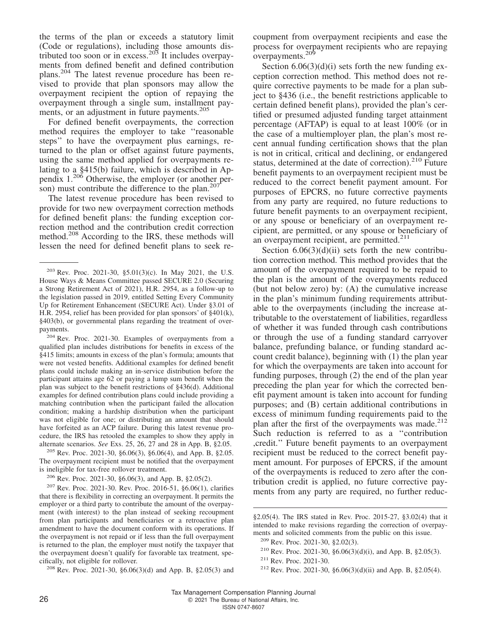the terms of the plan or exceeds a statutory limit (Code or regulations), including those amounts distributed too soon or in excess.<sup>203</sup> It includes overpayments from defined benefit and defined contribution plans.<sup>204</sup> The latest revenue procedure has been revised to provide that plan sponsors may allow the overpayment recipient the option of repaying the overpayment through a single sum, installment payments, or an adjustment in future payments.<sup>205</sup>

For defined benefit overpayments, the correction method requires the employer to take ''reasonable steps'' to have the overpayment plus earnings, returned to the plan or offset against future payments, using the same method applied for overpayments relating to a §415(b) failure, which is described in Appendix 1.<sup>206</sup> Otherwise, the employer (or another person) must contribute the difference to the plan. $20^\circ$ 

The latest revenue procedure has been revised to provide for two new overpayment correction methods for defined benefit plans: the funding exception correction method and the contribution credit correction method.<sup>208</sup> According to the IRS, these methods will lessen the need for defined benefit plans to seek re-

<sup>204</sup> Rev. Proc. 2021-30. Examples of overpayments from a qualified plan includes distributions for benefits in excess of the §415 limits; amounts in excess of the plan's formula; amounts that were not vested benefits. Additional examples for defined benefit plans could include making an in-service distribution before the participant attains age 62 or paying a lump sum benefit when the plan was subject to the benefit restrictions of §436(d). Additional examples for defined contribution plans could include providing a matching contribution when the participant failed the allocation condition; making a hardship distribution when the participant was not eligible for one; or distributing an amount that should have forfeited as an ACP failure. During this latest revenue procedure, the IRS has retooled the examples to show they apply in alternate scenarios. *See* Exs. 25, 26, 27 and 28 in App. B, §2.05.

<sup>205</sup> Rev. Proc. 2021-30, §6.06(3), §6.06(4), and App. B, §2.05. The overpayment recipient must be notified that the overpayment is ineligible for tax-free rollover treatment.

<sup>206</sup> Rev. Proc. 2021-30, §6.06(3), and App. B, §2.05(2).

<sup>207</sup> Rev. Proc. 2021-30. Rev. Proc. 2016-51, §6.06(1), clarifies that there is flexibility in correcting an overpayment. It permits the employer or a third party to contribute the amount of the overpayment (with interest) to the plan instead of seeking recoupment from plan participants and beneficiaries or a retroactive plan amendment to have the document conform with its operations. If the overpayment is not repaid or if less than the full overpayment is returned to the plan, the employer must notify the taxpayer that the overpayment doesn't qualify for favorable tax treatment, specifically, not eligible for rollover.

<sup>208</sup> Rev. Proc. 2021-30, §6.06(3)(d) and App. B, §2.05(3) and

coupment from overpayment recipients and ease the process for overpayment recipients who are repaying overpayments.<sup>209</sup>

Section  $6.06(3)(d)(i)$  sets forth the new funding exception correction method. This method does not require corrective payments to be made for a plan subject to §436 (i.e., the benefit restrictions applicable to certain defined benefit plans), provided the plan's certified or presumed adjusted funding target attainment percentage (AFTAP) is equal to at least 100% (or in the case of a multiemployer plan, the plan's most recent annual funding certification shows that the plan is not in critical, critical and declining, or endangered status, determined at the date of correction). $2^{10}$  Future benefit payments to an overpayment recipient must be reduced to the correct benefit payment amount. For purposes of EPCRS, no future corrective payments from any party are required, no future reductions to future benefit payments to an overpayment recipient, or any spouse or beneficiary of an overpayment recipient, are permitted, or any spouse or beneficiary of an overpayment recipient, are permitted.<sup>211</sup>

Section  $6.06(3)(d)(ii)$  sets forth the new contribution correction method. This method provides that the amount of the overpayment required to be repaid to the plan is the amount of the overpayments reduced (but not below zero) by: (A) the cumulative increase in the plan's minimum funding requirements attributable to the overpayments (including the increase attributable to the overstatement of liabilities, regardless of whether it was funded through cash contributions or through the use of a funding standard carryover balance, prefunding balance, or funding standard account credit balance), beginning with (1) the plan year for which the overpayments are taken into account for funding purposes, through (2) the end of the plan year preceding the plan year for which the corrected benefit payment amount is taken into account for funding purposes; and (B) certain additional contributions in excess of minimum funding requirements paid to the plan after the first of the overpayments was made.<sup>212</sup> Such reduction is referred to as a ''contribution ,credit.'' Future benefit payments to an overpayment recipient must be reduced to the correct benefit payment amount. For purposes of EPCRS, if the amount of the overpayments is reduced to zero after the contribution credit is applied, no future corrective payments from any party are required, no further reduc-

<sup>203</sup> Rev. Proc. 2021-30, §5.01(3)(c). In May 2021, the U.S. House Ways & Means Committee passed SECURE 2.0 (Securing a Strong Retirement Act of 2021), H.R. 2954, as a follow-up to the legislation passed in 2019, entitled Setting Every Community Up for Retirement Enhancement (SECURE Act). Under §3.01 of H.R. 2954, relief has been provided for plan sponsors' of §401(k), §403(b), or governmental plans regarding the treatment of overpayments.

<sup>§2.05(4).</sup> The IRS stated in Rev. Proc. 2015-27, §3.02(4) that it intended to make revisions regarding the correction of overpayments and solicited comments from the public on this issue.

<sup>209</sup> Rev. Proc. 2021-30, §2.02(3).

<sup>&</sup>lt;sup>210</sup> Rev. Proc. 2021-30, §6.06(3)(d)(i), and App. B, §2.05(3).

<sup>211</sup> Rev. Proc. 2021-30.

<sup>212</sup> Rev. Proc. 2021-30, §6.06(3)(d)(ii) and App. B, §2.05(4).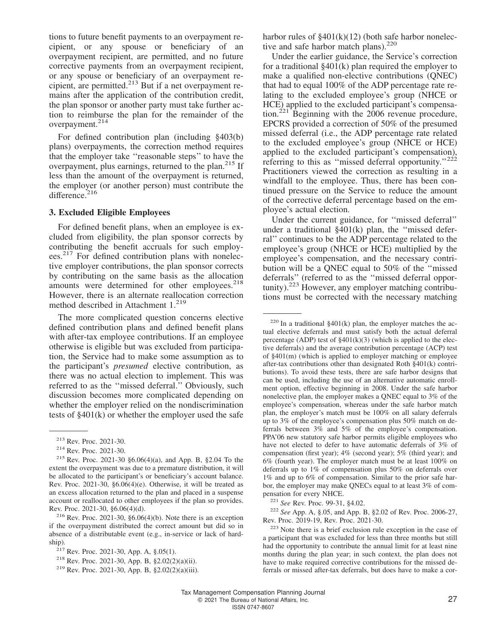tions to future benefit payments to an overpayment recipient, or any spouse or beneficiary of an overpayment recipient, are permitted, and no future corrective payments from an overpayment recipient, or any spouse or beneficiary of an overpayment recipient, are permitted. $2^{13}$  But if a net overpayment remains after the application of the contribution credit, the plan sponsor or another party must take further action to reimburse the plan for the remainder of the overpayment.<sup>214</sup>

For defined contribution plan (including §403(b) plans) overpayments, the correction method requires that the employer take ''reasonable steps'' to have the overpayment, plus earnings, returned to the plan. $^{215}$  If less than the amount of the overpayment is returned, the employer (or another person) must contribute the difference. $216$ 

#### **3. Excluded Eligible Employees**

For defined benefit plans, when an employee is excluded from eligibility, the plan sponsor corrects by contributing the benefit accruals for such employees.<sup>217</sup> For defined contribution plans with nonelective employer contributions, the plan sponsor corrects by contributing on the same basis as the allocation amounts were determined for other employees.<sup>218</sup> However, there is an alternate reallocation correction method described in Attachment 1.<sup>219</sup>

The more complicated question concerns elective defined contribution plans and defined benefit plans with after-tax employee contributions. If an employee otherwise is eligible but was excluded from participation, the Service had to make some assumption as to the participant's *presumed* elective contribution, as there was no actual election to implement. This was referred to as the ''missed deferral.'' Obviously, such discussion becomes more complicated depending on whether the employer relied on the nondiscrimination tests of §401(k) or whether the employer used the safe

harbor rules of §401(k)(12) (both safe harbor nonelective and safe harbor match plans). $220$ 

Under the earlier guidance, the Service's correction for a traditional  $§401(k)$  plan required the employer to make a qualified non-elective contributions (QNEC) that had to equal 100% of the ADP percentage rate relating to the excluded employee's group (NHCE or HCE) applied to the excluded participant's compensation.<sup>221</sup> Beginning with the 2006 revenue procedure, EPCRS provided a correction of 50% of the presumed missed deferral (i.e., the ADP percentage rate related to the excluded employee's group (NHCE or HCE) applied to the excluded participant's compensation), referring to this as "missed deferral opportunity."<sup>222</sup> Practitioners viewed the correction as resulting in a windfall to the employee. Thus, there has been continued pressure on the Service to reduce the amount of the corrective deferral percentage based on the employee's actual election.

Under the current guidance, for ''missed deferral'' under a traditional  $§401(k)$  plan, the "missed deferral'' continues to be the ADP percentage related to the employee's group (NHCE or HCE) multiplied by the employee's compensation, and the necessary contribution will be a QNEC equal to 50% of the ''missed deferrals'' (referred to as the ''missed deferral opportunity).<sup>223</sup> However, any employer matching contributions must be corrected with the necessary matching

<sup>221</sup> *See* Rev. Proc. 99-31, §4.02.

<sup>222</sup> *See* App. A, §.05, and App. B, §2.02 of Rev. Proc. 2006-27, Rev. Proc. 2019-19, Rev. Proc. 2021-30.

 $223$  Note there is a brief exclusion rule exception in the case of a participant that was excluded for less than three months but still had the opportunity to contribute the annual limit for at least nine months during the plan year; in such context, the plan does not have to make required corrective contributions for the missed deferrals or missed after-tax deferrals, but does have to make a cor-

<sup>213</sup> Rev. Proc. 2021-30.

<sup>214</sup> Rev. Proc. 2021-30.

<sup>215</sup> Rev. Proc. 2021-30 §6.06(4)(a), and App. B, §2.04 To the extent the overpayment was due to a premature distribution, it will be allocated to the participant's or beneficiary's account balance. Rev. Proc. 2021-30,  $\S6.06(4)$ (e). Otherwise, it will be treated as an excess allocation returned to the plan and placed in a suspense account or reallocated to other employees if the plan so provides. Rev. Proc. 2021-30, §6.06(4)(d).

<sup>&</sup>lt;sup>216</sup> Rev. Proc. 2021-30,  $\S6.06(4)(b)$ . Note there is an exception if the overpayment distributed the correct amount but did so in absence of a distributable event (e.g., in-service or lack of hardship).

<sup>217</sup> Rev. Proc. 2021-30, App. A, §.05(1).

<sup>218</sup> Rev. Proc. 2021-30, App. B, §2.02(2)(a)(ii).

<sup>219</sup> Rev. Proc. 2021-30, App. B, §2.02(2)(a)(iii).

 $220$  In a traditional §401(k) plan, the employer matches the actual elective deferrals and must satisfy both the actual deferral percentage (ADP) test of  $\S 401(k)(3)$  (which is applied to the elective deferrals) and the average contribution percentage (ACP) test of §401(m) (which is applied to employer matching or employee after-tax contributions other than designated Roth §401(k) contributions). To avoid these tests, there are safe harbor designs that can be used, including the use of an alternative automatic enrollment option, effective beginning in 2008. Under the safe harbor nonelective plan, the employer makes a QNEC equal to 3% of the employee's compensation, whereas under the safe harbor match plan, the employer's match must be 100% on all salary deferrals up to 3% of the employee's compensation plus 50% match on deferrals between 3% and 5% of the employee's compensation. PPA'06 new statutory safe harbor permits eligible employees who have not elected to defer to have automatic deferrals of 3% of compensation (first year); 4% (second year); 5% (third year); and 6% (fourth year). The employer match must be at least 100% on deferrals up to 1% of compensation plus 50% on deferrals over 1% and up to 6% of compensation. Similar to the prior safe harbor, the employer may make QNECs equal to at least 3% of compensation for every NHCE.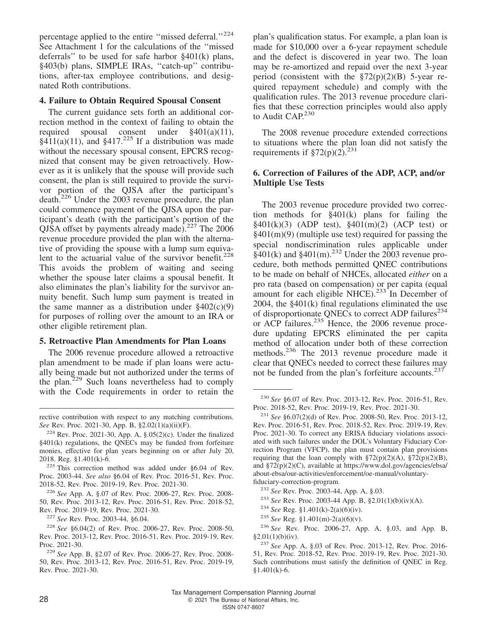percentage applied to the entire ''missed deferral.''<sup>224</sup> See Attachment 1 for the calculations of the ''missed deferrals'' to be used for safe harbor §401(k) plans, §403(b) plans, SIMPLE IRAs, "catch-up" contributions, after-tax employee contributions, and designated Roth contributions.

#### **4. Failure to Obtain Required Spousal Consent**

The current guidance sets forth an additional correction method in the context of failing to obtain the required spousal consent under §401(a)(11),  $\frac{$411(a)(11)}{4}$ , and  $\frac{$417^{225} \text{ If a distribution was made}}{4}$ without the necessary spousal consent, EPCRS recognized that consent may be given retroactively. However as it is unlikely that the spouse will provide such consent, the plan is still required to provide the survivor portion of the QJSA after the participant's death.<sup>226</sup> Under the 2003 revenue procedure, the plan could commence payment of the QJSA upon the participant's death (with the participant's portion of the QJSA offset by payments already made).<sup>227</sup> The 2006 revenue procedure provided the plan with the alternative of providing the spouse with a lump sum equivalent to the actuarial value of the survivor benefit.<sup>228</sup> This avoids the problem of waiting and seeing whether the spouse later claims a spousal benefit. It also eliminates the plan's liability for the survivor annuity benefit. Such lump sum payment is treated in the same manner as a distribution under  $§402(c)(9)$ for purposes of rolling over the amount to an IRA or other eligible retirement plan.

#### **5. Retroactive Plan Amendments for Plan Loans**

The 2006 revenue procedure allowed a retroactive plan amendment to be made if plan loans were actually being made but not authorized under the terms of the plan.<sup>229</sup> Such loans nevertheless had to comply with the Code requirements in order to retain the

rective contribution with respect to any matching contributions. *See* Rev. Proc. 2021-30, App. B, §2.02(1)(a)(ii)(F).

<sup>225</sup> This correction method was added under §6.04 of Rev. Proc. 2003-44. *See also* §6.04 of Rev. Proc. 2016-51, Rev. Proc. 2018-52, Rev. Proc. 2019-19, Rev. Proc. 2021-30.

<sup>226</sup> *See* App. A, §.07 of Rev. Proc. 2006-27, Rev. Proc. 2008- 50, Rev. Proc. 2013-12, Rev. Proc. 2016-51, Rev. Proc. 2018-52, Rev. Proc. 2019-19, Rev. Proc. 2021-30.

<sup>227</sup> *See* Rev. Proc. 2003-44, §6.04.

<sup>228</sup> *See* §6.04(2) of Rev. Proc. 2006-27, Rev. Proc. 2008-50, Rev. Proc. 2013-12, Rev. Proc. 2016-51, Rev. Proc. 2019-19, Rev. Proc. 2021-30.

plan's qualification status. For example, a plan loan is made for \$10,000 over a 6-year repayment schedule and the defect is discovered in year two. The loan may be re-amortized and repaid over the next 3-year period (consistent with the  $\S72(p)(2)(B)$  5-year required repayment schedule) and comply with the qualification rules. The 2013 revenue procedure clarifies that these correction principles would also apply to Audit CAP.<sup>230</sup>

The 2008 revenue procedure extended corrections to situations where the plan loan did not satisfy the requirements if  $\S72(p)(2)$ .<sup>231</sup>

#### **6. Correction of Failures of the ADP, ACP, and/or Multiple Use Tests**

The 2003 revenue procedure provided two correction methods for §401(k) plans for failing the  $§401(k)(3)$  (ADP test),  $§401(m)(2)$  (ACP test) or  $§401(m)(9)$  (multiple use test) required for passing the special nondiscrimination rules applicable under  $§401(k)$  and  $§401(m).^{232}$  Under the 2003 revenue procedure, both methods permitted QNEC contributions to be made on behalf of NHCEs, allocated *either* on a pro rata (based on compensation) or per capita (equal amount for each eligible NHCE).<sup>233</sup> In December of 2004, the §401(k) final regulations eliminated the use of disproportionate QNECs to correct ADP failures<sup> $234$ </sup> or ACP failures.<sup>235</sup> Hence, the 2006 revenue procedure updating EPCRS eliminated the per capita method of allocation under both of these correction methods.<sup>236</sup> The 2013 revenue procedure made it clear that QNECs needed to correct these failures may not be funded from the plan's forfeiture accounts. $237$ 

- <sup>234</sup> *See* Reg. §1.401(k)-2(a)(6)(iv).
- <sup>235</sup> *See* Reg. §1.401(m)-2(a)(6)(v).

<sup>236</sup> *See* Rev. Proc. 2006-27, App. A, §.03, and App. B,  $§2.01(1)(b)(iv).$ 

 $224$  Rev. Proc. 2021-30, App. A,  $\S.05(2)(c)$ . Under the finalized §401(k) regulations, the QNECs may be funded from forfeiture monies, effective for plan years beginning on or after July 20, 2018. Reg. §1.401(k)-6.

<sup>229</sup> *See* App. B, §2.07 of Rev. Proc. 2006-27, Rev. Proc. 2008- 50, Rev. Proc. 2013-12, Rev. Proc. 2016-51, Rev. Proc. 2019-19, Rev. Proc. 2021-30.

<sup>230</sup> *See* §6.07 of Rev. Proc. 2013-12, Rev. Proc. 2016-51, Rev. Proc. 2018-52, Rev. Proc. 2019-19, Rev. Proc. 2021-30.

<sup>231</sup> *See* §6.07(2)(d) of Rev. Proc. 2008-50, Rev. Proc. 2013-12, Rev. Proc. 2016-51, Rev. Proc. 2018-52, Rev. Proc. 2019-19, Rev. Proc. 2021-30. To correct any ERISA fiduciary violations associated with such failures under the DOL's Voluntary Fiduciary Correction Program (VFCP), the plan must contain plan provisions requiring that the loan comply with  $\S72(p)(2)(A)$ ,  $\S72(p)(2)(B)$ , and §72(p)(2)(C), available at [https://www.dol.gov/agencies/ebsa/](https://www.dol.gov/agencies/ebsa/about-ebsa/our-activities/enforcement/oe-manual/voluntary-fiduciary-correction-program) [about-ebsa/our-activities/enforcement/oe-manual/voluntary](https://www.dol.gov/agencies/ebsa/about-ebsa/our-activities/enforcement/oe-manual/voluntary-fiduciary-correction-program)[fiduciary-correction-program.](https://www.dol.gov/agencies/ebsa/about-ebsa/our-activities/enforcement/oe-manual/voluntary-fiduciary-correction-program)

<sup>232</sup> *See* Rev. Proc. 2003-44, App. A, §.03.

<sup>233</sup> *See* Rev. Proc. 2003-44 App. B, §2.01(1)(b)(iv)(A).

<sup>237</sup> *See* App. A, §.03 of Rev. Proc. 2013-12, Rev. Proc. 2016- 51, Rev. Proc. 2018-52, Rev. Proc. 2019-19, Rev. Proc. 2021-30. Such contributions must satisfy the definition of QNEC in Reg. §1.401(k)-6.

Tax Management Compensation Planning Journal 28 **28** C 2021 The Bureau of National Affairs, Inc. ISSN 0747-8607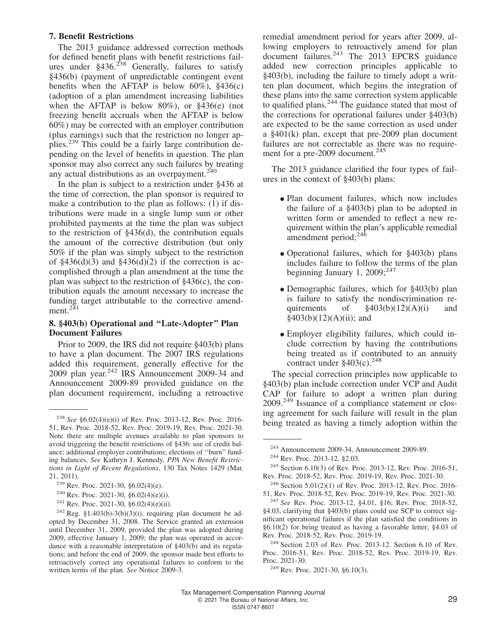#### **7. Benefit Restrictions**

The 2013 guidance addressed correction methods for defined benefit plans with benefit restrictions failures under  $§436<sup>238</sup>$  Generally, failures to satisfy §436(b) (payment of unpredictable contingent event benefits when the AFTAP is below  $60\%$ ),  $§436(c)$ (adoption of a plan amendment increasing liabilities when the AFTAP is below 80%), or §436(e) (not freezing benefit accruals when the AFTAP is below 60%) may be corrected with an employer contribution (plus earnings) such that the restriction no longer applies.<sup>239</sup> This could be a fairly large contribution depending on the level of benefits in question. The plan sponsor may also correct any such failures by treating any actual distributions as an overpayment. $240$ 

In the plan is subject to a restriction under §436 at the time of correction, the plan sponsor is required to make a contribution to the plan as follows: (1) if distributions were made in a single lump sum or other prohibited payments at the time the plan was subject to the restriction of §436(d), the contribution equals the amount of the corrective distribution (but only 50% if the plan was simply subject to the restriction of  $$436(d)(3)$  and  $$436(d)(2)$  if the correction is accomplished through a plan amendment at the time the plan was subject to the restriction of §436(c), the contribution equals the amount necessary to increase the funding target attributable to the corrective amendment. $^{241}$ 

#### **8. §403(b) Operational and ''Late-Adopter'' Plan Document Failures**

Prior to 2009, the IRS did not require §403(b) plans to have a plan document. The 2007 IRS regulations added this requirement, generally effective for the 2009 plan year. $242$  IRS Announcement 2009-34 and Announcement 2009-89 provided guidance on the plan document requirement, including a retroactive

remedial amendment period for years after 2009, allowing employers to retroactively amend for plan document failures.<sup>243</sup> The 2013 EPCRS guidance added new correction principles applicable to §403(b), including the failure to timely adopt a written plan document, which begins the integration of these plans into the same correction system applicable to qualified plans.<sup>244</sup> The guidance stated that most of the corrections for operational failures under §403(b) are expected to be the same correction as used under a §401(k) plan, except that pre-2009 plan document failures are not correctable as there was no requirement for a pre-2009 document.<sup>245</sup>

The 2013 guidance clarified the four types of failures in the context of §403(b) plans:

- Plan document failures, which now includes the failure of a §403(b) plan to be adopted in written form or amended to reflect a new requirement within the plan's applicable remedial amendment period; $^{246}$
- Operational failures, which for §403(b) plans includes failure to follow the terms of the plan beginning January 1, 2009; $^{247}$
- Demographic failures, which for §403(b) plan is failure to satisfy the nondiscrimination requirements of  $\frac{\$403(b)(12)(A)(i)}{i}$  and  $§403(b)(12)(A)(ii);$  and
- Employer eligibility failures, which could include correction by having the contributions being treated as if contributed to an annuity contract under  $§403(c).^{248}$

The special correction principles now applicable to §403(b) plan include correction under VCP and Audit CAP for failure to adopt a written plan during  $2009<sup>249</sup>$  Issuance of a compliance statement or closing agreement for such failure will result in the plan being treated as having a timely adoption within the

<sup>238</sup> *See* §6.02(4)(e)(i) of Rev. Proc. 2013-12, Rev. Proc. 2016- 51, Rev. Proc. 2018-52, Rev. Proc. 2019-19, Rev. Proc. 2021-30. Note there are multiple avenues available to plan sponsors to avoid triggering the benefit restrictions of §436: use of credit balance; additional employer contributions; elections of ''burn'' funding balances. *See* Kathryn J. Kennedy, *PPA New Benefit Restrictions in Light of Recent Regulations*, 130 Tax Notes 1429 (Mar. 21, 2011).

<sup>239</sup> Rev. Proc. 2021-30, §6.02(4)(e).

<sup>&</sup>lt;sup>240</sup> Rev. Proc. 2021-30, §6.02(4)(e)(i).

<sup>&</sup>lt;sup>241</sup> Rev. Proc. 2021-30, §6.02(4)(e)(ii).

<sup>&</sup>lt;sup>242</sup> Reg. §1.403(b)-3(b)(3)(i), requiring plan document be adopted by December 31, 2008. The Service granted an extension until December 31, 2009, provided the plan was adopted during 2009, effective January 1, 2009; the plan was operated in accordance with a reasonable interpretation of §403(b) and its regulations; and before the end of 2009, the sponsor made best efforts to retroactively correct any operational failures to conform to the written terms of the plan. *See* Notice 2009-3.

<sup>243</sup> Announcement 2009-34, Announcement 2009-89.

<sup>244</sup> Rev. Proc. 2013-12, §2.03.

<sup>245</sup> Section 6.10(3) of Rev. Proc. 2013-12, Rev. Proc. 2016-51, Rev. Proc. 2018-52, Rev. Proc. 2019-19, Rev. Proc. 2021-30.

<sup>246</sup> Section 5.01(2)(1) of Rev. Proc. 2013-12, Rev. Proc. 2016- 51, Rev. Proc. 2018-52, Rev. Proc. 2019-19, Rev. Proc. 2021-30.

<sup>247</sup> *See* Rev. Proc. 2013-12, §4.01, §16; Rev. Proc. 2018-52, §4.03, clarifying that §403(b) plans could use SCP to correct significant operational failures if the plan satisfied the conditions in §6.10(2) for being treated as having a favorable letter; §4.03 of Rev. Proc. 2018-52, Rev. Proc. 2019-19.

<sup>248</sup> Section 2.03 of Rev. Proc. 2013-12. Section 6.10 of Rev. Proc. 2016-51, Rev. Proc. 2018-52, Rev. Proc. 2019-19, Rev. Proc. 2021-30.

<sup>249</sup> Rev. Proc. 2021-30, §6.10(3).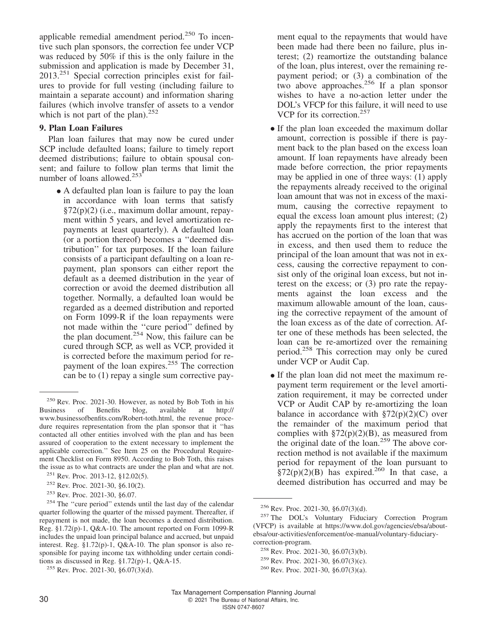applicable remedial amendment period.<sup>250</sup> To incentive such plan sponsors, the correction fee under VCP was reduced by 50% if this is the only failure in the submission and application is made by December 31, 2013.<sup>251</sup> Special correction principles exist for failures to provide for full vesting (including failure to maintain a separate account) and information sharing failures (which involve transfer of assets to a vendor which is not part of the plan). $252$ 

#### **9. Plan Loan Failures**

Plan loan failures that may now be cured under SCP include defaulted loans; failure to timely report deemed distributions; failure to obtain spousal consent; and failure to follow plan terms that limit the number of loans allowed.<sup>253</sup>

• A defaulted plan loan is failure to pay the loan in accordance with loan terms that satisfy §72(p)(2) (i.e., maximum dollar amount, repayment within 5 years, and level amortization repayments at least quarterly). A defaulted loan (or a portion thereof) becomes a ''deemed distribution'' for tax purposes. If the loan failure consists of a participant defaulting on a loan repayment, plan sponsors can either report the default as a deemed distribution in the year of correction or avoid the deemed distribution all together. Normally, a defaulted loan would be regarded as a deemed distribution and reported on Form 1099-R if the loan repayments were not made within the ''cure period'' defined by the plan document.<sup>254</sup> Now, this failure can be cured through SCP, as well as VCP, provided it is corrected before the maximum period for repayment of the loan expires.<sup>255</sup> The correction can be to (1) repay a single sum corrective pay-

ment equal to the repayments that would have been made had there been no failure, plus interest; (2) reamortize the outstanding balance of the loan, plus interest, over the remaining repayment period; or (3) a combination of the two above approaches. $256$  If a plan sponsor wishes to have a no-action letter under the DOL's VFCP for this failure, it will need to use VCP for its correction.<sup>257</sup>

- If the plan loan exceeded the maximum dollar amount, correction is possible if there is payment back to the plan based on the excess loan amount. If loan repayments have already been made before correction, the prior repayments may be applied in one of three ways: (1) apply the repayments already received to the original loan amount that was not in excess of the maximum, causing the corrective repayment to equal the excess loan amount plus interest; (2) apply the repayments first to the interest that has accrued on the portion of the loan that was in excess, and then used them to reduce the principal of the loan amount that was not in excess, causing the corrective repayment to consist only of the original loan excess, but not interest on the excess; or (3) pro rate the repayments against the loan excess and the maximum allowable amount of the loan, causing the corrective repayment of the amount of the loan excess as of the date of correction. After one of these methods has been selected, the loan can be re-amortized over the remaining period.<sup>258</sup> This correction may only be cured under VCP or Audit Cap.
- If the plan loan did not meet the maximum repayment term requirement or the level amortization requirement, it may be corrected under VCP or Audit CAP by re-amortizing the loan balance in accordance with  $\S72(p)(2)(C)$  over the remainder of the maximum period that complies with  $\S72(p)(2)(B)$ , as measured from the original date of the loan.<sup>259</sup> The above correction method is not available if the maximum period for repayment of the loan pursuant to  $\frac{1}{2}$ s<sup>2</sup>(p)(2)(B) has expired.<sup>260</sup> In that case, a deemed distribution has occurred and may be

<sup>250</sup> Rev. Proc. 2021-30. However, as noted by Bob Toth in his Business of Benefits blog, available at [http://](http://www.businessofbenfits.com/Robert-toth.html) [www.businessofbenfits.com/Robert-toth.html,](http://www.businessofbenfits.com/Robert-toth.html) the revenue procedure requires representation from the plan sponsor that it ''has contacted all other entities involved with the plan and has been assured of cooperation to the extent necessary to implement the applicable correction.'' See Item 25 on the Procedural Requirement Checklist on Form 8950. According to Bob Toth, this raises the issue as to what contracts are under the plan and what are not.

<sup>251</sup> Rev. Proc. 2013-12, §12.02(5).

<sup>252</sup> Rev. Proc. 2021-30, §6.10(2).

<sup>253</sup> Rev. Proc. 2021-30, §6.07.

<sup>254</sup> The ''cure period'' extends until the last day of the calendar quarter following the quarter of the missed payment. Thereafter, if repayment is not made, the loan becomes a deemed distribution. Reg. §1.72(p)-1, Q&A-10. The amount reported on Form 1099-R includes the unpaid loan principal balance and accrued, but unpaid interest. Reg. §1.72(p)-1, Q&A-10. The plan sponsor is also responsible for paying income tax withholding under certain conditions as discussed in Reg. §1.72(p)-1, Q&A-15.

 $255$  Rev. Proc. 2021-30, §6.07(3)(d).

<sup>256</sup> Rev. Proc. 2021-30, §6.07(3)(d).

<sup>257</sup> The DOL's Voluntary Fiduciary Correction Program (VFCP) is available at [https://www.dol.gov/agencies/ebsa/about](https://www.dol.gov/agencies/ebsa/about-ebsa/our-activities/enforcement/oe-manual/voluntary-fiduciary-correction-program)[ebsa/our-activities/enforcement/oe-manual/voluntary-fiduciary](https://www.dol.gov/agencies/ebsa/about-ebsa/our-activities/enforcement/oe-manual/voluntary-fiduciary-correction-program)[correction-program.](https://www.dol.gov/agencies/ebsa/about-ebsa/our-activities/enforcement/oe-manual/voluntary-fiduciary-correction-program)

<sup>258</sup> Rev. Proc. 2021-30, §6.07(3)(b).

<sup>259</sup> Rev. Proc. 2021-30, §6.07(3)(c).

<sup>260</sup> Rev. Proc. 2021-30, §6.07(3)(a).

Tax Management Compensation Planning Journal 30 80 R 2021 The Bureau of National Affairs, Inc.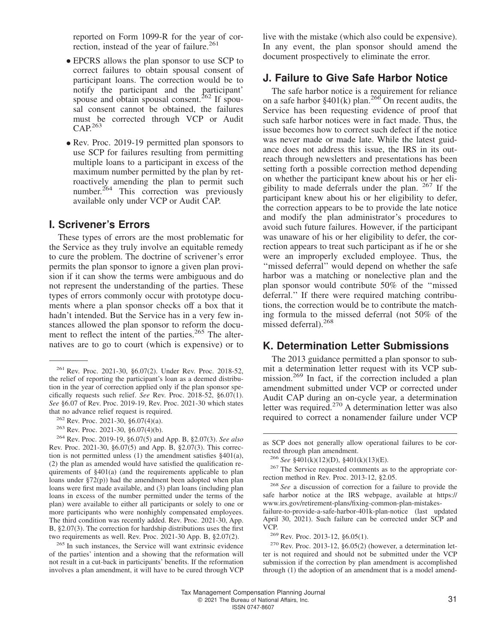reported on Form 1099-R for the year of correction, instead of the year of failure.<sup>261</sup>

- EPCRS allows the plan sponsor to use SCP to correct failures to obtain spousal consent of participant loans. The correction would be to notify the participant and the participant' spouse and obtain spousal consent.<sup>262</sup> If spousal consent cannot be obtained, the failures must be corrected through VCP or Audit  $CAP<sup>263</sup>$
- Rev. Proc. 2019-19 permitted plan sponsors to use SCP for failures resulting from permitting multiple loans to a participant in excess of the maximum number permitted by the plan by retroactively amending the plan to permit such number.<sup>264</sup> This correction was previously available only under VCP or Audit CAP.

#### **I. Scrivener's Errors**

These types of errors are the most problematic for the Service as they truly involve an equitable remedy to cure the problem. The doctrine of scrivener's error permits the plan sponsor to ignore a given plan provision if it can show the terms were ambiguous and do not represent the understanding of the parties. These types of errors commonly occur with prototype documents where a plan sponsor checks off a box that it hadn't intended. But the Service has in a very few instances allowed the plan sponsor to reform the document to reflect the intent of the parties.<sup>265</sup> The alternatives are to go to court (which is expensive) or to live with the mistake (which also could be expensive). In any event, the plan sponsor should amend the document prospectively to eliminate the error.

#### **J. Failure to Give Safe Harbor Notice**

The safe harbor notice is a requirement for reliance on a safe harbor  $\S 401(k)$  plan.<sup>266</sup> On recent audits, the Service has been requesting evidence of proof that such safe harbor notices were in fact made. Thus, the issue becomes how to correct such defect if the notice was never made or made late. While the latest guidance does not address this issue, the IRS in its outreach through newsletters and presentations has been setting forth a possible correction method depending on whether the participant knew about his or her eligibility to made deferrals under the plan.  $267$  If the participant knew about his or her eligibility to defer, the correction appears to be to provide the late notice and modify the plan administrator's procedures to avoid such future failures. However, if the participant was unaware of his or her eligibility to defer, the correction appears to treat such participant as if he or she were an improperly excluded employee. Thus, the "missed deferral" would depend on whether the safe harbor was a matching or nonelective plan and the plan sponsor would contribute 50% of the ''missed deferral.'' If there were required matching contributions, the correction would be to contribute the matching formula to the missed deferral (not 50% of the missed deferral).<sup>268</sup>

#### **K. Determination Letter Submissions**

The 2013 guidance permitted a plan sponsor to submit a determination letter request with its VCP submission.<sup>269</sup> In fact, if the correction included a plan amendment submitted under VCP or corrected under Audit CAP during an on-cycle year, a determination letter was required.<sup>270</sup> A determination letter was also required to correct a nonamender failure under VCP

<sup>269</sup> Rev. Proc. 2013-12, §6.05(1).

 $270$  Rev. Proc. 2013-12, §6.05(2) (however, a determination letter is not required and should not be submitted under the VCP submission if the correction by plan amendment is accomplished through (1) the adoption of an amendment that is a model amend-

<sup>261</sup> Rev. Proc. 2021-30, §6.07(2). Under Rev. Proc. 2018-52, the relief of reporting the participant's loan as a deemed distribution in the year of correction applied only if the plan sponsor specifically requests such relief. *See* Rev. Proc. 2018-52, §6.07(1). *See* §6.07 of Rev. Proc. 2019-19, Rev. Proc. 2021-30 which states that no advance relief request is required.

 $262$  Rev. Proc. 2021-30, §6.07(4)(a).

<sup>263</sup> Rev. Proc. 2021-30, §6.07(4)(b).

<sup>264</sup> Rev. Proc. 2019-19, §6.07(5) and App. B, §2.07(3). *See also* Rev. Proc. 2021-30, §6.07(5) and App. B, §2.07(3). This correction is not permitted unless (1) the amendment satisfies §401(a), (2) the plan as amended would have satisfied the qualification requirements of §401(a) (and the requirements applicable to plan loans under §72(p)) had the amendment been adopted when plan loans were first made available, and (3) plan loans (including plan loans in excess of the number permitted under the terms of the plan) were available to either all participants or solely to one or more participants who were nonhighly compensated employees. The third condition was recently added. Rev. Proc. 2021-30, App. B, §2.07(3). The correction for hardship distributions uses the first two requirements as well. Rev. Proc. 2021-30 App. B, §2.07(2).

<sup>265</sup> In such instances, the Service will want extrinsic evidence of the parties' intention and a showing that the reformation will not result in a cut-back in participants' benefits. If the reformation involves a plan amendment, it will have to be cured through VCP

as SCP does not generally allow operational failures to be corrected through plan amendment.

<sup>266</sup> *See* §401(k)(12)(D), §401(k)(13)(E).

<sup>&</sup>lt;sup>267</sup> The Service requested comments as to the appropriate correction method in Rev. Proc. 2013-12, §2.05.

<sup>268</sup> *See* a discussion of correction for a failure to provide the safe harbor notice at the IRS webpage, available at [https://](https://www.irs.gov/retirement-plans/fixing-common-plan-mistakes-failure-to-provide-a-safe-harbor-401k-plan-notice) [www.irs.gov/retirement-plans/fixing-common-plan-mistakes-](https://www.irs.gov/retirement-plans/fixing-common-plan-mistakes-failure-to-provide-a-safe-harbor-401k-plan-notice)

[failure-to-provide-a-safe-harbor-401k-plan-notice](https://www.irs.gov/retirement-plans/fixing-common-plan-mistakes-failure-to-provide-a-safe-harbor-401k-plan-notice) (last updated April 30, 2021). Such failure can be corrected under SCP and VCP.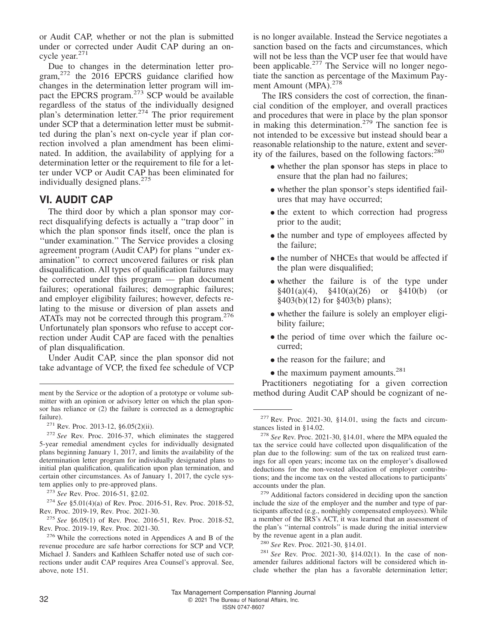or Audit CAP, whether or not the plan is submitted under or corrected under Audit CAP during an oncycle year.<sup>271</sup>

Due to changes in the determination letter program, $272$  the 2016 EPCRS guidance clarified how changes in the determination letter program will impact the EPCRS program.<sup>273</sup> SCP would be available regardless of the status of the individually designed plan's determination letter.<sup>274</sup> The prior requirement under SCP that a determination letter must be submitted during the plan's next on-cycle year if plan correction involved a plan amendment has been eliminated. In addition, the availability of applying for a determination letter or the requirement to file for a letter under VCP or Audit CAP has been eliminated for individually designed plans.<sup>275</sup>

#### **VI. AUDIT CAP**

The third door by which a plan sponsor may correct disqualifying defects is actually a ''trap door'' in which the plan sponsor finds itself, once the plan is ''under examination.'' The Service provides a closing agreement program (Audit CAP) for plans ''under examination'' to correct uncovered failures or risk plan disqualification. All types of qualification failures may be corrected under this program — plan document failures; operational failures; demographic failures; and employer eligibility failures; however, defects relating to the misuse or diversion of plan assets and ATATs may not be corrected through this program.<sup>276</sup> Unfortunately plan sponsors who refuse to accept correction under Audit CAP are faced with the penalties of plan disqualification.

Under Audit CAP, since the plan sponsor did not take advantage of VCP, the fixed fee schedule of VCP

<sup>274</sup> *See* §5.01(4)(a) of Rev. Proc. 2016-51, Rev. Proc. 2018-52, Rev. Proc. 2019-19, Rev. Proc. 2021-30.

<sup>275</sup> *See* §6.05(1) of Rev. Proc. 2016-51, Rev. Proc. 2018-52, Rev. Proc. 2019-19, Rev. Proc. 2021-30.

<sup>276</sup> While the corrections noted in Appendices A and B of the revenue procedure are safe harbor corrections for SCP and VCP, Michael J. Sanders and Kathleen Schaffer noted use of such corrections under audit CAP requires Area Counsel's approval. See, above, note 151.

is no longer available. Instead the Service negotiates a sanction based on the facts and circumstances, which will not be less than the VCP user fee that would have been applicable.<sup>277</sup> The Service will no longer negotiate the sanction as percentage of the Maximum Payment Amount (MPA).<sup>278</sup>

The IRS considers the cost of correction, the financial condition of the employer, and overall practices and procedures that were in place by the plan sponsor in making this determination.<sup>279</sup> The sanction fee is not intended to be excessive but instead should bear a reasonable relationship to the nature, extent and severity of the failures, based on the following factors:<sup>280</sup>

- whether the plan sponsor has steps in place to ensure that the plan had no failures;
- whether the plan sponsor's steps identified failures that may have occurred;
- the extent to which correction had progress prior to the audit;
- the number and type of employees affected by the failure;
- the number of NHCEs that would be affected if the plan were disqualified;
- whether the failure is of the type under  $\frac{8401(a)(4)}{8410(a)(26)}$  or  $\frac{8410(b)}{60}$  (or  $§401(a)(4)$ ,  $§410(a)(26)$  or  $§410(b)$ §403(b)(12) for §403(b) plans);
- whether the failure is solely an employer eligibility failure;
- the period of time over which the failure occurred;
- the reason for the failure; and
- the maximum payment amounts.<sup>281</sup>

Practitioners negotiating for a given correction ment by the Service or the adoption of a prototype or volume sub-<br>method during Audit CAP should be cognizant of ne-

mitter with an opinion or advisory letter on which the plan sponsor has reliance or (2) the failure is corrected as a demographic failure).

<sup>271</sup> Rev. Proc. 2013-12, §6.05(2)(ii).

<sup>272</sup> *See* Rev. Proc. 2016-37, which eliminates the staggered 5-year remedial amendment cycles for individually designated plans beginning January 1, 2017, and limits the availability of the determination letter program for individually designated plans to initial plan qualification, qualification upon plan termination, and certain other circumstances. As of January 1, 2017, the cycle system applies only to pre-approved plans.

<sup>273</sup> *See* Rev. Proc. 2016-51, §2.02.

 $277$  Rev. Proc. 2021-30, §14.01, using the facts and circumstances listed in §14.02.

<sup>278</sup> *See* Rev. Proc. 2021-30, §14.01, where the MPA equaled the tax the service could have collected upon disqualification of the plan due to the following: sum of the tax on realized trust earnings for all open years; income tax on the employer's disallowed deductions for the non-vested allocation of employer contributions; and the income tax on the vested allocations to participants' accounts under the plan.

<sup>&</sup>lt;sup>279</sup> Additional factors considered in deciding upon the sanction include the size of the employer and the number and type of participants affected (e.g., nonhighly compensated employees). While a member of the IRS's ACT, it was learned that an assessment of the plan's ''internal controls'' is made during the initial interview by the revenue agent in a plan audit.

<sup>280</sup> *See* Rev. Proc. 2021-30, §14.01.

<sup>281</sup> *See* Rev. Proc. 2021-30, §14.02(1). In the case of nonamender failures additional factors will be considered which include whether the plan has a favorable determination letter;

Tax Management Compensation Planning Journal 32 C 2021 The Bureau of National Affairs, Inc. ISSN 0747-8607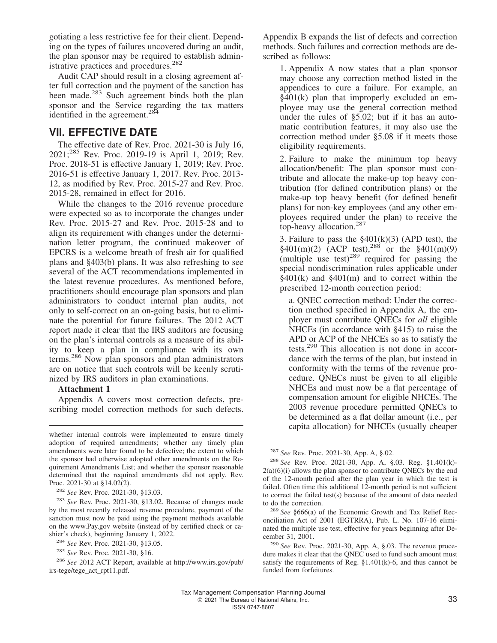gotiating a less restrictive fee for their client. Depending on the types of failures uncovered during an audit, the plan sponsor may be required to establish administrative practices and procedures.<sup>282</sup>

Audit CAP should result in a closing agreement after full correction and the payment of the sanction has been made.<sup>283</sup> Such agreement binds both the plan sponsor and the Service regarding the tax matters identified in the agreement.<sup>284</sup>

## **VII. EFFECTIVE DATE**

The effective date of Rev. Proc. 2021-30 is July 16, 2021;<sup>285</sup> Rev. Proc. 2019-19 is April 1, 2019; Rev. Proc. 2018-51 is effective January 1, 2019; Rev. Proc. 2016-51 is effective January 1, 2017. Rev. Proc. 2013- 12, as modified by Rev. Proc. 2015-27 and Rev. Proc. 2015-28, remained in effect for 2016.

While the changes to the 2016 revenue procedure were expected so as to incorporate the changes under Rev. Proc. 2015-27 and Rev. Proc. 2015-28 and to align its requirement with changes under the determination letter program, the continued makeover of EPCRS is a welcome breath of fresh air for qualified plans and §403(b) plans. It was also refreshing to see several of the ACT recommendations implemented in the latest revenue procedures. As mentioned before, practitioners should encourage plan sponsors and plan administrators to conduct internal plan audits, not only to self-correct on an on-going basis, but to eliminate the potential for future failures. The 2012 ACT report made it clear that the IRS auditors are focusing on the plan's internal controls as a measure of its ability to keep a plan in compliance with its own terms.<sup>286</sup> Now plan sponsors and plan administrators are on notice that such controls will be keenly scrutinized by IRS auditors in plan examinations.

#### **Attachment 1**

Appendix A covers most correction defects, prescribing model correction methods for such defects.

Appendix B expands the list of defects and correction methods. Such failures and correction methods are described as follows:

1. Appendix A now states that a plan sponsor may choose any correction method listed in the appendices to cure a failure. For example, an §401(k) plan that improperly excluded an employee may use the general correction method under the rules of §5.02; but if it has an automatic contribution features, it may also use the correction method under §5.08 if it meets those eligibility requirements.

2. Failure to make the minimum top heavy allocation/benefit: The plan sponsor must contribute and allocate the make-up top heavy contribution (for defined contribution plans) or the make-up top heavy benefit (for defined benefit plans) for non-key employees (and any other employees required under the plan) to receive the top-heavy allocation.<sup>287</sup>

3. Failure to pass the  $$401(k)(3)$  (APD test), the  $§401(m)(2)$  (ACP test),<sup>288</sup> or the  $§401(m)(9)$ (multiple use test) $^{289}$  required for passing the special nondiscrimination rules applicable under §401(k) and §401(m) and to correct within the prescribed 12-month correction period:

a. QNEC correction method: Under the correction method specified in Appendix A, the employer must contribute QNECs for *all* eligible NHCEs (in accordance with §415) to raise the APD or ACP of the NHCEs so as to satisfy the tests.<sup>290</sup> This allocation is not done in accordance with the terms of the plan, but instead in conformity with the terms of the revenue procedure. QNECs must be given to all eligible NHCEs and must now be a flat percentage of compensation amount for eligible NHCEs. The 2003 revenue procedure permitted QNECs to be determined as a flat dollar amount (i.e., per capita allocation) for NHCEs (usually cheaper

whether internal controls were implemented to ensure timely adoption of required amendments; whether any timely plan amendments were later found to be defective; the extent to which the sponsor had otherwise adopted other amendments on the Requirement Amendments List; and whether the sponsor reasonable determined that the required amendments did not apply. Rev. Proc. 2021-30 at §14.02(2).

<sup>282</sup> *See* Rev. Proc. 2021-30, §13.03.

<sup>283</sup> *See* Rev. Proc. 2021-30, §13.02. Because of changes made by the most recently released revenue procedure, payment of the sanction must now be paid using the payment methods available on the<www.Pay.gov> website (instead of by certified check or cashier's check), beginning January 1, 2022.

<sup>284</sup> *See* Rev. Proc. 2021-30, §13.05.

<sup>285</sup> *See* Rev. Proc. 2021-30, §16.

<sup>286</sup> *See* 2012 ACT Report, available at [http://www.irs.gov/pub/](http://www.irs.gov/pub/irs-tege/tege_act_rpt11.pdf) [irs-tege/tege\\_act\\_rpt11.pdf.](http://www.irs.gov/pub/irs-tege/tege_act_rpt11.pdf)

<sup>287</sup> *See* Rev. Proc. 2021-30, App. A, §.02.

<sup>288</sup> *See* Rev. Proc. 2021-30, App. A, §.03. Reg. §1.401(k)-  $2(a)(6)(i)$  allows the plan sponsor to contribute QNECs by the end of the 12-month period after the plan year in which the test is failed. Often time this additional 12-month period is not sufficient to correct the failed test(s) because of the amount of data needed to do the correction.

<sup>289</sup> *See* §666(a) of the Economic Growth and Tax Relief Reconciliation Act of 2001 (EGTRRA), Pub. L. No. 107-16 eliminated the multiple use test, effective for years beginning after December 31, 2001.

<sup>290</sup> *See* Rev. Proc. 2021-30, App. A, §.03. The revenue procedure makes it clear that the QNEC used to fund such amount must satisfy the requirements of Reg. §1.401(k)-6, and thus cannot be funded from forfeitures.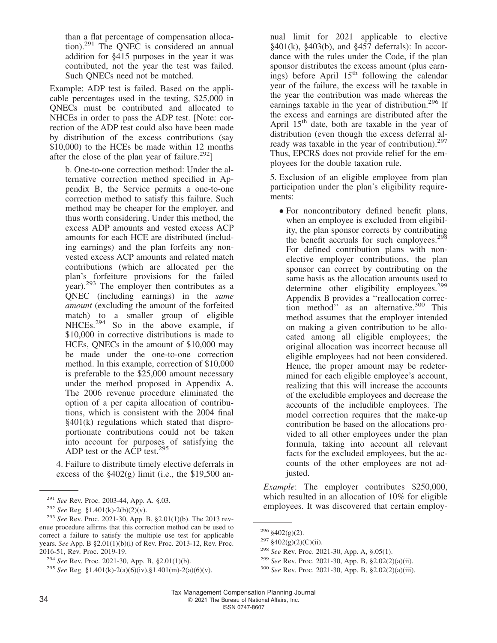than a flat percentage of compensation allocation).<sup>291</sup> The QNEC is considered an annual addition for §415 purposes in the year it was contributed, not the year the test was failed. Such QNECs need not be matched.

Example: ADP test is failed. Based on the applicable percentages used in the testing, \$25,000 in QNECs must be contributed and allocated to NHCEs in order to pass the ADP test. [Note: correction of the ADP test could also have been made by distribution of the excess contributions (say \$10,000) to the HCEs be made within 12 months after the close of the plan year of failure.<sup>292</sup>]

b. One-to-one correction method: Under the alternative correction method specified in Appendix B, the Service permits a one-to-one correction method to satisfy this failure. Such method may be cheaper for the employer, and thus worth considering. Under this method, the excess ADP amounts and vested excess ACP amounts for each HCE are distributed (including earnings) and the plan forfeits any nonvested excess ACP amounts and related match contributions (which are allocated per the plan's forfeiture provisions for the failed year).<sup>293</sup> The employer then contributes as a QNEC (including earnings) in the *same amount* (excluding the amount of the forfeited match) to a smaller group of eligible NHCEs.<sup>294</sup> So in the above example, if \$10,000 in corrective distributions is made to HCEs, QNECs in the amount of \$10,000 may be made under the one-to-one correction method. In this example, correction of \$10,000 is preferable to the \$25,000 amount necessary under the method proposed in Appendix A. The 2006 revenue procedure eliminated the option of a per capita allocation of contributions, which is consistent with the 2004 final §401(k) regulations which stated that disproportionate contributions could not be taken into account for purposes of satisfying the ADP test or the  $\angle ACP$  test.<sup>295</sup>

4. Failure to distribute timely elective deferrals in excess of the  $$402(g)$  limit (i.e., the \$19,500 annual limit for 2021 applicable to elective  $§401(k), §403(b), and §457$  deferrals): In accordance with the rules under the Code, if the plan sponsor distributes the excess amount (plus earnings) before April  $15<sup>th</sup>$  following the calendar year of the failure, the excess will be taxable in the year the contribution was made whereas the earnings taxable in the year of distribution. $296$  If the excess and earnings are distributed after the April  $15<sup>th</sup>$  date, both are taxable in the year of distribution (even though the excess deferral already was taxable in the year of contribution).<sup>297</sup> Thus, EPCRS does not provide relief for the employees for the double taxation rule.

5. Exclusion of an eligible employee from plan participation under the plan's eligibility requirements:

• For noncontributory defined benefit plans, when an employee is excluded from eligibility, the plan sponsor corrects by contributing the benefit accruals for such employees.<sup>298</sup> For defined contribution plans with nonelective employer contributions, the plan sponsor can correct by contributing on the same basis as the allocation amounts used to determine other eligibility employees.<sup>299</sup> Appendix B provides a ''reallocation correction method $\mathbf{r}'$  as an alternative.<sup>300</sup> This method assumes that the employer intended on making a given contribution to be allocated among all eligible employees; the original allocation was incorrect because all eligible employees had not been considered. Hence, the proper amount may be redetermined for each eligible employee's account, realizing that this will increase the accounts of the excludible employees and decrease the accounts of the includible employees. The model correction requires that the make-up contribution be based on the allocations provided to all other employees under the plan formula, taking into account all relevant facts for the excluded employees, but the accounts of the other employees are not adjusted.

*Example*: The employer contributes \$250,000, which resulted in an allocation of 10% for eligible employees. It was discovered that certain employ-

<sup>291</sup> *See* Rev. Proc. 2003-44, App. A. §.03.

<sup>292</sup> *See* Reg. §1.401(k)-2(b)(2)(v).

<sup>293</sup> *See* Rev. Proc. 2021-30, App. B, §2.01(1)(b). The 2013 revenue procedure affirms that this correction method can be used to correct a failure to satisfy the multiple use test for applicable years. *See* App. B §2.01(1)(b)(i) of Rev. Proc. 2013-12, Rev. Proc. 2016-51, Rev. Proc. 2019-19.

<sup>294</sup> *See* Rev. Proc. 2021-30, App. B, §2.01(1)(b).

<sup>295</sup> *See* Reg. §1.401(k)-2(a)(6)(iv),§1.401(m)-2(a)(6)(v).

 $296 \text{ } $402(g)(2)$ .

 $297 \frac{\$402(g)(2)(C)(ii)}{297}$ .

<sup>298</sup> *See* Rev. Proc. 2021-30, App. A, §.05(1).

<sup>299</sup> *See* Rev. Proc. 2021-30, App. B, §2.02(2)(a)(ii).

<sup>300</sup> *See* Rev. Proc. 2021-30, App. B, §2.02(2)(a)(iii).

Tax Management Compensation Planning Journal 34 C 2021 The Bureau of National Affairs, Inc.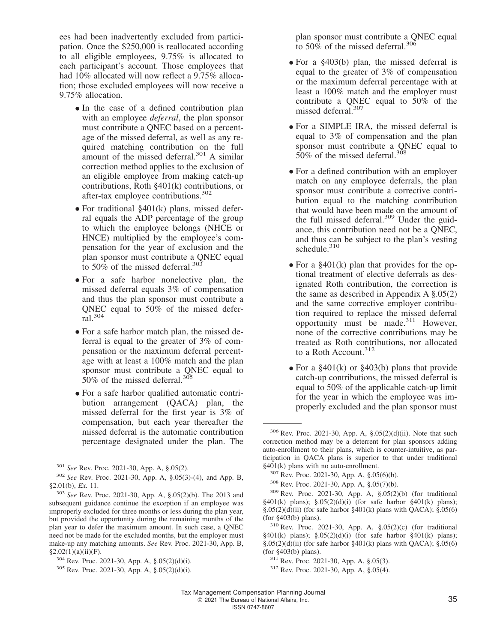ees had been inadvertently excluded from participation. Once the \$250,000 is reallocated according to all eligible employees, 9.75% is allocated to each participant's account. Those employees that had 10% allocated will now reflect a 9.75% allocation; those excluded employees will now receive a 9.75% allocation.

- In the case of a defined contribution plan with an employee *deferral*, the plan sponsor must contribute a QNEC based on a percentage of the missed deferral, as well as any required matching contribution on the full amount of the missed deferral. $301$  A similar correction method applies to the exclusion of an eligible employee from making catch-up contributions, Roth §401(k) contributions, or after-tax employee contributions.  $302$
- For traditional §401(k) plans, missed deferral equals the ADP percentage of the group to which the employee belongs (NHCE or HNCE) multiplied by the employee's compensation for the year of exclusion and the plan sponsor must contribute a QNEC equal to 50% of the missed deferral.<sup>303</sup>
- For a safe harbor nonelective plan, the missed deferral equals 3% of compensation and thus the plan sponsor must contribute a QNEC equal to 50% of the missed deferral.<sup>304</sup>
- For a safe harbor match plan, the missed deferral is equal to the greater of 3% of compensation or the maximum deferral percentage with at least a 100% match and the plan sponsor must contribute a QNEC equal to 50% of the missed deferral.<sup>305</sup>
- For a safe harbor qualified automatic contribution arrangement (QACA) plan, the missed deferral for the first year is 3% of compensation, but each year thereafter the missed deferral is the automatic contribution percentage designated under the plan. The

plan sponsor must contribute a QNEC equal to 50% of the missed deferral.<sup>306</sup>

- For a §403(b) plan, the missed deferral is equal to the greater of 3% of compensation or the maximum deferral percentage with at least a 100% match and the employer must contribute a QNEC equal to 50% of the missed deferral.<sup>307</sup>
- For a SIMPLE IRA, the missed deferral is equal to 3% of compensation and the plan sponsor must contribute a QNEC equal to 50% of the missed deferral.<sup>308</sup>
- For a defined contribution with an employer match on any employee deferrals, the plan sponsor must contribute a corrective contribution equal to the matching contribution that would have been made on the amount of the full missed deferral.<sup>309</sup> Under the guidance, this contribution need not be a QNEC, and thus can be subject to the plan's vesting schedule.<sup>310</sup>
- For a §401(k) plan that provides for the optional treatment of elective deferrals as designated Roth contribution, the correction is the same as described in Appendix A §.05(2) and the same corrective employer contribution required to replace the missed deferral opportunity must be made.<sup>311</sup> However, none of the corrective contributions may be treated as Roth contributions, nor allocated to a Roth Account.<sup>312</sup>
- For a  $\S 401(k)$  or  $\S 403(b)$  plans that provide catch-up contributions, the missed deferral is equal to 50% of the applicable catch-up limit for the year in which the employee was improperly excluded and the plan sponsor must

<sup>301</sup> *See* Rev. Proc. 2021-30, App. A, §.05(2).

<sup>302</sup> *See* Rev. Proc. 2021-30, App. A, §.05(3)-(4), and App. B, §2.01(b), *Ex.* 11.

<sup>303</sup> *See* Rev. Proc. 2021-30, App. A, §.05(2)(b). The 2013 and subsequent guidance continue the exception if an employee was improperly excluded for three months or less during the plan year, but provided the opportunity during the remaining months of the plan year to defer the maximum amount. In such case, a QNEC need not be made for the excluded months, but the employer must make-up any matching amounts. *See* Rev. Proc. 2021-30, App. B,  $§2.02(1)(a)(ii)(F).$ 

<sup>304</sup> Rev. Proc. 2021-30, App. A, §.05(2)(d)(i).

<sup>305</sup> Rev. Proc. 2021-30, App. A, §.05(2)(d)(i).

<sup>306</sup> Rev. Proc. 2021-30, App. A, §.05(2)(d)(ii). Note that such correction method may be a deterrent for plan sponsors adding auto-enrollment to their plans, which is counter-intuitive, as participation in QACA plans is superior to that under traditional §401(k) plans with no auto-enrollment.

<sup>307</sup> Rev. Proc. 2021-30, App. A, §.05(6)(b).

<sup>308</sup> Rev. Proc. 2021-30, App. A, §.05(7)(b).

<sup>309</sup> Rev. Proc. 2021-30, App. A, §.05(2)(b) (for traditional §401(k) plans); §.05(2)(d)(i) (for safe harbor §401(k) plans);  $\S.05(2)(d)(ii)$  (for safe harbor  $\S 401(k)$  plans with QACA);  $\S.05(6)$ (for §403(b) plans).

<sup>310</sup> Rev. Proc. 2021-30, App. A, §.05(2)(c) (for traditional  $§401(k)$  plans);  $§.05(2)(d)(i)$  (for safe harbor  $§401(k)$  plans);  $\S.05(2)(d)(ii)$  (for safe harbor  $\S 401(k)$  plans with QACA);  $\S.05(6)$ (for §403(b) plans).

<sup>311</sup> Rev. Proc. 2021-30, App. A, §.05(3).

<sup>312</sup> Rev. Proc. 2021-30, App. A, §.05(4).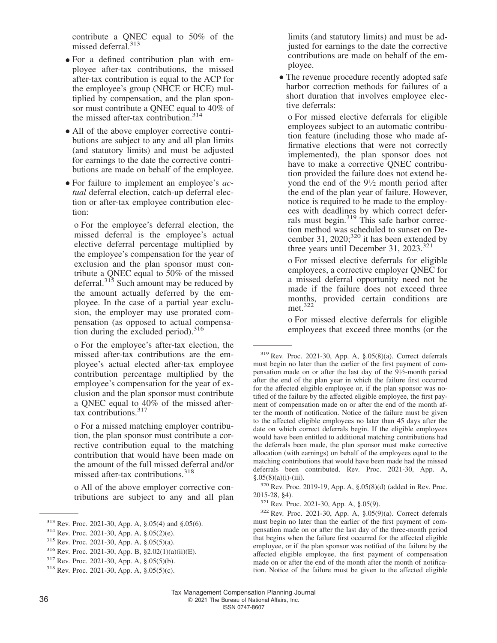contribute a QNEC equal to 50% of the missed deferral.<sup>313</sup>

- For a defined contribution plan with employee after-tax contributions, the missed after-tax contribution is equal to the ACP for the employee's group (NHCE or HCE) multiplied by compensation, and the plan sponsor must contribute a ONEC equal to  $40\%$  of the missed after-tax contribution. $314$
- All of the above employer corrective contributions are subject to any and all plan limits (and statutory limits) and must be adjusted for earnings to the date the corrective contributions are made on behalf of the employee.
- For failure to implement an employee's *actual* deferral election, catch-up deferral election or after-tax employee contribution election:

o For the employee's deferral election, the missed deferral is the employee's actual elective deferral percentage multiplied by the employee's compensation for the year of exclusion and the plan sponsor must contribute a QNEC equal to 50% of the missed deferral.<sup>315</sup> Such amount may be reduced by the amount actually deferred by the employee. In the case of a partial year exclusion, the employer may use prorated compensation (as opposed to actual compensation during the excluded period). $316$ 

o For the employee's after-tax election, the missed after-tax contributions are the employee's actual elected after-tax employee contribution percentage multiplied by the employee's compensation for the year of exclusion and the plan sponsor must contribute a QNEC equal to 40% of the missed aftertax contributions. $317$ 

o For a missed matching employer contribution, the plan sponsor must contribute a corrective contribution equal to the matching contribution that would have been made on the amount of the full missed deferral and/or missed after-tax contributions.<sup>318</sup>

o All of the above employer corrective contributions are subject to any and all plan

<sup>313</sup> Rev. Proc. 2021-30, App. A, §.05(4) and §.05(6).

limits (and statutory limits) and must be adjusted for earnings to the date the corrective contributions are made on behalf of the employee.

• The revenue procedure recently adopted safe harbor correction methods for failures of a short duration that involves employee elective deferrals:

o For missed elective deferrals for eligible employees subject to an automatic contribution feature (including those who made affirmative elections that were not correctly implemented), the plan sponsor does not have to make a corrective QNEC contribution provided the failure does not extend beyond the end of the 9<sup>1</sup> ⁄<sup>2</sup> month period after the end of the plan year of failure. However, notice is required to be made to the employees with deadlines by which correct deferrals must begin.<sup>319</sup> This safe harbor correction method was scheduled to sunset on December 31, 2020; $320$  it has been extended by three years until December 31, 2023.<sup>321</sup>

o For missed elective deferrals for eligible employees, a corrective employer QNEC for a missed deferral opportunity need not be made if the failure does not exceed three months, provided certain conditions are met.<sup>322</sup>

o For missed elective deferrals for eligible employees that exceed three months (or the

<sup>314</sup> Rev. Proc. 2021-30, App. A, §.05(2)(e).

<sup>315</sup> Rev. Proc. 2021-30, App. A, §.05(5)(a).

<sup>316</sup> Rev. Proc. 2021-30, App. B, §2.02(1)(a)(ii)(E).

<sup>317</sup> Rev. Proc. 2021-30, App. A, §.05(5)(b).

<sup>318</sup> Rev. Proc. 2021-30, App. A, §.05(5)(c).

<sup>319</sup> Rev. Proc. 2021-30, App. A, §.05(8)(a). Correct deferrals must begin no later than the earlier of the first payment of compensation made on or after the last day of the 9<sup>1</sup> ⁄2-month period after the end of the plan year in which the failure first occurred for the affected eligible employee or, if the plan sponsor was notified of the failure by the affected eligible employee, the first payment of compensation made on or after the end of the month after the month of notification. Notice of the failure must be given to the affected eligible employees no later than 45 days after the date on which correct deferrals begin. If the eligible employees would have been entitled to additional matching contributions had the deferrals been made, the plan sponsor must make corrective allocation (with earnings) on behalf of the employees equal to the matching contributions that would have been made had the missed deferrals been contributed. Rev. Proc. 2021-30, App. A,  $§.05(8)(a)(i)-(iii).$ 

<sup>320</sup> Rev. Proc. 2019-19, App. A, §.05(8)(d) (added in Rev. Proc. 2015-28, §4).

<sup>321</sup> Rev. Proc. 2021-30, App. A, §.05(9).

<sup>322</sup> Rev. Proc. 2021-30, App. A, §.05(9)(a). Correct deferrals must begin no later than the earlier of the first payment of compensation made on or after the last day of the three-month period that begins when the failure first occurred for the affected eligible employee, or if the plan sponsor was notified of the failure by the affected eligible employee, the first payment of compensation made on or after the end of the month after the month of notification. Notice of the failure must be given to the affected eligible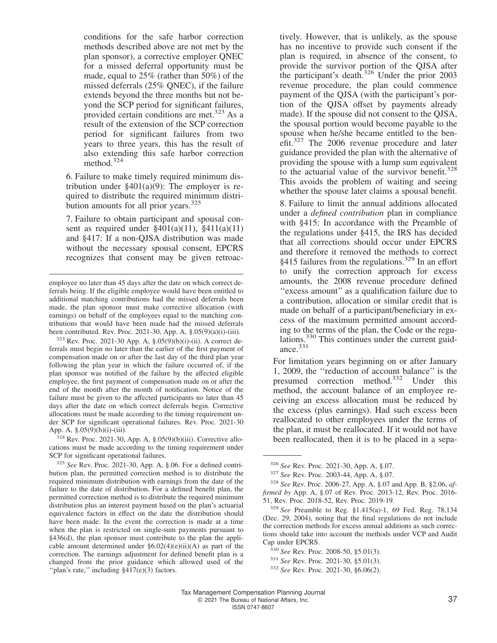conditions for the safe harbor correction methods described above are not met by the plan sponsor), a corrective employer QNEC for a missed deferral opportunity must be made, equal to 25% (rather than 50%) of the missed deferrals (25% QNEC), if the failure extends beyond the three months but not beyond the SCP period for significant failures, provided certain conditions are met.<sup>323</sup> As a result of the extension of the SCP correction period for significant failures from two years to three years, this has the result of also extending this safe harbor correction method.<sup>324</sup>

6. Failure to make timely required minimum distribution under  $§401(a)(9)$ : The employer is required to distribute the required minimum distribution amounts for all prior years.<sup>325</sup>

7. Failure to obtain participant and spousal consent as required under  $\S 401(a)(11)$ ,  $\S 411(a)(11)$ and §417: If a non-QJSA distribution was made without the necessary spousal consent, EPCRS recognizes that consent may be given retroac-

 $323$  Rev. Proc. 2021-30 App. A,  $\S.05(9)(b)(i)$ -(ii). A correct deferrals must begin no later than the earlier of the first payment of compensation made on or after the last day of the third plan year following the plan year in which the failure occurred of, if the plan sponsor was notified of the failure by the affected eligible employee, the first payment of compensation made on or after the end of the month after the month of notification. Notice of the failure must be given to the affected participants no later than 45 days after the date on which correct deferrals begin. Corrective allocations must be made according to the timing requirement under SCP for significant operational failures. Rev. Proc. 2021-30 App. A, §.05(9)(b)(i)-(iii).

<sup>324</sup> Rev. Proc. 2021-30, App. A, §.05(9)(b)(iii). Corrective allocations must be made according to the timing requirement under SCP for significant operational failures.

<sup>325</sup> *See* Rev. Proc. 2021-30, App. A, §.06. For a defined contribution plan, the permitted correction method is to distribute the required minimum distribution with earnings from the date of the failure to the date of distribution. For a defined benefit plan, the permitted correction method is to distribute the required minimum distribution plus an interest payment based on the plan's actuarial equivalence factors in effect on the date the distribution should have been made. In the event the correction is made at a time when the plan is restricted on single-sum payments pursuant to §436(d), the plan sponsor must contribute to the plan the applicable amount determined under  $\S6.02(4)(e)(ii)(A)$  as part of the correction. The earnings adjustment for defined benefit plan is a changed from the prior guidance which allowed used of the "plan's rate," including §417(e)(3) factors.

tively. However, that is unlikely, as the spouse has no incentive to provide such consent if the plan is required, in absence of the consent, to provide the survivor portion of the QJSA after the participant's death.<sup>326</sup> Under the prior 2003 revenue procedure, the plan could commence payment of the QJSA (with the participant's portion of the QJSA offset by payments already made). If the spouse did not consent to the QJSA, the spousal portion would become payable to the spouse when he/she became entitled to the benefit.<sup>327</sup> The 2006 revenue procedure and later guidance provided the plan with the alternative of providing the spouse with a lump sum equivalent to the actuarial value of the survivor benefit.<sup>328</sup> This avoids the problem of waiting and seeing whether the spouse later claims a spousal benefit. 8. Failure to limit the annual additions allocated under a *defined contribution* plan in compliance

with §415: In accordance with the Preamble of the regulations under §415, the IRS has decided that all corrections should occur under EPCRS and therefore it removed the methods to correct §415 failures from the regulations.<sup>329</sup> In an effort to unify the correction approach for excess amounts, the 2008 revenue procedure defined ''excess amount'' as a qualification failure due to a contribution, allocation or similar credit that is made on behalf of a participant/beneficiary in excess of the maximum permitted amount according to the terms of the plan, the Code or the regulations.<sup>330</sup> This continues under the current guidance. $331$ 

For limitation years beginning on or after January 1, 2009, the ''reduction of account balance'' is the presumed correction method.<sup>332</sup> Under this method, the account balance of an employee receiving an excess allocation must be reduced by the excess (plus earnings). Had such excess been reallocated to other employees under the terms of the plan, it must be reallocated. If it would not have been reallocated, then it is to be placed in a sepa-

employee no later than 45 days after the date on which correct deferrals being. If the eligible employee would have been entitled to additional matching contributions had the missed deferrals been made, the plan sponsor must make corrective allocation (with earnings) on behalf of the employees equal to the matching contributions that would have been made had the missed deferrals been contributed. Rev. Proc. 2021-30, App. A, §.05(9)(a)(i)-(iii).

<sup>326</sup> *See* Rev. Proc. 2021-30, App. A, §.07.

<sup>327</sup> *See* Rev. Proc. 2003-44, App. A, §.07.

<sup>328</sup> *See* Rev. Proc. 2006-27, App. A, §.07 and App. B, §2.06, *affirmed by* App. A, §.07 of Rev. Proc. 2013-12, Rev. Proc. 2016- 51, Rev. Proc. 2018-52, Rev. Proc. 2019-19.

<sup>329</sup> *See* Preamble to Reg. §1.415(a)-1, 69 Fed. Reg. 78,134 (Dec. 29, 2004), noting that the final regulations do not include the correction methods for excess annual additions as such corrections should take into account the methods under VCP and Audit Cap under EPCRS.

<sup>330</sup> *See* Rev. Proc. 2008-50, §5.01(3).

<sup>331</sup> *See* Rev. Proc. 2021-30, §5.01(3).

<sup>332</sup> *See* Rev. Proc. 2021-30, §6.06(2).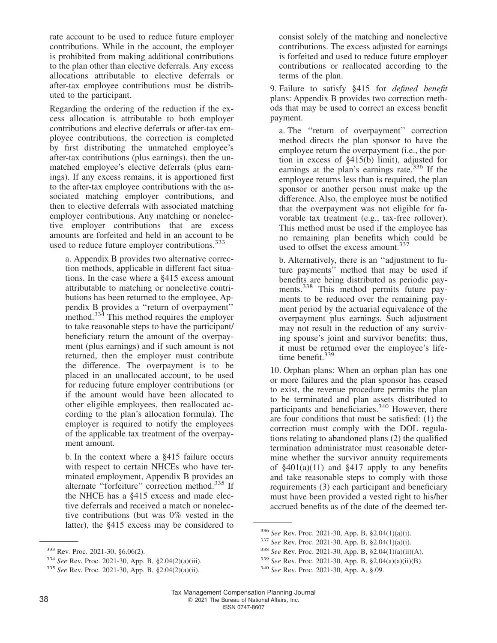rate account to be used to reduce future employer contributions. While in the account, the employer is prohibited from making additional contributions to the plan other than elective deferrals. Any excess allocations attributable to elective deferrals or after-tax employee contributions must be distributed to the participant.

Regarding the ordering of the reduction if the excess allocation is attributable to both employer contributions and elective deferrals or after-tax employee contributions, the correction is completed by first distributing the unmatched employee's after-tax contributions (plus earnings), then the unmatched employee's elective deferrals (plus earnings). If any excess remains, it is apportioned first to the after-tax employee contributions with the associated matching employer contributions, and then to elective deferrals with associated matching employer contributions. Any matching or nonelective employer contributions that are excess amounts are forfeited and held in an account to be used to reduce future employer contributions.<sup>333</sup>

a. Appendix B provides two alternative correction methods, applicable in different fact situations. In the case where a §415 excess amount attributable to matching or nonelective contributions has been returned to the employee, Appendix B provides a ''return of overpayment'' method.<sup>334</sup> This method requires the employer to take reasonable steps to have the participant/ beneficiary return the amount of the overpayment (plus earnings) and if such amount is not returned, then the employer must contribute the difference. The overpayment is to be placed in an unallocated account, to be used for reducing future employer contributions (or if the amount would have been allocated to other eligible employees, then reallocated according to the plan's allocation formula). The employer is required to notify the employees of the applicable tax treatment of the overpayment amount.

b. In the context where a §415 failure occurs with respect to certain NHCEs who have terminated employment, Appendix B provides an alternate "forfeiture" correction method.<sup>335</sup> If the NHCE has a §415 excess and made elective deferrals and received a match or nonelective contributions (but was 0% vested in the latter), the §415 excess may be considered to

consist solely of the matching and nonelective contributions. The excess adjusted for earnings is forfeited and used to reduce future employer contributions or reallocated according to the terms of the plan.

9. Failure to satisfy §415 for *defined benefit* plans: Appendix B provides two correction methods that may be used to correct an excess benefit payment.

a. The ''return of overpayment'' correction method directs the plan sponsor to have the employee return the overpayment (i.e., the portion in excess of §415(b) limit), adjusted for earnings at the plan's earnings rate.<sup>336</sup> If the employee returns less than is required, the plan sponsor or another person must make up the difference. Also, the employee must be notified that the overpayment was not eligible for favorable tax treatment (e.g., tax-free rollover). This method must be used if the employee has no remaining plan benefits which could be used to offset the excess amount.<sup>337</sup>

b. Alternatively, there is an ''adjustment to future payments'' method that may be used if benefits are being distributed as periodic payments.<sup>338</sup> This method permits future payments to be reduced over the remaining payment period by the actuarial equivalence of the overpayment plus earnings. Such adjustment may not result in the reduction of any surviving spouse's joint and survivor benefits; thus, it must be returned over the employee's lifetime benefit.<sup>339</sup>

10. Orphan plans: When an orphan plan has one or more failures and the plan sponsor has ceased to exist, the revenue procedure permits the plan to be terminated and plan assets distributed to participants and beneficiaries.<sup>340</sup> However, there are four conditions that must be satisfied: (1) the correction must comply with the DOL regulations relating to abandoned plans (2) the qualified termination administrator must reasonable determine whether the survivor annuity requirements of  $§401(a)(11)$  and  $§417$  apply to any benefits and take reasonable steps to comply with those requirements (3) each participant and beneficiary must have been provided a vested right to his/her accrued benefits as of the date of the deemed ter-

<sup>333</sup> Rev. Proc. 2021-30, §6.06(2).

<sup>334</sup> *See* Rev. Proc. 2021-30, App. B, §2.04(2)(a)(iii).

<sup>335</sup> *See* Rev. Proc. 2021-30, App. B, §2.04(2)(a)(ii).

<sup>336</sup> *See* Rev. Proc. 2021-30, App. B, §2.04(1)(a)(i).

<sup>337</sup> *See* Rev. Proc. 2021-30, App. B, §2.04(1)(a)(i).

<sup>338</sup> *See* Rev. Proc. 2021-30, App. B, §2.04(1)(a)(ii)(A).

<sup>339</sup> *See* Rev. Proc. 2021-30, App. B, §2.04(a)(a)(ii)(B).

<sup>340</sup> *See* Rev. Proc. 2021-30, App. A, §.09.

Tax Management Compensation Planning Journal 38 **COLLEGE 2021** The Bureau of National Affairs, Inc. ISSN 0747-8607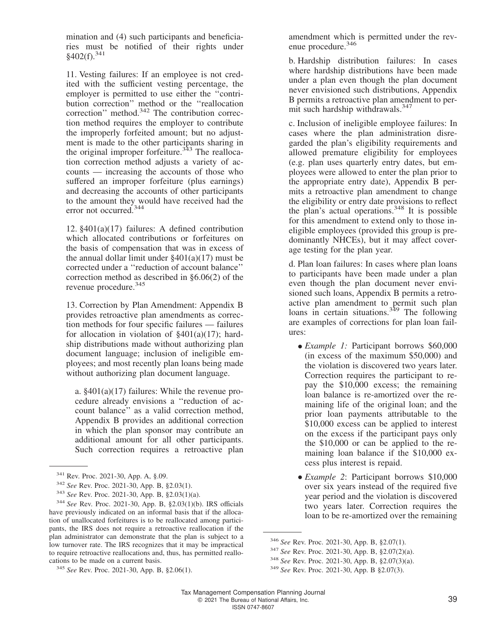mination and (4) such participants and beneficiaries must be notified of their rights under  $$402(f).$ <sup>341</sup>

11. Vesting failures: If an employee is not credited with the sufficient vesting percentage, the employer is permitted to use either the ''contribution correction'' method or the ''reallocation correction" method.<sup>342</sup> The contribution correction method requires the employer to contribute the improperly forfeited amount; but no adjustment is made to the other participants sharing in the original improper forfeiture.<sup>343</sup> The reallocation correction method adjusts a variety of accounts — increasing the accounts of those who suffered an improper forfeiture (plus earnings) and decreasing the accounts of other participants to the amount they would have received had the error not occurred.<sup>344</sup>

12. §401(a)(17) failures: A defined contribution which allocated contributions or forfeitures on the basis of compensation that was in excess of the annual dollar limit under  $\S 401(a)(17)$  must be corrected under a ''reduction of account balance'' correction method as described in §6.06(2) of the revenue procedure.<sup>345</sup>

13. Correction by Plan Amendment: Appendix B provides retroactive plan amendments as correction methods for four specific failures — failures for allocation in violation of  $\S401(a)(17)$ ; hardship distributions made without authorizing plan document language; inclusion of ineligible employees; and most recently plan loans being made without authorizing plan document language.

a. §401(a)(17) failures: While the revenue procedure already envisions a ''reduction of account balance'' as a valid correction method, Appendix B provides an additional correction in which the plan sponsor may contribute an additional amount for all other participants. Such correction requires a retroactive plan

<sup>343</sup> *See* Rev. Proc. 2021-30, App. B, §2.03(1)(a).

amendment which is permitted under the revenue procedure.<sup>346</sup>

b. Hardship distribution failures: In cases where hardship distributions have been made under a plan even though the plan document never envisioned such distributions, Appendix B permits a retroactive plan amendment to permit such hardship withdrawals.<sup>347</sup>

c. Inclusion of ineligible employee failures: In cases where the plan administration disregarded the plan's eligibility requirements and allowed premature eligibility for employees (e.g. plan uses quarterly entry dates, but employees were allowed to enter the plan prior to the appropriate entry date), Appendix B permits a retroactive plan amendment to change the eligibility or entry date provisions to reflect the plan's actual operations.<sup>348</sup> It is possible for this amendment to extend only to those ineligible employees (provided this group is predominantly NHCEs), but it may affect coverage testing for the plan year.

d. Plan loan failures: In cases where plan loans to participants have been made under a plan even though the plan document never envisioned such loans, Appendix B permits a retroactive plan amendment to permit such plan loans in certain situations. $349$  The following are examples of corrections for plan loan failures:

- *Example 1:* Participant borrows \$60,000 (in excess of the maximum \$50,000) and the violation is discovered two years later. Correction requires the participant to repay the \$10,000 excess; the remaining loan balance is re-amortized over the remaining life of the original loan; and the prior loan payments attributable to the \$10,000 excess can be applied to interest on the excess if the participant pays only the \$10,000 or can be applied to the remaining loan balance if the \$10,000 excess plus interest is repaid.
- *Example 2*: Participant borrows \$10,000 over six years instead of the required five year period and the violation is discovered two years later. Correction requires the loan to be re-amortized over the remaining

<sup>341</sup> Rev. Proc. 2021-30, App. A, §.09.

<sup>342</sup> *See* Rev. Proc. 2021-30, App. B, §2.03(1).

<sup>344</sup> *See* Rev. Proc. 2021-30, App. B, §2.03(1)(b). IRS officials have previously indicated on an informal basis that if the allocation of unallocated forfeitures is to be reallocated among participants, the IRS does not require a retroactive reallocation if the plan administrator can demonstrate that the plan is subject to a low turnover rate. The IRS recognizes that it may be impractical to require retroactive reallocations and, thus, has permitted reallocations to be made on a current basis.

<sup>345</sup> *See* Rev. Proc. 2021-30, App. B, §2.06(1).

<sup>346</sup> *See* Rev. Proc. 2021-30, App. B, §2.07(1).

<sup>347</sup> *See* Rev. Proc. 2021-30, App. B, §2.07(2)(a).

<sup>348</sup> *See* Rev. Proc. 2021-30, App. B, §2.07(3)(a).

<sup>349</sup> *See* Rev. Proc. 2021-30, App. B §2.07(3).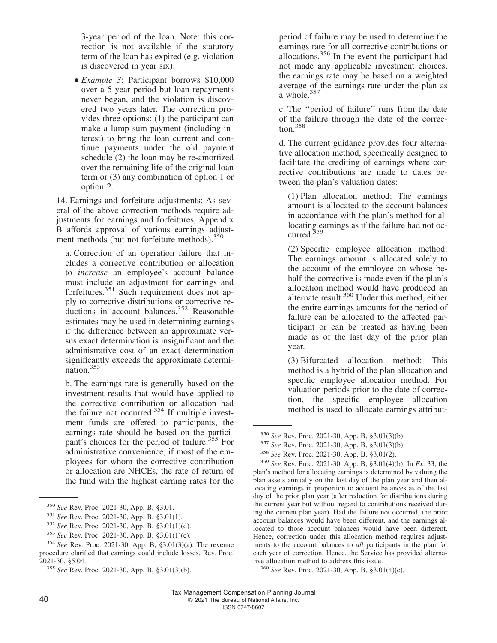3-year period of the loan. Note: this correction is not available if the statutory term of the loan has expired (e.g. violation is discovered in year six).

• *Example 3*: Participant borrows \$10,000 over a 5-year period but loan repayments never began, and the violation is discovered two years later. The correction provides three options: (1) the participant can make a lump sum payment (including interest) to bring the loan current and continue payments under the old payment schedule (2) the loan may be re-amortized over the remaining life of the original loan term or (3) any combination of option 1 or option 2.

14. Earnings and forfeiture adjustments: As several of the above correction methods require adjustments for earnings and forfeitures, Appendix B affords approval of various earnings adjustment methods (but not forfeiture methods).<sup>350</sup>

a. Correction of an operation failure that includes a corrective contribution or allocation to *increase* an employee's account balance must include an adjustment for earnings and forfeitures.<sup>351</sup> Such requirement does not apply to corrective distributions or corrective re- $\frac{1}{2}$  ductions in account balances.<sup>352</sup> Reasonable estimates may be used in determining earnings if the difference between an approximate versus exact determination is insignificant and the administrative cost of an exact determination significantly exceeds the approximate determination.<sup>353</sup>

b. The earnings rate is generally based on the investment results that would have applied to the corrective contribution or allocation had the failure not occurred.<sup>354</sup> If multiple investment funds are offered to participants, the earnings rate should be based on the participant's choices for the period of failure.<sup>355</sup> For administrative convenience, if most of the employees for whom the corrective contribution or allocation are NHCEs, the rate of return of the fund with the highest earning rates for the

period of failure may be used to determine the earnings rate for all corrective contributions or allocations.<sup>356</sup> In the event the participant had not made any applicable investment choices, the earnings rate may be based on a weighted average of the earnings rate under the plan as a whole.<sup>357</sup>

c. The ''period of failure'' runs from the date of the failure through the date of the correction.<sup>358</sup>

d. The current guidance provides four alternative allocation method, specifically designed to facilitate the crediting of earnings where corrective contributions are made to dates between the plan's valuation dates:

(1) Plan allocation method: The earnings amount is allocated to the account balances in accordance with the plan's method for allocating earnings as if the failure had not occurred.<sup>359</sup>

(2) Specific employee allocation method: The earnings amount is allocated solely to the account of the employee on whose behalf the corrective is made even if the plan's allocation method would have produced an alternate result.<sup>360</sup> Under this method, either the entire earnings amounts for the period of failure can be allocated to the affected participant or can be treated as having been made as of the last day of the prior plan year.

(3) Bifurcated allocation method: This method is a hybrid of the plan allocation and specific employee allocation method. For valuation periods prior to the date of correction, the specific employee allocation method is used to allocate earnings attribut-

<sup>350</sup> *See* Rev. Proc. 2021-30, App. B, §3.01.

<sup>351</sup> *See* Rev. Proc. 2021-30, App. B, §3.01(1).

<sup>352</sup> *See* Rev. Proc. 2021-30, App. B, §3.01(1)(d).

<sup>353</sup> *See* Rev. Proc. 2021-30, App. B, §3.01(1)(c).

<sup>354</sup> *See* Rev. Proc. 2021-30, App. B, §3.01(3)(a). The revenue procedure clarified that earnings could include losses. Rev. Proc. 2021-30, §5.04.

<sup>355</sup> *See* Rev. Proc. 2021-30, App. B, §3.01(3)(b).

<sup>356</sup> *See* Rev. Proc. 2021-30, App. B, §3.01(3)(b).

<sup>357</sup> *See* Rev. Proc. 2021-30, App. B, §3.01(3)(b).

<sup>358</sup> *See* Rev. Proc. 2021-30, App. B, §3.01(2).

<sup>359</sup> *See* Rev. Proc. 2021-30, App. B, §3.01(4)(b). In *Ex*. 33, the plan's method for allocating earnings is determined by valuing the plan assets annually on the last day of the plan year and then allocating earnings in proportion to account balances as of the last day of the prior plan year (after reduction for distributions during the current year but without regard to contributions received during the current plan year). Had the failure not occurred, the prior account balances would have been different, and the earnings allocated to those account balances would have been different. Hence, correction under this allocation method requires adjustments to the account balances to *all* participants in the plan for each year of correction. Hence, the Service has provided alternative allocation method to address this issue.

<sup>360</sup> *See* Rev. Proc. 2021-30, App. B, §3.01(4)(c).

Tax Management Compensation Planning Journal 40 C 2021 The Bureau of National Affairs, Inc. ISSN 0747-8607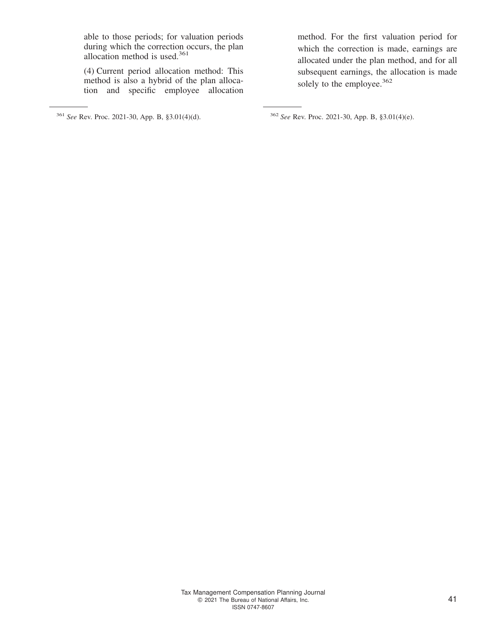able to those periods; for valuation periods during which the correction occurs, the plan allocation method is used.<sup>361</sup>

(4) Current period allocation method: This method is also a hybrid of the plan allocation and specific employee allocation

method. For the first valuation period for which the correction is made, earnings are allocated under the plan method, and for all subsequent earnings, the allocation is made solely to the employee.<sup>362</sup>

<sup>361</sup> *See* Rev. Proc. 2021-30, App. B, §3.01(4)(d). <sup>362</sup> *See* Rev. Proc. 2021-30, App. B, §3.01(4)(e).